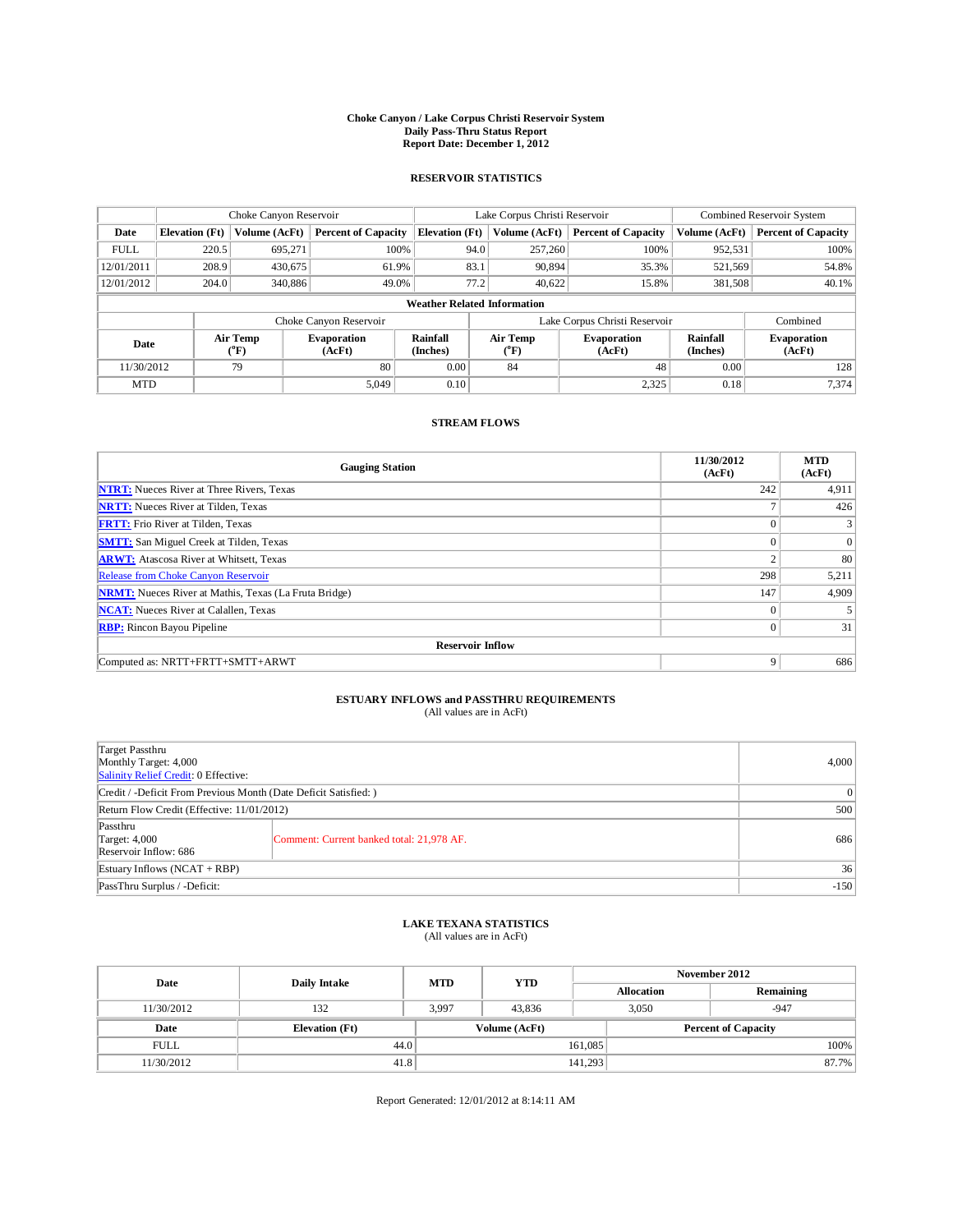## **Choke Canyon / Lake Corpus Christi Reservoir System Daily Pass-Thru Status Report Report Date: December 1, 2012**

### **RESERVOIR STATISTICS**

|             | Choke Canyon Reservoir |                           | Lake Corpus Christi Reservoir |                                    |                               |                        | Combined Reservoir System    |                             |                              |
|-------------|------------------------|---------------------------|-------------------------------|------------------------------------|-------------------------------|------------------------|------------------------------|-----------------------------|------------------------------|
| Date        | <b>Elevation</b> (Ft)  | Volume (AcFt)             | <b>Percent of Capacity</b>    | <b>Elevation</b> (Ft)              |                               | Volume (AcFt)          | <b>Percent of Capacity</b>   | Volume (AcFt)               | <b>Percent of Capacity</b>   |
| <b>FULL</b> | 220.5                  | 695.271                   | 100%                          |                                    | 94.0                          | 257,260                | 100%                         | 952,531                     | 100%                         |
| 12/01/2011  | 208.9                  | 430.675                   | 61.9%                         |                                    | 83.1                          | 90.894                 | 35.3%                        | 521,569                     | 54.8%                        |
| 12/01/2012  | 204.0                  | 340,886                   | 49.0%                         |                                    | 77.2                          | 40,622                 | 15.8%                        | 381,508                     | 40.1%                        |
|             |                        |                           |                               | <b>Weather Related Information</b> |                               |                        |                              |                             |                              |
|             |                        |                           | Choke Canyon Reservoir        |                                    | Lake Corpus Christi Reservoir |                        |                              |                             | Combined                     |
| Date        |                        | Air Temp<br>$^{\circ}$ F) | <b>Evaporation</b><br>(AcFt)  | Rainfall<br>(Inches)               |                               | <b>Air Temp</b><br>(°F | <b>Evaporation</b><br>(AcFt) | <b>Rainfall</b><br>(Inches) | <b>Evaporation</b><br>(AcFt) |
| 11/30/2012  |                        | 0.00<br>80<br>84<br>79    |                               | 48                                 | 0.00                          | 128                    |                              |                             |                              |
| <b>MTD</b>  |                        |                           | 5.049                         | 0.10                               |                               |                        | 2,325                        | 0.18                        | 7,374                        |

### **STREAM FLOWS**

| <b>Gauging Station</b>                                       | 11/30/2012<br>(AcFt) | <b>MTD</b><br>(AcFt) |  |  |  |  |
|--------------------------------------------------------------|----------------------|----------------------|--|--|--|--|
| <b>NTRT:</b> Nueces River at Three Rivers, Texas             | 242                  | 4,911                |  |  |  |  |
| <b>NRTT:</b> Nueces River at Tilden, Texas                   | -                    | 426                  |  |  |  |  |
| <b>FRTT:</b> Frio River at Tilden, Texas                     | $\Omega$             | 3                    |  |  |  |  |
| <b>SMTT:</b> San Miguel Creek at Tilden, Texas               | $\Omega$             | $\overline{0}$       |  |  |  |  |
| <b>ARWT:</b> Atascosa River at Whitsett, Texas               | $\overline{2}$       | 80                   |  |  |  |  |
| Release from Choke Canyon Reservoir                          | 298                  | 5,211                |  |  |  |  |
| <b>NRMT:</b> Nueces River at Mathis, Texas (La Fruta Bridge) | 147                  | 4,909                |  |  |  |  |
| <b>NCAT:</b> Nueces River at Calallen, Texas                 | $\mathbf{0}$         |                      |  |  |  |  |
| <b>RBP:</b> Rincon Bayou Pipeline                            | $\theta$             | 31                   |  |  |  |  |
| <b>Reservoir Inflow</b>                                      |                      |                      |  |  |  |  |
| Computed as: NRTT+FRTT+SMTT+ARWT                             | 9                    | 686                  |  |  |  |  |

# **ESTUARY INFLOWS and PASSTHRU REQUIREMENTS**<br>(All values are in AcFt)

|  | $(2 \text{ m})$ values are $\text{m}$ in $\text{m}$ |  |  |
|--|-----------------------------------------------------|--|--|
|  |                                                     |  |  |
|  |                                                     |  |  |

| Target Passthru<br>Monthly Target: 4,000<br>Salinity Relief Credit: 0 Effective: | 4,000                                     |     |  |  |
|----------------------------------------------------------------------------------|-------------------------------------------|-----|--|--|
| Credit / -Deficit From Previous Month (Date Deficit Satisfied: )                 |                                           |     |  |  |
| Return Flow Credit (Effective: 11/01/2012)                                       |                                           |     |  |  |
| Passthru<br>Target: $4,000$<br>Reservoir Inflow: 686                             | Comment: Current banked total: 21,978 AF. | 686 |  |  |
| Estuary Inflows $(NCAT + RBP)$                                                   | 36                                        |     |  |  |
| PassThru Surplus / -Deficit:                                                     | $-150$                                    |     |  |  |

## **LAKE TEXANA STATISTICS** (All values are in AcFt)

| Date        | <b>Daily Intake</b>   | <b>MTD</b> | <b>YTD</b>    | November 2012 |                            |           |  |
|-------------|-----------------------|------------|---------------|---------------|----------------------------|-----------|--|
|             |                       |            |               |               | <b>Allocation</b>          | Remaining |  |
| 11/30/2012  | 132                   | 3,997      | 43.836        |               | 3,050<br>$-947$            |           |  |
| Date        | <b>Elevation</b> (Ft) |            | Volume (AcFt) |               | <b>Percent of Capacity</b> |           |  |
| <b>FULL</b> | 44.0                  |            |               | 161,085       |                            | 100%      |  |
| 11/30/2012  | 41.8                  |            |               | 141,293       |                            | 87.7%     |  |

Report Generated: 12/01/2012 at 8:14:11 AM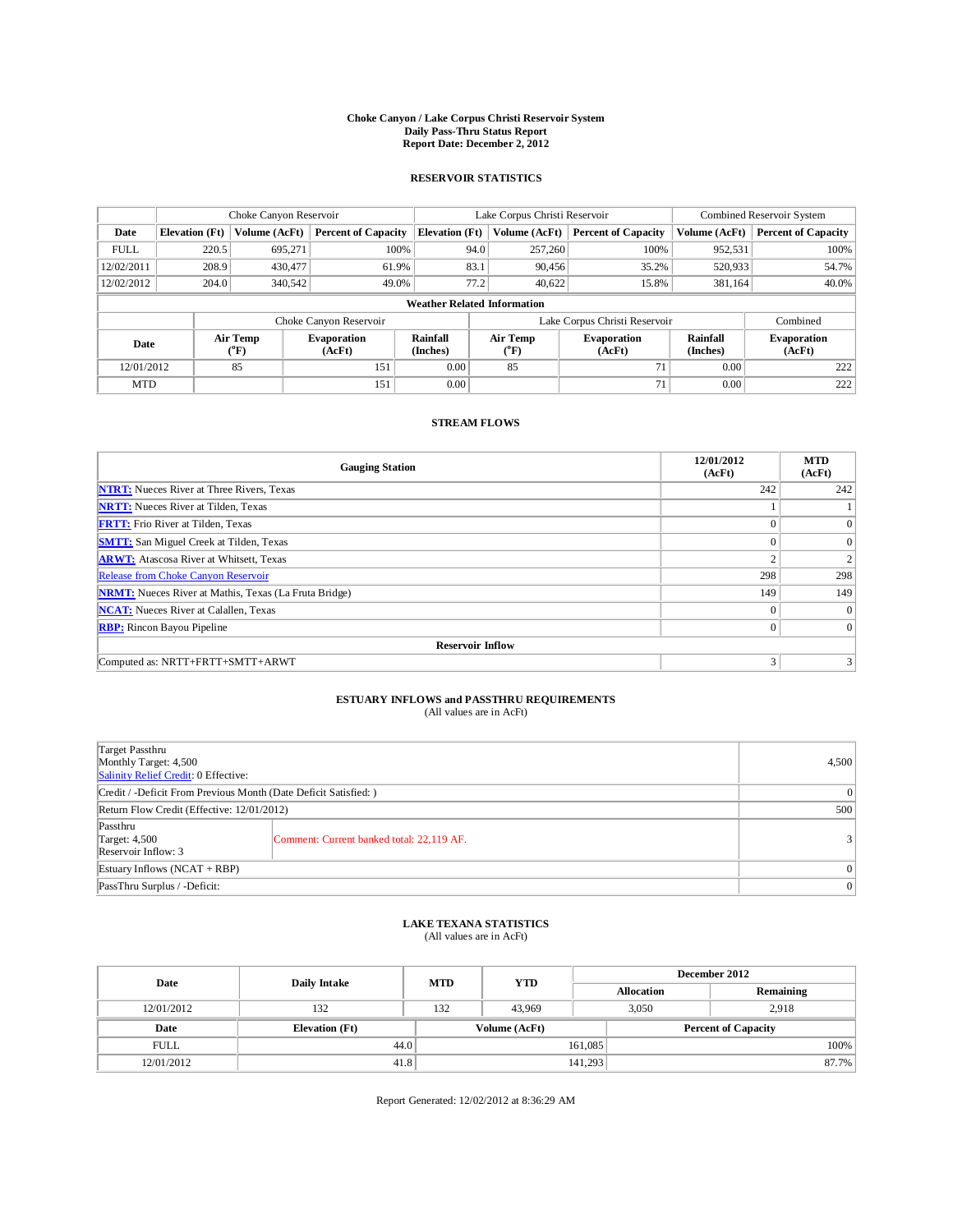## **Choke Canyon / Lake Corpus Christi Reservoir System Daily Pass-Thru Status Report Report Date: December 2, 2012**

#### **RESERVOIR STATISTICS**

|             |                       | Choke Canyon Reservoir |                              | Lake Corpus Christi Reservoir |                                     |         |                              | Combined Reservoir System   |                              |  |
|-------------|-----------------------|------------------------|------------------------------|-------------------------------|-------------------------------------|---------|------------------------------|-----------------------------|------------------------------|--|
| Date        | <b>Elevation</b> (Ft) | Volume (AcFt)          | <b>Percent of Capacity</b>   | <b>Elevation</b> (Ft)         | Volume (AcFt)                       |         | <b>Percent of Capacity</b>   | Volume (AcFt)               | <b>Percent of Capacity</b>   |  |
| <b>FULL</b> | 220.5                 | 695,271                | 100%                         |                               | 94.0                                | 257,260 | 100%                         | 952,531                     | 100%                         |  |
| 12/02/2011  | 208.9                 | 430,477                | 61.9%                        |                               | 83.1                                | 90,456  | 35.2%                        | 520,933                     | 54.7%                        |  |
| 12/02/2012  | 204.0                 | 340,542                | 49.0%                        |                               | 77.2                                | 40,622  | 15.8%                        | 381,164                     | 40.0%                        |  |
|             |                       |                        |                              |                               | <b>Weather Related Information</b>  |         |                              |                             |                              |  |
|             |                       |                        | Choke Canyon Reservoir       |                               | Lake Corpus Christi Reservoir       |         |                              |                             | Combined                     |  |
| Date        |                       | Air Temp<br>(°F)       | <b>Evaporation</b><br>(AcFt) | Rainfall<br>(Inches)          | <b>Air Temp</b><br>$\rm ^{(^o}\!F)$ |         | <b>Evaporation</b><br>(AcFt) | <b>Rainfall</b><br>(Inches) | <b>Evaporation</b><br>(AcFt) |  |
| 12/01/2012  | 85<br>151             |                        | 0.00                         | 85                            |                                     | 71      | 0.00                         | 222                         |                              |  |
| <b>MTD</b>  |                       |                        | 151                          | 0.00                          |                                     |         | 71                           | 0.00                        | 222                          |  |

### **STREAM FLOWS**

| <b>Gauging Station</b>                                       | 12/01/2012<br>(AcFt) | <b>MTD</b><br>(AcFt) |  |  |  |  |
|--------------------------------------------------------------|----------------------|----------------------|--|--|--|--|
| <b>NTRT:</b> Nueces River at Three Rivers, Texas             | 242                  | 242                  |  |  |  |  |
| <b>NRTT:</b> Nueces River at Tilden, Texas                   |                      |                      |  |  |  |  |
| <b>FRTT:</b> Frio River at Tilden, Texas                     | $\theta$             | $\overline{0}$       |  |  |  |  |
| <b>SMTT:</b> San Miguel Creek at Tilden, Texas               | $\theta$             | $\theta$             |  |  |  |  |
| <b>ARWT:</b> Atascosa River at Whitsett, Texas               | 2                    |                      |  |  |  |  |
| Release from Choke Canyon Reservoir                          | 298                  | 298                  |  |  |  |  |
| <b>NRMT:</b> Nueces River at Mathis, Texas (La Fruta Bridge) | 149                  | 149                  |  |  |  |  |
| <b>NCAT:</b> Nueces River at Calallen, Texas                 | $\Omega$             | $\Omega$             |  |  |  |  |
| <b>RBP:</b> Rincon Bayou Pipeline                            | $\mathbf{0}$         | $\Omega$             |  |  |  |  |
| <b>Reservoir Inflow</b>                                      |                      |                      |  |  |  |  |
| Computed as: NRTT+FRTT+SMTT+ARWT                             | 3                    |                      |  |  |  |  |

# **ESTUARY INFLOWS and PASSTHRU REQUIREMENTS**<br>(All values are in AcFt)

| <b>Target Passthru</b>                                           |                                           |          |
|------------------------------------------------------------------|-------------------------------------------|----------|
| Monthly Target: 4,500                                            |                                           | 4,500    |
| Salinity Relief Credit: 0 Effective:                             |                                           |          |
| Credit / -Deficit From Previous Month (Date Deficit Satisfied: ) |                                           | $\theta$ |
| Return Flow Credit (Effective: 12/01/2012)                       |                                           | 500      |
| Passthru                                                         |                                           |          |
| Target: 4,500                                                    | Comment: Current banked total: 22,119 AF. |          |
| Reservoir Inflow: 3                                              |                                           |          |
| Estuary Inflows $(NCAT + RBP)$                                   |                                           | $\theta$ |

## **LAKE TEXANA STATISTICS** (All values are in AcFt)

PassThru Surplus / -Deficit: 0

| Date        | Daily Intake          | <b>MTD</b> | <b>YTD</b>    | December 2012     |                            |           |  |
|-------------|-----------------------|------------|---------------|-------------------|----------------------------|-----------|--|
|             |                       |            |               | <b>Allocation</b> |                            | Remaining |  |
| 12/01/2012  | 132                   | 132        | 43,969        |                   | 2,918<br>3,050             |           |  |
| Date        | <b>Elevation</b> (Ft) |            | Volume (AcFt) |                   | <b>Percent of Capacity</b> |           |  |
| <b>FULL</b> | 44.0                  |            |               | 161,085           |                            | 100%      |  |
| 12/01/2012  | 41.8                  |            |               | 141,293           |                            | 87.7%     |  |

Report Generated: 12/02/2012 at 8:36:29 AM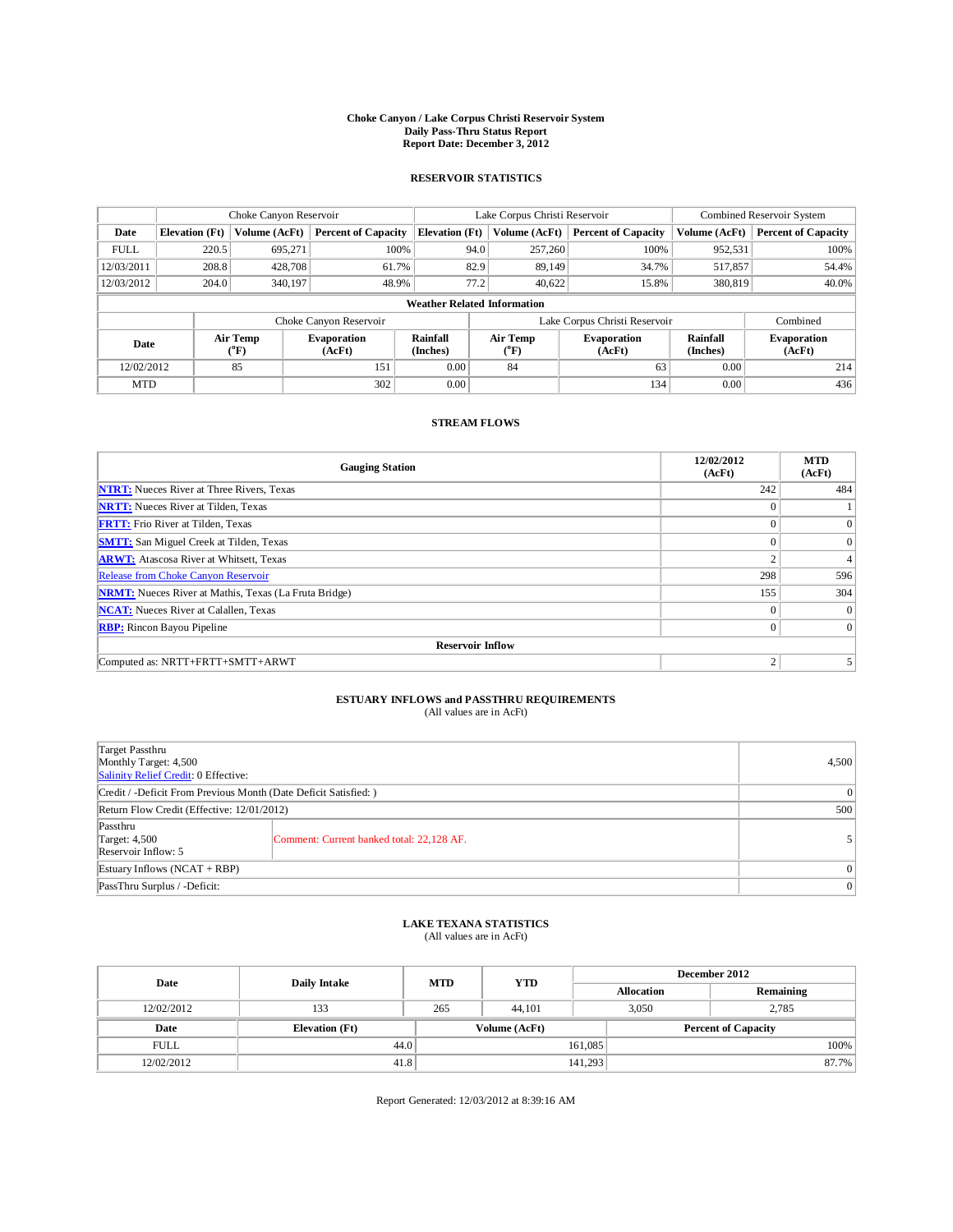## **Choke Canyon / Lake Corpus Christi Reservoir System Daily Pass-Thru Status Report Report Date: December 3, 2012**

#### **RESERVOIR STATISTICS**

|             |                       | Choke Canyon Reservoir |                              |                                    | Lake Corpus Christi Reservoir       | Combined Reservoir System    |                             |                              |
|-------------|-----------------------|------------------------|------------------------------|------------------------------------|-------------------------------------|------------------------------|-----------------------------|------------------------------|
| Date        | <b>Elevation</b> (Ft) | Volume (AcFt)          | <b>Percent of Capacity</b>   | <b>Elevation</b> (Ft)              | Volume (AcFt)                       | <b>Percent of Capacity</b>   | Volume (AcFt)               | <b>Percent of Capacity</b>   |
| <b>FULL</b> | 220.5                 | 695,271                | 100%                         | 94.0                               | 257,260                             | 100%                         | 952,531                     | 100%                         |
| 12/03/2011  | 208.8                 | 428,708                | 61.7%                        | 82.9                               | 89.149                              | 34.7%                        | 517,857                     | 54.4%                        |
| 12/03/2012  | 204.0                 | 340.197                | 48.9%                        | 77.2                               | 40,622                              | 15.8%                        | 380,819                     | 40.0%                        |
|             |                       |                        |                              | <b>Weather Related Information</b> |                                     |                              |                             |                              |
|             |                       |                        | Choke Canyon Reservoir       |                                    | Lake Corpus Christi Reservoir       | Combined                     |                             |                              |
| Date        |                       | Air Temp<br>(°F)       | <b>Evaporation</b><br>(AcFt) | <b>Rainfall</b><br>(Inches)        | <b>Air Temp</b><br>$\rm ^{(^o}\!F)$ | <b>Evaporation</b><br>(AcFt) | <b>Rainfall</b><br>(Inches) | <b>Evaporation</b><br>(AcFt) |
| 12/02/2012  | 85<br>151             |                        | 0.00                         | 84                                 | 63                                  | 0.00                         | 214                         |                              |
| <b>MTD</b>  |                       |                        | 302                          | 0.00                               |                                     | 134                          | 0.00                        | 436                          |

#### **STREAM FLOWS**

| <b>Gauging Station</b>                                       | 12/02/2012<br>(AcFt) | <b>MTD</b><br>(AcFt) |  |  |  |  |
|--------------------------------------------------------------|----------------------|----------------------|--|--|--|--|
| <b>NTRT:</b> Nueces River at Three Rivers, Texas             | 242                  | 484                  |  |  |  |  |
| <b>NRTT:</b> Nueces River at Tilden, Texas                   | $\Omega$             |                      |  |  |  |  |
| <b>FRTT:</b> Frio River at Tilden, Texas                     | $\Omega$             | $\overline{0}$       |  |  |  |  |
| <b>SMTT:</b> San Miguel Creek at Tilden, Texas               | $\Omega$             | $\overline{0}$       |  |  |  |  |
| <b>ARWT:</b> Atascosa River at Whitsett, Texas               | $\mathfrak{2}$       | $\overline{4}$       |  |  |  |  |
| Release from Choke Canyon Reservoir                          | 298                  | 596                  |  |  |  |  |
| <b>NRMT:</b> Nueces River at Mathis, Texas (La Fruta Bridge) | 155                  | 304                  |  |  |  |  |
| <b>NCAT:</b> Nueces River at Calallen, Texas                 | $\Omega$             | $\theta$             |  |  |  |  |
| <b>RBP:</b> Rincon Bayou Pipeline                            | $\mathbf{0}$         | $\overline{0}$       |  |  |  |  |
| <b>Reservoir Inflow</b>                                      |                      |                      |  |  |  |  |
| Computed as: NRTT+FRTT+SMTT+ARWT                             | $\overline{2}$       | 5                    |  |  |  |  |

# **ESTUARY INFLOWS and PASSTHRU REQUIREMENTS**<br>(All values are in AcFt)

|                                            | $(1.11.1)$ . and $0.01.01.1$ . The state $(1)$                   |          |  |  |
|--------------------------------------------|------------------------------------------------------------------|----------|--|--|
|                                            |                                                                  |          |  |  |
| Target Passthru                            |                                                                  |          |  |  |
| Monthly Target: 4,500                      |                                                                  |          |  |  |
| Salinity Relief Credit: 0 Effective:       |                                                                  |          |  |  |
|                                            | Credit / -Deficit From Previous Month (Date Deficit Satisfied: ) | $\theta$ |  |  |
| Return Flow Credit (Effective: 12/01/2012) |                                                                  | 500      |  |  |
| Passthru                                   |                                                                  |          |  |  |
| Target: 4,500                              | Comment: Current banked total: 22,128 AF.                        |          |  |  |
| Reservoir Inflow: 5                        |                                                                  |          |  |  |
| Estuary Inflows $(NCAT + RBP)$             |                                                                  | $\theta$ |  |  |

## **LAKE TEXANA STATISTICS** (All values are in AcFt)

PassThru Surplus / -Deficit: 0

| Date        |                       | <b>MTD</b> | <b>YTD</b>    | December 2012     |       |                            |  |  |
|-------------|-----------------------|------------|---------------|-------------------|-------|----------------------------|--|--|
|             | Daily Intake          |            |               | <b>Allocation</b> |       | Remaining                  |  |  |
| 12/02/2012  | 133                   | 265        | 44.101        |                   | 3.050 | 2,785                      |  |  |
| Date        | <b>Elevation</b> (Ft) |            | Volume (AcFt) |                   |       | <b>Percent of Capacity</b> |  |  |
| <b>FULL</b> | 44.0                  |            |               | 161,085           |       | 100%                       |  |  |
| 12/02/2012  | 41.8                  |            |               | 141,293           |       | 87.7%                      |  |  |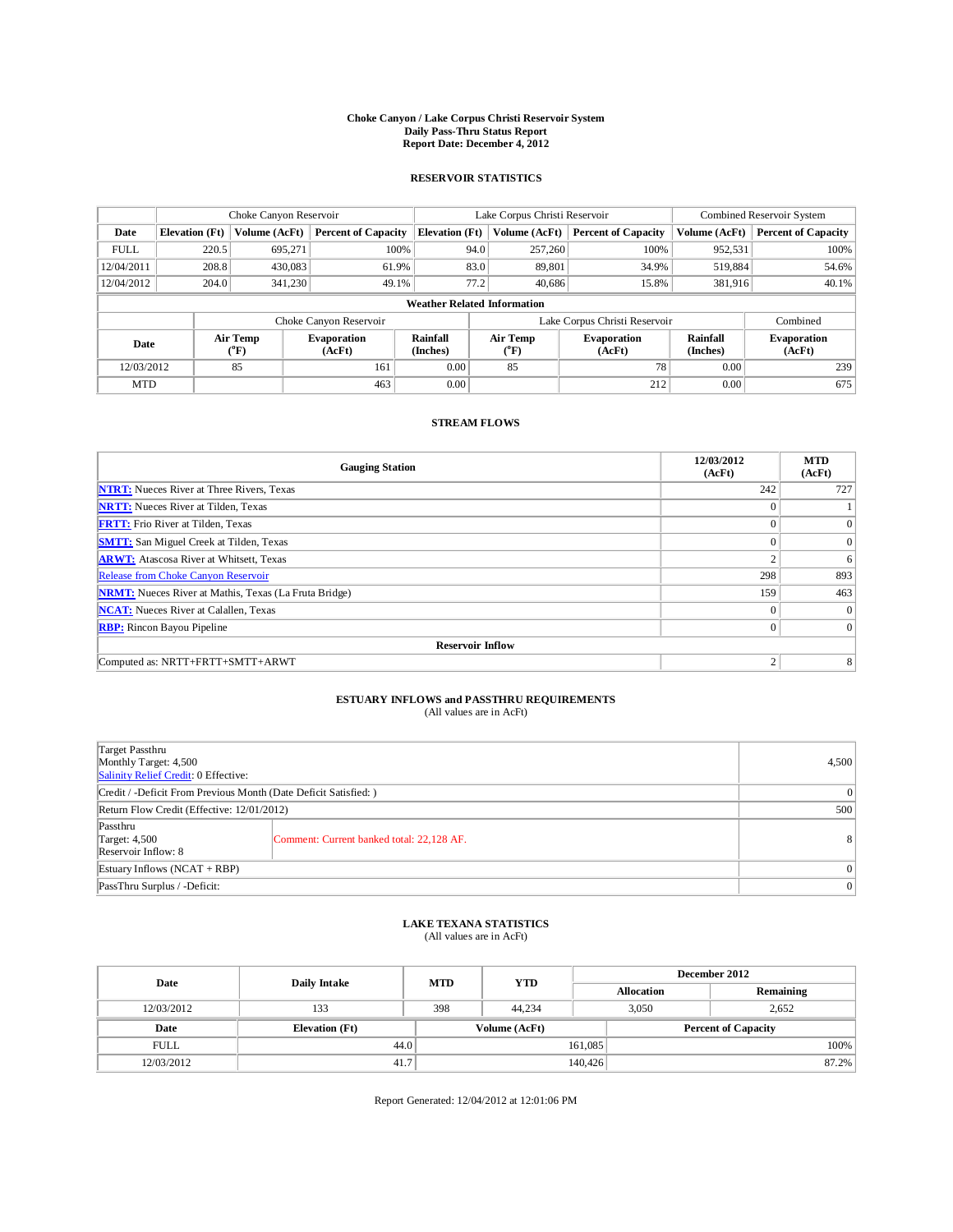## **Choke Canyon / Lake Corpus Christi Reservoir System Daily Pass-Thru Status Report Report Date: December 4, 2012**

### **RESERVOIR STATISTICS**

|                                                                                  | Choke Canyon Reservoir             |                                   |                              |                       | Lake Corpus Christi Reservoir |                               |                            |               | Combined Reservoir System  |  |  |
|----------------------------------------------------------------------------------|------------------------------------|-----------------------------------|------------------------------|-----------------------|-------------------------------|-------------------------------|----------------------------|---------------|----------------------------|--|--|
| Date                                                                             | <b>Elevation</b> (Ft)              | Volume (AcFt)                     | <b>Percent of Capacity</b>   | <b>Elevation</b> (Ft) |                               | Volume (AcFt)                 | <b>Percent of Capacity</b> | Volume (AcFt) | <b>Percent of Capacity</b> |  |  |
| <b>FULL</b>                                                                      | 220.5                              | 695.271                           | 100%                         |                       | 94.0                          | 257,260                       | 100%                       | 952,531       | 100%                       |  |  |
| 12/04/2011                                                                       | 208.8                              | 430,083                           | 61.9%                        |                       | 83.0                          | 89,801                        | 34.9%                      | 519,884       | 54.6%                      |  |  |
| 12/04/2012                                                                       | 204.0                              | 341,230                           | 49.1%                        |                       | 77.2                          | 40,686                        | 15.8%                      | 381,916       | 40.1%                      |  |  |
|                                                                                  | <b>Weather Related Information</b> |                                   |                              |                       |                               |                               |                            |               |                            |  |  |
|                                                                                  |                                    |                                   | Choke Canyon Reservoir       |                       |                               | Lake Corpus Christi Reservoir | Combined                   |               |                            |  |  |
| Rainfall<br>Air Temp<br><b>Evaporation</b><br>Date<br>(°F)<br>(Inches)<br>(AcFt) |                                    | <b>Air Temp</b><br>$\rm ^{(^oF)}$ | <b>Evaporation</b><br>(AcFt) | Rainfall<br>(Inches)  | <b>Evaporation</b><br>(AcFt)  |                               |                            |               |                            |  |  |
| 12/03/2012                                                                       |                                    | 85                                | 161                          | 0.00                  |                               | 85                            | 78                         | 0.00          | 239                        |  |  |
| <b>MTD</b>                                                                       |                                    |                                   | 463                          | 0.00                  |                               |                               | 212                        | 0.00          | 675                        |  |  |

### **STREAM FLOWS**

| <b>Gauging Station</b>                                       | 12/03/2012<br>(AcFt) | <b>MTD</b><br>(AcFt) |  |  |  |  |  |  |
|--------------------------------------------------------------|----------------------|----------------------|--|--|--|--|--|--|
| <b>NTRT:</b> Nueces River at Three Rivers, Texas             | 242                  | 727                  |  |  |  |  |  |  |
| <b>NRTT:</b> Nueces River at Tilden, Texas                   | $\Omega$             |                      |  |  |  |  |  |  |
| <b>FRTT:</b> Frio River at Tilden, Texas                     | $\Omega$             | $\overline{0}$       |  |  |  |  |  |  |
| <b>SMTT:</b> San Miguel Creek at Tilden, Texas               | $\Omega$             | $\overline{0}$       |  |  |  |  |  |  |
| <b>ARWT:</b> Atascosa River at Whitsett, Texas               | $\mathfrak{2}$       | 6                    |  |  |  |  |  |  |
| Release from Choke Canyon Reservoir                          | 298                  | 893                  |  |  |  |  |  |  |
| <b>NRMT:</b> Nueces River at Mathis, Texas (La Fruta Bridge) | 159                  | 463                  |  |  |  |  |  |  |
| <b>NCAT:</b> Nueces River at Calallen, Texas                 | $\Omega$             | $\theta$             |  |  |  |  |  |  |
| <b>RBP:</b> Rincon Bayou Pipeline                            | $\mathbf{0}$         | $\Omega$             |  |  |  |  |  |  |
| <b>Reservoir Inflow</b>                                      |                      |                      |  |  |  |  |  |  |
| Computed as: NRTT+FRTT+SMTT+ARWT                             | $\overline{2}$       | 8                    |  |  |  |  |  |  |

# **ESTUARY INFLOWS and PASSTHRU REQUIREMENTS**<br>(All values are in AcFt)

| Target Passthru<br>Monthly Target: 4,500<br>Salinity Relief Credit: 0 Effective: |                                           |   |  |  |  |
|----------------------------------------------------------------------------------|-------------------------------------------|---|--|--|--|
| Credit / -Deficit From Previous Month (Date Deficit Satisfied: )                 |                                           |   |  |  |  |
| Return Flow Credit (Effective: 12/01/2012)                                       |                                           |   |  |  |  |
| Passthru<br><b>Target: 4,500</b><br>Reservoir Inflow: 8                          | Comment: Current banked total: 22,128 AF. | 8 |  |  |  |
| Estuary Inflows $(NCAT + RBP)$                                                   |                                           |   |  |  |  |
| PassThru Surplus / -Deficit:                                                     | $\overline{0}$                            |   |  |  |  |

## **LAKE TEXANA STATISTICS** (All values are in AcFt)

| Date        | Daily Intake          | <b>MTD</b> | <b>YTD</b>    | December 2012     |                            |           |         |
|-------------|-----------------------|------------|---------------|-------------------|----------------------------|-----------|---------|
|             |                       |            |               | <b>Allocation</b> |                            | Remaining |         |
| 12/03/2012  | 133                   | 398        | 44.234        |                   | 3.050                      | 2.652     |         |
| Date        | <b>Elevation</b> (Ft) |            | Volume (AcFt) |                   | <b>Percent of Capacity</b> |           |         |
| <b>FULL</b> |                       | 44.0       |               | 161,085           |                            |           | $100\%$ |
| 12/03/2012  | 41.7                  |            |               | 140,426           |                            |           | 87.2%   |

Report Generated: 12/04/2012 at 12:01:06 PM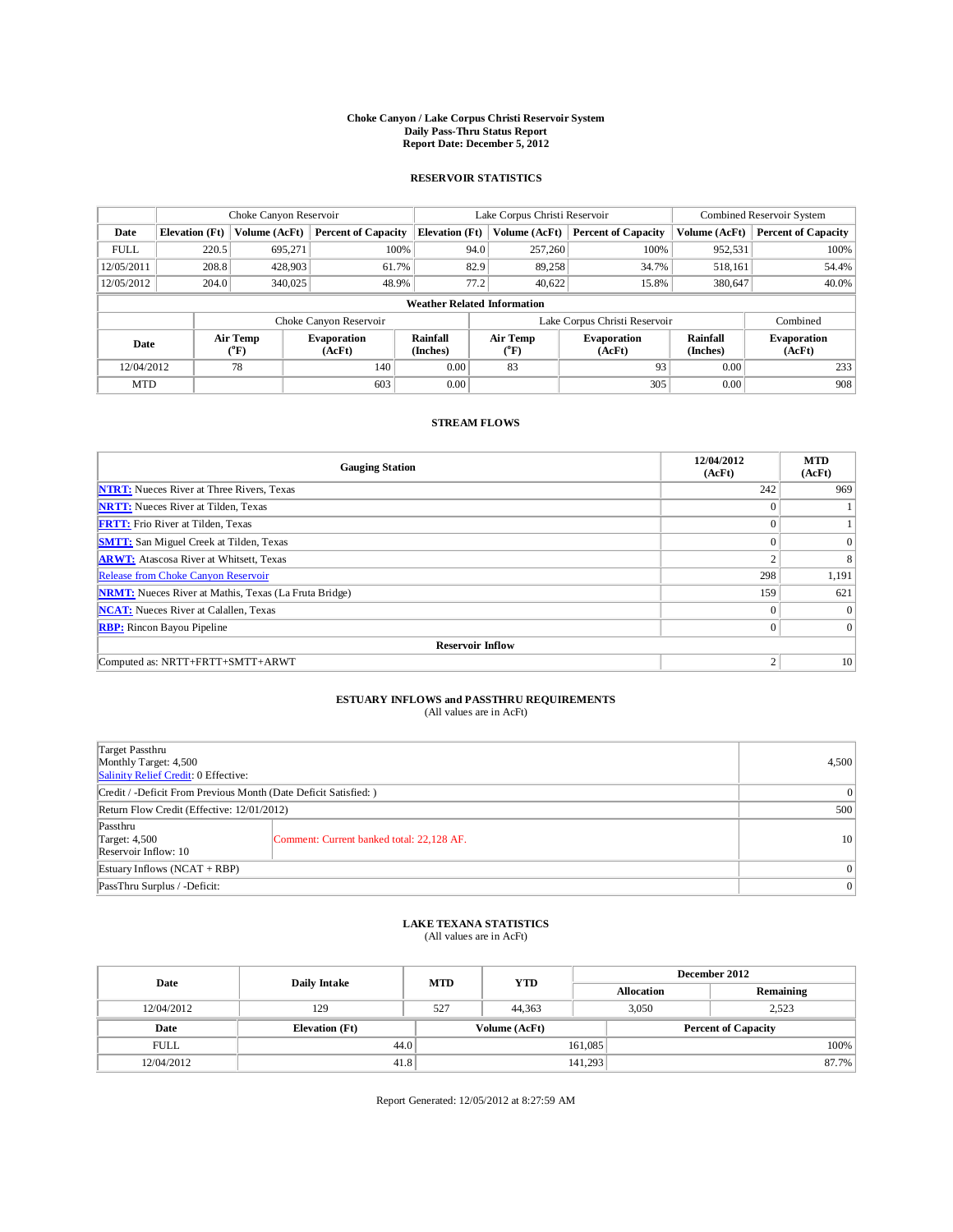## **Choke Canyon / Lake Corpus Christi Reservoir System Daily Pass-Thru Status Report Report Date: December 5, 2012**

#### **RESERVOIR STATISTICS**

|             | Choke Canyon Reservoir                                                                                         |               |                            |                              | Lake Corpus Christi Reservoir |                              |                            |               | Combined Reservoir System  |  |  |
|-------------|----------------------------------------------------------------------------------------------------------------|---------------|----------------------------|------------------------------|-------------------------------|------------------------------|----------------------------|---------------|----------------------------|--|--|
| Date        | <b>Elevation</b> (Ft)                                                                                          | Volume (AcFt) | <b>Percent of Capacity</b> | <b>Elevation</b> (Ft)        |                               | Volume (AcFt)                | <b>Percent of Capacity</b> | Volume (AcFt) | <b>Percent of Capacity</b> |  |  |
| <b>FULL</b> | 220.5                                                                                                          | 695.271       | 100%                       |                              | 94.0                          | 257,260                      | 100%                       | 952,531       | 100%                       |  |  |
| 12/05/2011  | 208.8                                                                                                          | 428,903       | 61.7%                      |                              | 82.9                          | 89.258                       | 34.7%                      | 518,161       | 54.4%                      |  |  |
| 12/05/2012  | 204.0                                                                                                          | 340,025       | 48.9%                      |                              | 77.2                          | 40,622                       | 15.8%                      | 380,647       | 40.0%                      |  |  |
|             | <b>Weather Related Information</b>                                                                             |               |                            |                              |                               |                              |                            |               |                            |  |  |
|             |                                                                                                                |               | Choke Canyon Reservoir     |                              | Lake Corpus Christi Reservoir |                              |                            |               |                            |  |  |
|             | Rainfall<br>Air Temp<br>Air Temp<br><b>Evaporation</b><br>Date<br>(°F)<br>(Inches)<br>$\rm ^{(^oF)}$<br>(AcFt) |               |                            | <b>Evaporation</b><br>(AcFt) | Rainfall<br>(Inches)          | <b>Evaporation</b><br>(AcFt) |                            |               |                            |  |  |
| 12/04/2012  |                                                                                                                | 78            | 140                        | 0.00                         |                               | 83                           | 93                         | 0.00          | 233                        |  |  |
| <b>MTD</b>  |                                                                                                                |               | 603                        | 0.00                         |                               |                              | 305                        | 0.00          | 908                        |  |  |

#### **STREAM FLOWS**

| <b>Gauging Station</b>                                       | 12/04/2012<br>(AcFt) | <b>MTD</b><br>(AcFt) |  |  |  |  |  |  |
|--------------------------------------------------------------|----------------------|----------------------|--|--|--|--|--|--|
| <b>NTRT:</b> Nueces River at Three Rivers, Texas             | 242                  | 969                  |  |  |  |  |  |  |
| <b>NRTT:</b> Nueces River at Tilden, Texas                   | $\Omega$             |                      |  |  |  |  |  |  |
| <b>FRTT:</b> Frio River at Tilden, Texas                     | $\Omega$             |                      |  |  |  |  |  |  |
| <b>SMTT:</b> San Miguel Creek at Tilden, Texas               | $\Omega$             | $\mathbf{0}$         |  |  |  |  |  |  |
| <b>ARWT:</b> Atascosa River at Whitsett, Texas               | $\mathfrak{2}$       | 8                    |  |  |  |  |  |  |
| Release from Choke Canyon Reservoir                          | 298                  | 1,191                |  |  |  |  |  |  |
| <b>NRMT:</b> Nueces River at Mathis, Texas (La Fruta Bridge) | 159                  | 621                  |  |  |  |  |  |  |
| <b>NCAT:</b> Nueces River at Calallen, Texas                 | $\Omega$             | $\theta$             |  |  |  |  |  |  |
| <b>RBP:</b> Rincon Bayou Pipeline                            | $\mathbf{0}$         | $\overline{0}$       |  |  |  |  |  |  |
| <b>Reservoir Inflow</b>                                      |                      |                      |  |  |  |  |  |  |
| Computed as: NRTT+FRTT+SMTT+ARWT                             | $\overline{2}$       | 10                   |  |  |  |  |  |  |

# **ESTUARY INFLOWS and PASSTHRU REQUIREMENTS**<br>(All values are in AcFt)

4,500

| Target Passthru<br>Monthly Target: 4,500<br><b>Salinity Relief Credit: 0 Effective:</b> |  |
|-----------------------------------------------------------------------------------------|--|
| Credit / -Deficit From Previous Month (Date Deficit Satisfied: )                        |  |

| Credit / -Deficit From Previous Month (Date Deficit Satisfied: )                                      | $\theta$ |
|-------------------------------------------------------------------------------------------------------|----------|
| Return Flow Credit (Effective: 12/01/2012)                                                            | 500      |
| Passthru<br><b>Target: 4,500</b><br>Comment: Current banked total: 22.128 AF.<br>Reservoir Inflow: 10 | 10       |
| Estuary Inflows $(NCAT + RBP)$                                                                        | $\Omega$ |
| PassThru Surplus / -Deficit:                                                                          | $\Omega$ |

## **LAKE TEXANA STATISTICS** (All values are in AcFt)

| Date        | Daily Intake          | <b>MTD</b> | <b>YTD</b>    | December 2012     |  |                            |       |  |
|-------------|-----------------------|------------|---------------|-------------------|--|----------------------------|-------|--|
|             |                       |            |               | <b>Allocation</b> |  | Remaining                  |       |  |
| 12/04/2012  | 129                   | 527        | 44.363        | 3.050             |  | 2.523                      |       |  |
| Date        | <b>Elevation</b> (Ft) |            | Volume (AcFt) |                   |  | <b>Percent of Capacity</b> |       |  |
| <b>FULL</b> |                       | 44.0       |               | 161,085           |  |                            | 100%  |  |
| 12/04/2012  | 41.8                  |            |               | 141,293           |  |                            | 87.7% |  |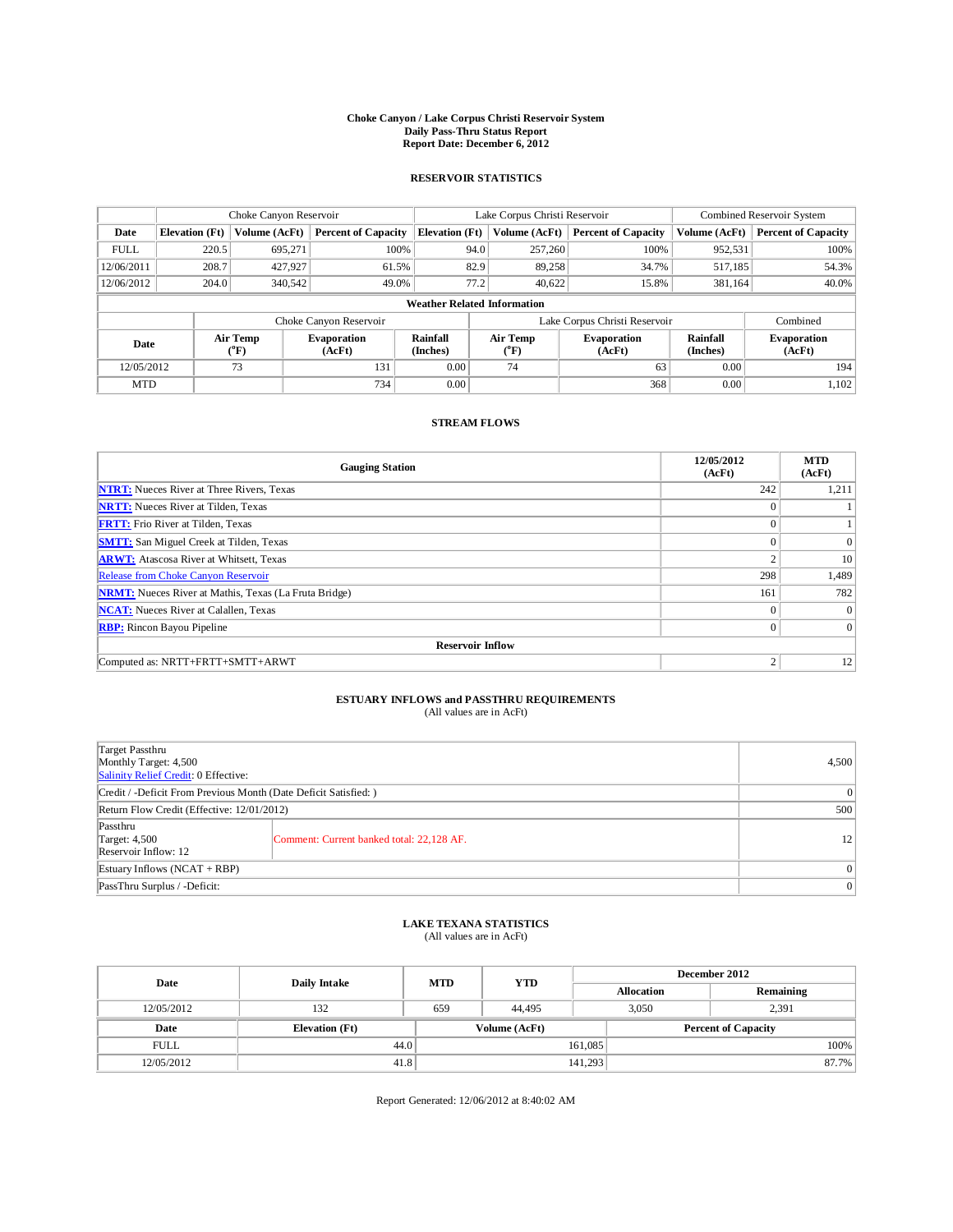## **Choke Canyon / Lake Corpus Christi Reservoir System Daily Pass-Thru Status Report Report Date: December 6, 2012**

### **RESERVOIR STATISTICS**

|                               | Choke Canyon Reservoir             |               |                              |                       | Lake Corpus Christi Reservoir |                        |                              |                             | Combined Reservoir System    |  |  |
|-------------------------------|------------------------------------|---------------|------------------------------|-----------------------|-------------------------------|------------------------|------------------------------|-----------------------------|------------------------------|--|--|
| Date                          | <b>Elevation</b> (Ft)              | Volume (AcFt) | <b>Percent of Capacity</b>   | <b>Elevation</b> (Ft) |                               | Volume (AcFt)          | <b>Percent of Capacity</b>   | Volume (AcFt)               | <b>Percent of Capacity</b>   |  |  |
| <b>FULL</b>                   | 220.5                              | 695.271       | 100%                         |                       | 94.0                          | 257,260                | 100%                         | 952,531                     | 100%                         |  |  |
| 12/06/2011                    | 208.7                              | 427.927       | 61.5%                        |                       | 82.9                          | 89.258                 | 34.7%                        | 517,185                     | 54.3%                        |  |  |
| 12/06/2012                    | 204.0                              | 340,542       | 49.0%                        |                       | 77.2                          | 40,622                 | 15.8%                        | 381.164                     | 40.0%                        |  |  |
|                               | <b>Weather Related Information</b> |               |                              |                       |                               |                        |                              |                             |                              |  |  |
|                               |                                    |               | Choke Canyon Reservoir       |                       | Lake Corpus Christi Reservoir |                        |                              |                             | Combined                     |  |  |
| Air Temp<br>Date<br>$(^{0}F)$ |                                    |               | <b>Evaporation</b><br>(AcFt) | Rainfall<br>(Inches)  |                               | <b>Air Temp</b><br>(°F | <b>Evaporation</b><br>(AcFt) | <b>Rainfall</b><br>(Inches) | <b>Evaporation</b><br>(AcFt) |  |  |
| 12/05/2012                    |                                    | 73            | 131                          | 0.00                  |                               | 74                     | 63                           | 0.00                        | 194                          |  |  |
| <b>MTD</b>                    |                                    |               | 734                          | 0.00                  |                               |                        | 368                          | 0.00                        | 1,102                        |  |  |

### **STREAM FLOWS**

| <b>Gauging Station</b>                                       | 12/05/2012<br>(AcFt) | <b>MTD</b><br>(AcFt) |  |  |  |  |  |  |
|--------------------------------------------------------------|----------------------|----------------------|--|--|--|--|--|--|
| <b>NTRT:</b> Nueces River at Three Rivers, Texas             | 242                  | 1,211                |  |  |  |  |  |  |
| <b>NRTT:</b> Nueces River at Tilden, Texas                   | $\Omega$             |                      |  |  |  |  |  |  |
| <b>FRTT:</b> Frio River at Tilden, Texas                     | $\Omega$             |                      |  |  |  |  |  |  |
| <b>SMTT:</b> San Miguel Creek at Tilden, Texas               | $\Omega$             | $\overline{0}$       |  |  |  |  |  |  |
| <b>ARWT:</b> Atascosa River at Whitsett, Texas               | $\mathfrak{2}$       | 10                   |  |  |  |  |  |  |
| Release from Choke Canyon Reservoir                          | 298                  | 1,489                |  |  |  |  |  |  |
| <b>NRMT:</b> Nueces River at Mathis, Texas (La Fruta Bridge) | 161                  | 782                  |  |  |  |  |  |  |
| <b>NCAT:</b> Nueces River at Calallen, Texas                 | $\Omega$             |                      |  |  |  |  |  |  |
| <b>RBP:</b> Rincon Bayou Pipeline                            | $\mathbf{0}$         | $\overline{0}$       |  |  |  |  |  |  |
| <b>Reservoir Inflow</b>                                      |                      |                      |  |  |  |  |  |  |
| Computed as: NRTT+FRTT+SMTT+ARWT                             | 2                    | 12                   |  |  |  |  |  |  |

# **ESTUARY INFLOWS and PASSTHRU REQUIREMENTS**<br>(All values are in AcFt)

| Target Passthru<br>Monthly Target: 4,500<br>Salinity Relief Credit: 0 Effective: |                                           |                |  |  |  |
|----------------------------------------------------------------------------------|-------------------------------------------|----------------|--|--|--|
| Credit / -Deficit From Previous Month (Date Deficit Satisfied: )                 |                                           |                |  |  |  |
| Return Flow Credit (Effective: 12/01/2012)                                       |                                           |                |  |  |  |
| Passthru<br>Target: $4,500$<br>Reservoir Inflow: 12                              | Comment: Current banked total: 22,128 AF. | 12             |  |  |  |
| Estuary Inflows $(NCAT + RBP)$                                                   |                                           |                |  |  |  |
| PassThru Surplus / -Deficit:                                                     |                                           | $\overline{0}$ |  |  |  |

## **LAKE TEXANA STATISTICS** (All values are in AcFt)

| Date        | Daily Intake          | <b>MTD</b> | <b>YTD</b>    | December 2012 |                   |                            |  |
|-------------|-----------------------|------------|---------------|---------------|-------------------|----------------------------|--|
|             |                       |            |               |               | <b>Allocation</b> | Remaining                  |  |
| 12/05/2012  | 132                   | 659        | 44.495        |               | 3.050             | 2.391                      |  |
| Date        | <b>Elevation</b> (Ft) |            | Volume (AcFt) |               |                   | <b>Percent of Capacity</b> |  |
| <b>FULL</b> |                       | 44.0       |               | 161,085       |                   | 100%                       |  |
| 12/05/2012  | 41.8                  |            |               | 141,293       |                   | 87.7%                      |  |

Report Generated: 12/06/2012 at 8:40:02 AM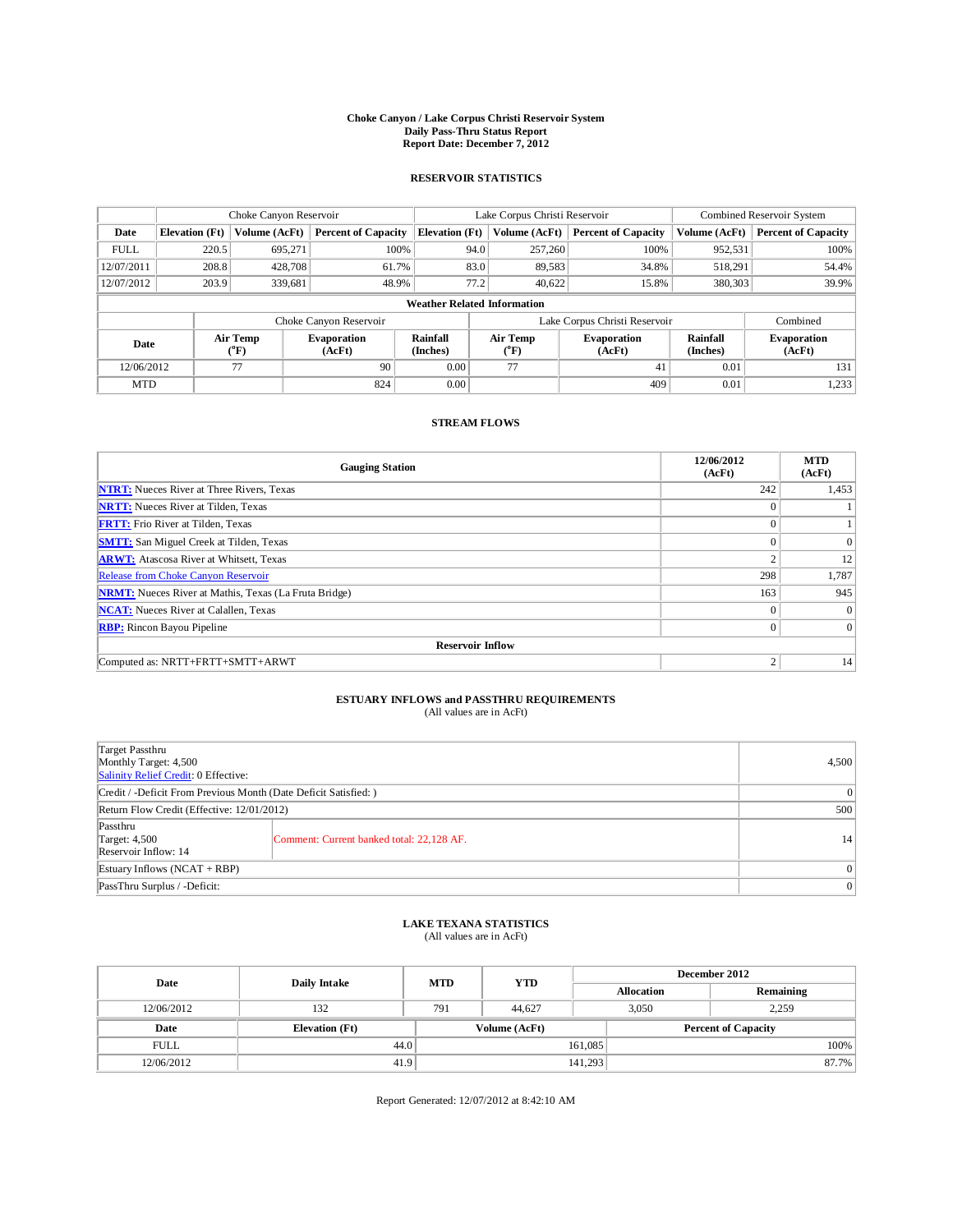## **Choke Canyon / Lake Corpus Christi Reservoir System Daily Pass-Thru Status Report Report Date: December 7, 2012**

### **RESERVOIR STATISTICS**

|             | Choke Canyon Reservoir |                  |                              |                                    | Lake Corpus Christi Reservoir |                                                        |                               |                             | Combined Reservoir System    |  |  |
|-------------|------------------------|------------------|------------------------------|------------------------------------|-------------------------------|--------------------------------------------------------|-------------------------------|-----------------------------|------------------------------|--|--|
| Date        | <b>Elevation</b> (Ft)  | Volume (AcFt)    | <b>Percent of Capacity</b>   | <b>Elevation</b> (Ft)              |                               | Volume (AcFt)                                          | <b>Percent of Capacity</b>    | Volume (AcFt)               | <b>Percent of Capacity</b>   |  |  |
| <b>FULL</b> | 220.5                  | 695,271          | 100%                         |                                    | 94.0                          | 257,260                                                | 100%                          | 952,531                     | 100%                         |  |  |
| 12/07/2011  | 208.8                  | 428,708          | 61.7%                        |                                    | 83.0                          | 89,583                                                 | 34.8%                         | 518,291                     | 54.4%                        |  |  |
| 12/07/2012  | 203.9                  | 339.681          | 48.9%                        |                                    | 77.2<br>40.622                |                                                        | 15.8%                         | 380,303                     | 39.9%                        |  |  |
|             |                        |                  |                              | <b>Weather Related Information</b> |                               |                                                        |                               |                             |                              |  |  |
|             |                        |                  | Choke Canyon Reservoir       |                                    |                               |                                                        | Lake Corpus Christi Reservoir |                             | Combined                     |  |  |
| Date        |                        | Air Temp<br>(°F) | <b>Evaporation</b><br>(AcFt) | <b>Rainfall</b><br>(Inches)        |                               | <b>Air Temp</b><br><b>Evaporation</b><br>(°F<br>(AcFt) |                               | <b>Rainfall</b><br>(Inches) | <b>Evaporation</b><br>(AcFt) |  |  |
| 12/06/2012  |                        | 77               | 90                           | 0.00                               |                               | 77<br>41                                               |                               | 0.01                        | 131                          |  |  |
| <b>MTD</b>  |                        |                  | 824                          | 0.00                               |                               |                                                        | 409                           | 0.01                        | 1,233                        |  |  |

### **STREAM FLOWS**

| <b>Gauging Station</b>                                       | 12/06/2012<br>(AcFt) | <b>MTD</b><br>(AcFt) |
|--------------------------------------------------------------|----------------------|----------------------|
| <b>NTRT:</b> Nueces River at Three Rivers, Texas             | 242                  | 1,453                |
| <b>NRTT:</b> Nueces River at Tilden, Texas                   | $\mathbf{0}$         |                      |
| <b>FRTT:</b> Frio River at Tilden, Texas                     | $\mathbf{0}$         |                      |
| <b>SMTT:</b> San Miguel Creek at Tilden, Texas               | $\theta$             | $\theta$             |
| <b>ARWT:</b> Atascosa River at Whitsett, Texas               | $\overline{2}$       | 12                   |
| Release from Choke Canyon Reservoir                          | 298                  | 1,787                |
| <b>NRMT:</b> Nueces River at Mathis, Texas (La Fruta Bridge) | 163                  | 945                  |
| <b>NCAT:</b> Nueces River at Calallen, Texas                 | $\Omega$             | $\theta$             |
| <b>RBP:</b> Rincon Bayou Pipeline                            | $\mathbf{0}$         | $\Omega$             |
| <b>Reservoir Inflow</b>                                      |                      |                      |
| Computed as: NRTT+FRTT+SMTT+ARWT                             | 2                    | 14                   |

# **ESTUARY INFLOWS and PASSTHRU REQUIREMENTS**<br>(All values are in AcFt)

| Target Passthru<br>Monthly Target: 4,500<br>Salinity Relief Credit: 0 Effective: |                                           |                 |  |  |  |
|----------------------------------------------------------------------------------|-------------------------------------------|-----------------|--|--|--|
| Credit / -Deficit From Previous Month (Date Deficit Satisfied: )                 |                                           |                 |  |  |  |
| Return Flow Credit (Effective: 12/01/2012)                                       |                                           |                 |  |  |  |
| Passthru<br>Target: 4,500<br>Reservoir Inflow: 14                                | Comment: Current banked total: 22,128 AF. | 14 <sup>1</sup> |  |  |  |
| Estuary Inflows $(NCAT + RBP)$                                                   |                                           |                 |  |  |  |
| PassThru Surplus / -Deficit:                                                     |                                           | 0 <sup>1</sup>  |  |  |  |

## **LAKE TEXANA STATISTICS** (All values are in AcFt)

| Date        | <b>Daily Intake</b>   | <b>MTD</b> | <b>YTD</b>    | December 2012 |                   |                            |  |
|-------------|-----------------------|------------|---------------|---------------|-------------------|----------------------------|--|
|             |                       |            |               |               | <b>Allocation</b> | Remaining                  |  |
| 12/06/2012  | 132                   | 791        | 44.627        |               | 3.050             | 2.259                      |  |
| Date        | <b>Elevation</b> (Ft) |            | Volume (AcFt) |               |                   | <b>Percent of Capacity</b> |  |
| <b>FULL</b> | 44.0                  |            |               | 161,085       |                   | 100%                       |  |
| 12/06/2012  | 41.9                  |            |               | 141,293       |                   | 87.7%                      |  |

Report Generated: 12/07/2012 at 8:42:10 AM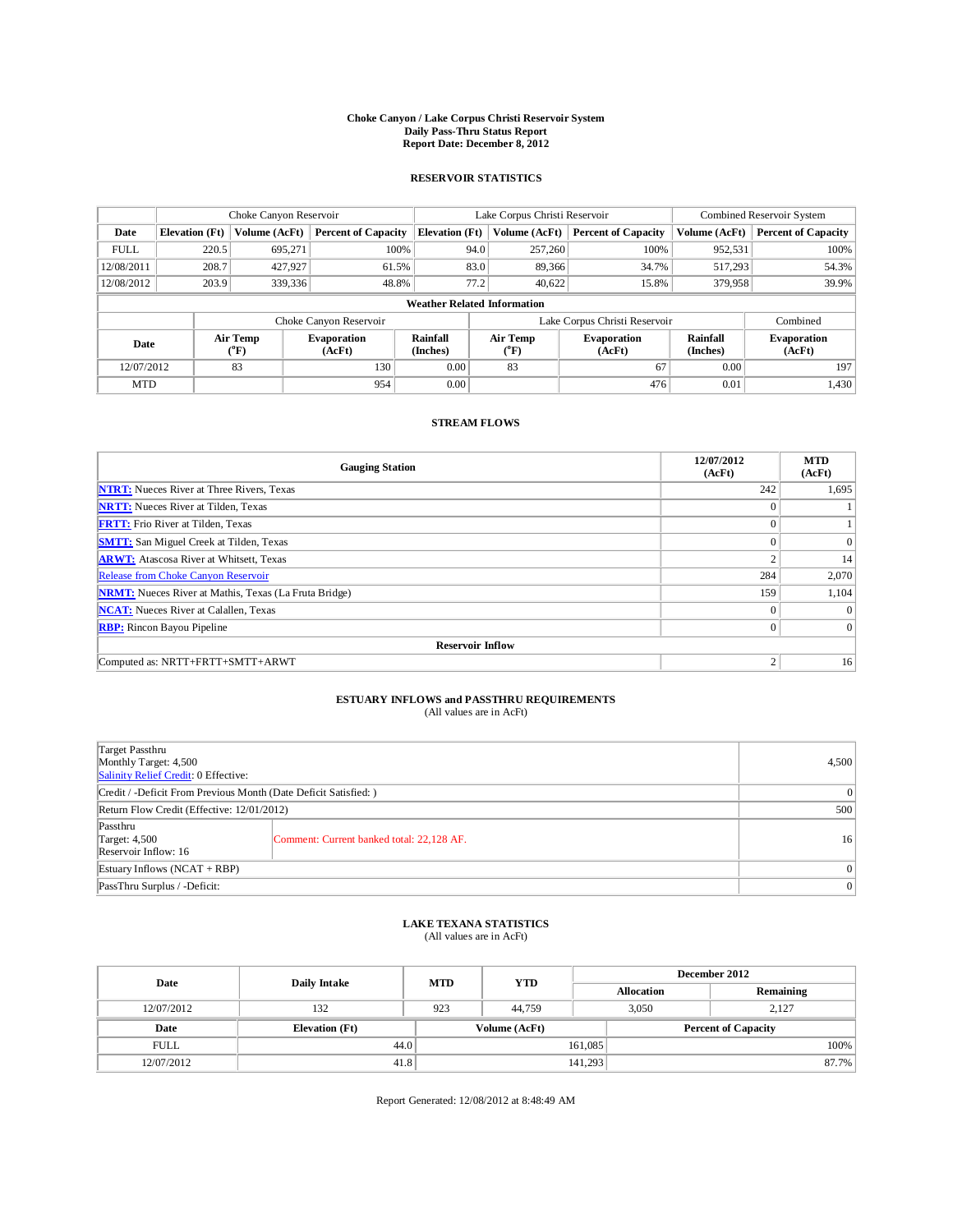## **Choke Canyon / Lake Corpus Christi Reservoir System Daily Pass-Thru Status Report Report Date: December 8, 2012**

#### **RESERVOIR STATISTICS**

|             | Choke Canyon Reservoir |                  |                              |                                    | Lake Corpus Christi Reservoir                                |               |                               |                              | Combined Reservoir System  |  |  |
|-------------|------------------------|------------------|------------------------------|------------------------------------|--------------------------------------------------------------|---------------|-------------------------------|------------------------------|----------------------------|--|--|
| Date        | <b>Elevation</b> (Ft)  | Volume (AcFt)    | <b>Percent of Capacity</b>   | <b>Elevation</b> (Ft)              |                                                              | Volume (AcFt) | <b>Percent of Capacity</b>    | Volume (AcFt)                | <b>Percent of Capacity</b> |  |  |
| <b>FULL</b> | 220.5                  | 695.271          | 100%                         |                                    | 94.0                                                         | 257,260       | 100%                          | 952,531                      | 100%                       |  |  |
| 12/08/2011  | 208.7                  | 427,927          | 61.5%                        |                                    | 83.0                                                         | 89,366        | 34.7%                         | 517,293                      | 54.3%                      |  |  |
| 12/08/2012  | 203.9                  | 339,336          | 48.8%                        |                                    | 77.2                                                         | 40,622        | 15.8%                         | 379,958                      | 39.9%                      |  |  |
|             |                        |                  |                              | <b>Weather Related Information</b> |                                                              |               |                               |                              |                            |  |  |
|             |                        |                  | Choke Canyon Reservoir       |                                    |                                                              |               | Lake Corpus Christi Reservoir |                              | Combined                   |  |  |
| Date        |                        | Air Temp<br>(°F) | <b>Evaporation</b><br>(AcFt) | <b>Rainfall</b><br>(Inches)        | Air Temp<br><b>Evaporation</b><br>$\rm ^{(^o}\!F)$<br>(AcFt) |               | Rainfall<br>(Inches)          | <b>Evaporation</b><br>(AcFt) |                            |  |  |
| 12/07/2012  |                        | 83               | 130                          | 0.00                               |                                                              | 83            | 67                            | 0.00                         | 197                        |  |  |
| <b>MTD</b>  |                        |                  | 954                          | 0.00                               |                                                              |               | 476                           | 0.01                         | 1,430                      |  |  |

#### **STREAM FLOWS**

| <b>Gauging Station</b>                                       | 12/07/2012<br>(AcFt) | <b>MTD</b><br>(AcFt) |
|--------------------------------------------------------------|----------------------|----------------------|
| <b>NTRT:</b> Nueces River at Three Rivers, Texas             | 242                  | 1,695                |
| <b>NRTT:</b> Nueces River at Tilden, Texas                   | $\Omega$             |                      |
| <b>FRTT:</b> Frio River at Tilden, Texas                     | $\Omega$             |                      |
| <b>SMTT:</b> San Miguel Creek at Tilden, Texas               | $\Omega$             | $\overline{0}$       |
| <b>ARWT:</b> Atascosa River at Whitsett, Texas               | $\mathbf{2}$         | 14                   |
| Release from Choke Canyon Reservoir                          | 284                  | 2,070                |
| <b>NRMT:</b> Nueces River at Mathis, Texas (La Fruta Bridge) | 159                  | 1,104                |
| <b>NCAT:</b> Nueces River at Calallen, Texas                 | $\Omega$             |                      |
| <b>RBP:</b> Rincon Bayou Pipeline                            | $\mathbf{0}$         | $\overline{0}$       |
| <b>Reservoir Inflow</b>                                      |                      |                      |
| Computed as: NRTT+FRTT+SMTT+ARWT                             | 2                    | 16                   |

# **ESTUARY INFLOWS and PASSTHRU REQUIREMENTS**<br>(All values are in AcFt)

|                                                                  | (All values are in Act ()                 |       |
|------------------------------------------------------------------|-------------------------------------------|-------|
|                                                                  |                                           |       |
| Target Passthru                                                  |                                           |       |
| Monthly Target: 4,500                                            |                                           | 4.500 |
| Salinity Relief Credit: 0 Effective:                             |                                           |       |
| Credit / -Deficit From Previous Month (Date Deficit Satisfied: ) |                                           |       |
| Return Flow Credit (Effective: 12/01/2012)                       |                                           |       |
| Passthru                                                         |                                           |       |
| Target: 4,500                                                    | Comment: Current banked total: 22,128 AF. |       |
| Reservoir Inflow: 16                                             |                                           |       |
| Estuary Inflows $(NCAT + RBP)$                                   |                                           |       |

## **LAKE TEXANA STATISTICS** (All values are in AcFt)

PassThru Surplus / -Deficit: 0

| Date        | <b>Daily Intake</b>   | <b>MTD</b> | <b>YTD</b>    | December 2012 |                   |                            |  |
|-------------|-----------------------|------------|---------------|---------------|-------------------|----------------------------|--|
|             |                       |            |               |               | <b>Allocation</b> | Remaining                  |  |
| 12/07/2012  | 132                   | 923        | 44.759        |               | 3.050             | 2.127                      |  |
| Date        | <b>Elevation</b> (Ft) |            | Volume (AcFt) |               |                   | <b>Percent of Capacity</b> |  |
| <b>FULL</b> | 44.0                  |            |               | 161,085       |                   | 100%                       |  |
| 12/07/2012  | 41.8                  |            |               | 141,293       |                   | 87.7%                      |  |

Report Generated: 12/08/2012 at 8:48:49 AM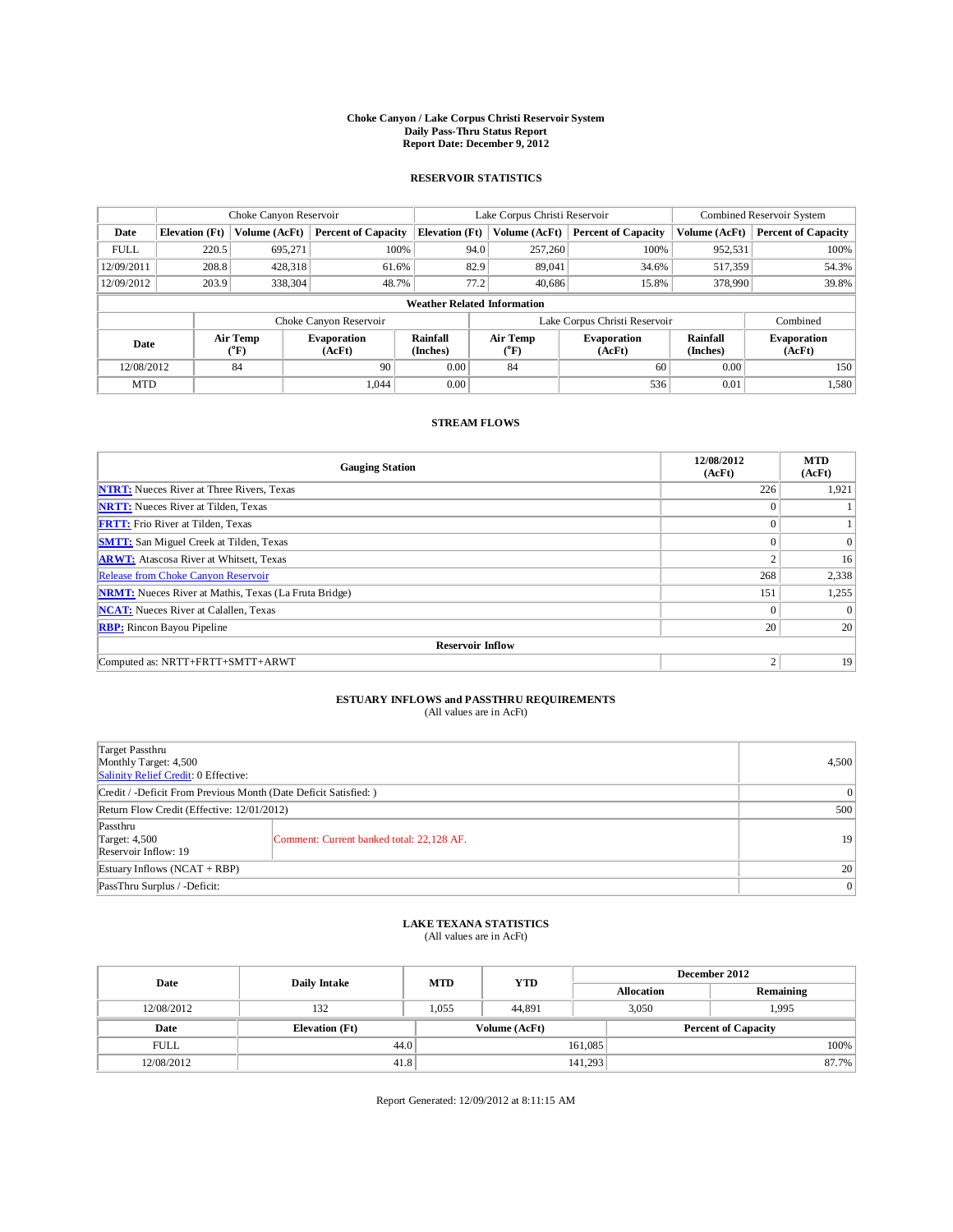## **Choke Canyon / Lake Corpus Christi Reservoir System Daily Pass-Thru Status Report Report Date: December 9, 2012**

### **RESERVOIR STATISTICS**

|             | Choke Canyon Reservoir |                  |                              |                                    | Lake Corpus Christi Reservoir |                                                        |                               |                             | Combined Reservoir System    |  |  |
|-------------|------------------------|------------------|------------------------------|------------------------------------|-------------------------------|--------------------------------------------------------|-------------------------------|-----------------------------|------------------------------|--|--|
| Date        | <b>Elevation</b> (Ft)  | Volume (AcFt)    | <b>Percent of Capacity</b>   | <b>Elevation</b> (Ft)              |                               | Volume (AcFt)                                          | <b>Percent of Capacity</b>    | Volume (AcFt)               | <b>Percent of Capacity</b>   |  |  |
| <b>FULL</b> | 220.5                  | 695,271          | 100%                         |                                    | 94.0                          | 257,260                                                | 100%                          | 952,531                     | 100%                         |  |  |
| 12/09/2011  | 208.8                  | 428,318          | 61.6%                        |                                    | 82.9                          | 89,041                                                 | 34.6%                         | 517,359                     | 54.3%                        |  |  |
| 12/09/2012  | 203.9                  | 338,304          | 48.7%                        |                                    | 77.2                          | 40.686                                                 | 15.8%                         | 378,990                     | 39.8%                        |  |  |
|             |                        |                  |                              | <b>Weather Related Information</b> |                               |                                                        |                               |                             |                              |  |  |
|             |                        |                  | Choke Canyon Reservoir       |                                    |                               |                                                        | Lake Corpus Christi Reservoir |                             | Combined                     |  |  |
| Date        |                        | Air Temp<br>(°F) | <b>Evaporation</b><br>(AcFt) | <b>Rainfall</b><br>(Inches)        |                               | <b>Air Temp</b><br><b>Evaporation</b><br>(°F<br>(AcFt) |                               | <b>Rainfall</b><br>(Inches) | <b>Evaporation</b><br>(AcFt) |  |  |
| 12/08/2012  |                        | 84               | 90                           | 0.00                               |                               | 84                                                     | 60                            | 0.00                        | 150                          |  |  |
| <b>MTD</b>  |                        |                  | 1.044                        | 0.00                               |                               |                                                        | 536                           | 0.01                        | 1,580                        |  |  |

#### **STREAM FLOWS**

| <b>Gauging Station</b>                                       | 12/08/2012<br>(AcFt) | <b>MTD</b><br>(AcFt) |
|--------------------------------------------------------------|----------------------|----------------------|
| <b>NTRT:</b> Nueces River at Three Rivers, Texas             | 226                  | 1,921                |
| <b>NRTT:</b> Nueces River at Tilden, Texas                   | $\Omega$             |                      |
| <b>FRTT:</b> Frio River at Tilden, Texas                     | $\Omega$             |                      |
| <b>SMTT:</b> San Miguel Creek at Tilden, Texas               | $\Omega$             | $\overline{0}$       |
| <b>ARWT:</b> Atascosa River at Whitsett, Texas               | $\mathbf{2}$         | 16                   |
| Release from Choke Canyon Reservoir                          | 268                  | 2,338                |
| <b>NRMT:</b> Nueces River at Mathis, Texas (La Fruta Bridge) | 151                  | 1,255                |
| <b>NCAT:</b> Nueces River at Calallen, Texas                 | $\Omega$             |                      |
| <b>RBP:</b> Rincon Bayou Pipeline                            | 20                   | 20                   |
| <b>Reservoir Inflow</b>                                      |                      |                      |
| Computed as: NRTT+FRTT+SMTT+ARWT                             | 2                    | 19                   |

# **ESTUARY INFLOWS and PASSTHRU REQUIREMENTS**<br>(All values are in AcFt)

| Target Passthru<br>Monthly Target: 4,500<br>Salinity Relief Credit: 0 Effective: |                                           |                 |  |  |
|----------------------------------------------------------------------------------|-------------------------------------------|-----------------|--|--|
| Credit / -Deficit From Previous Month (Date Deficit Satisfied: )                 |                                           | $\vert 0 \vert$ |  |  |
| Return Flow Credit (Effective: 12/01/2012)                                       | 500                                       |                 |  |  |
| Passthru<br>Target: 4,500<br>Reservoir Inflow: 19                                | Comment: Current banked total: 22,128 AF. | 19              |  |  |
| Estuary Inflows $(NCAT + RBP)$                                                   | <b>20</b>                                 |                 |  |  |
| PassThru Surplus / -Deficit:                                                     |                                           | 0 <sup>1</sup>  |  |  |

## **LAKE TEXANA STATISTICS** (All values are in AcFt)

| Date        | Daily Intake          | <b>MTD</b> | <b>YTD</b>    | December 2012 |                   |                            |  |
|-------------|-----------------------|------------|---------------|---------------|-------------------|----------------------------|--|
|             |                       |            |               |               | <b>Allocation</b> | Remaining                  |  |
| 12/08/2012  | 132                   | 1.055      | 44.891        |               | 3.050             | 1,995                      |  |
| Date        | <b>Elevation</b> (Ft) |            | Volume (AcFt) |               |                   | <b>Percent of Capacity</b> |  |
| <b>FULL</b> | 44.0                  |            |               | 161,085       |                   | 100%                       |  |
| 12/08/2012  | 41.8                  |            |               | 141,293       |                   | 87.7%                      |  |

Report Generated: 12/09/2012 at 8:11:15 AM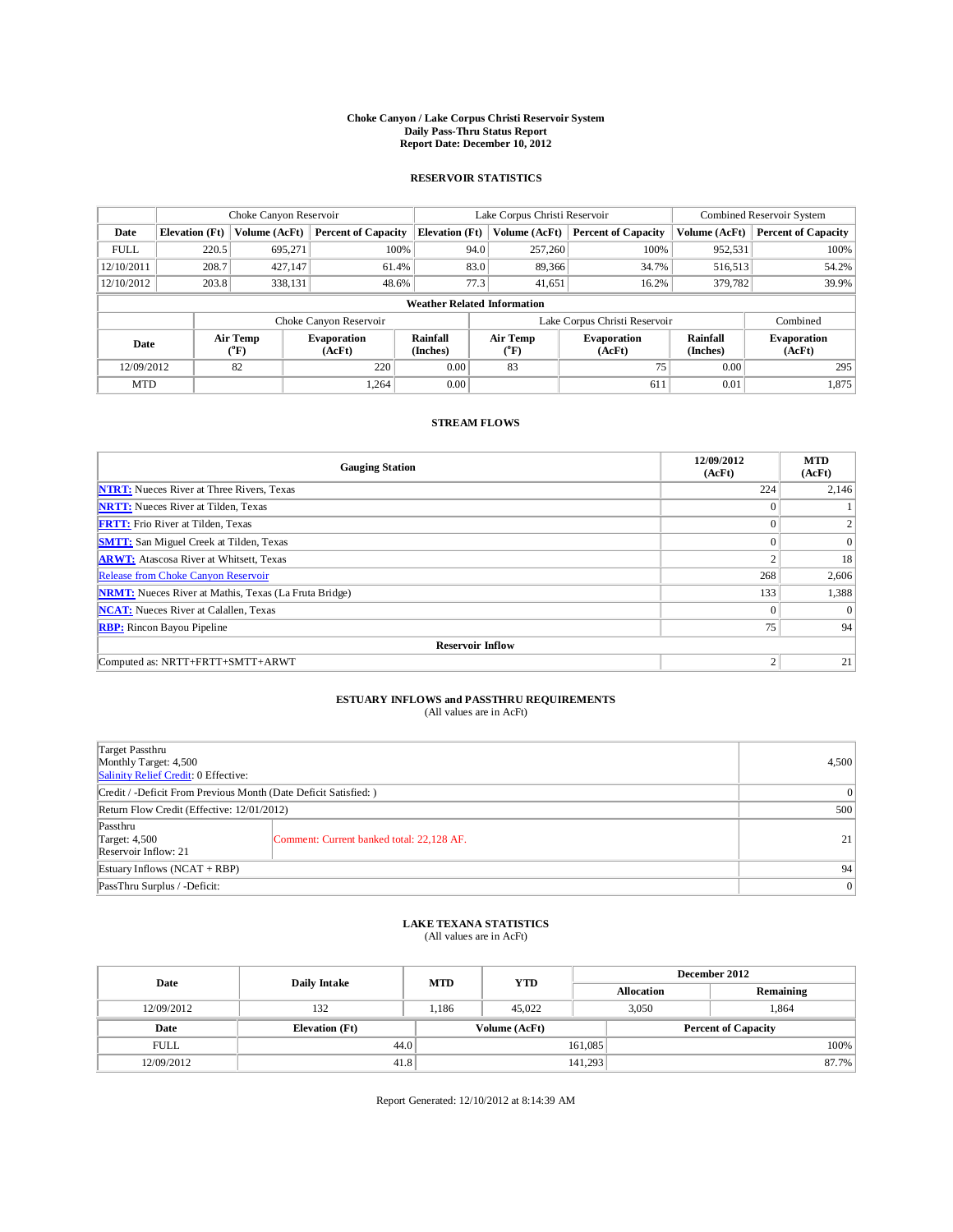## **Choke Canyon / Lake Corpus Christi Reservoir System Daily Pass-Thru Status Report Report Date: December 10, 2012**

### **RESERVOIR STATISTICS**

|             | Choke Canyon Reservoir |                              |                              |                                    | Lake Corpus Christi Reservoir |                                                  |                            |                             | Combined Reservoir System    |  |  |
|-------------|------------------------|------------------------------|------------------------------|------------------------------------|-------------------------------|--------------------------------------------------|----------------------------|-----------------------------|------------------------------|--|--|
| Date        | <b>Elevation</b> (Ft)  | Volume (AcFt)                | <b>Percent of Capacity</b>   | <b>Elevation</b> (Ft)              |                               | Volume (AcFt)                                    | <b>Percent of Capacity</b> | Volume (AcFt)               | <b>Percent of Capacity</b>   |  |  |
| <b>FULL</b> | 220.5                  | 695,271                      | 100%                         |                                    | 94.0                          | 257,260                                          | 100%                       | 952,531                     | 100%                         |  |  |
| 12/10/2011  | 208.7                  | 427,147                      | 61.4%                        |                                    | 83.0                          | 89,366                                           | 34.7%                      | 516,513                     | 54.2%                        |  |  |
| 12/10/2012  | 203.8                  | 338,131                      | 48.6%                        |                                    | 77.3                          | 41,651                                           | 16.2%                      | 379,782                     | 39.9%                        |  |  |
|             |                        |                              |                              | <b>Weather Related Information</b> |                               |                                                  |                            |                             |                              |  |  |
|             |                        |                              | Choke Canyon Reservoir       |                                    | Lake Corpus Christi Reservoir |                                                  |                            |                             | Combined                     |  |  |
| Date        |                        | Air Temp<br>$({}^0\text{F})$ | <b>Evaporation</b><br>(AcFt) | <b>Rainfall</b><br>(Inches)        |                               | Air Temp<br><b>Evaporation</b><br>(°F)<br>(AcFt) |                            | <b>Rainfall</b><br>(Inches) | <b>Evaporation</b><br>(AcFt) |  |  |
| 12/09/2012  |                        | 82                           | 220                          | 0.00                               | 83                            |                                                  | 75                         | 0.00                        | 295                          |  |  |
| <b>MTD</b>  |                        |                              | 1.264                        | 0.00                               |                               |                                                  | 611                        | 0.01                        | 1,875                        |  |  |

### **STREAM FLOWS**

| <b>Gauging Station</b>                                       | 12/09/2012<br>(AcFt) | <b>MTD</b><br>(AcFt) |
|--------------------------------------------------------------|----------------------|----------------------|
| <b>NTRT:</b> Nueces River at Three Rivers, Texas             | 224                  | 2,146                |
| <b>NRTT:</b> Nueces River at Tilden, Texas                   | $\Omega$             |                      |
| <b>FRTT:</b> Frio River at Tilden, Texas                     | $\Omega$             | $\overline{2}$       |
| <b>SMTT:</b> San Miguel Creek at Tilden, Texas               | $\Omega$             | $\theta$             |
| <b>ARWT:</b> Atascosa River at Whitsett, Texas               | $\mathbf{2}$         | 18                   |
| Release from Choke Canyon Reservoir                          | 268                  | 2,606                |
| <b>NRMT:</b> Nueces River at Mathis, Texas (La Fruta Bridge) | 133                  | 1,388                |
| <b>NCAT:</b> Nueces River at Calallen, Texas                 | $\Omega$             |                      |
| <b>RBP:</b> Rincon Bayou Pipeline                            | 75                   | 94                   |
| <b>Reservoir Inflow</b>                                      |                      |                      |
| Computed as: NRTT+FRTT+SMTT+ARWT                             | 2                    | 21                   |

# **ESTUARY INFLOWS and PASSTHRU REQUIREMENTS**<br>(All values are in AcFt)

| Target Passthru<br>Monthly Target: 4,500<br>Salinity Relief Credit: 0 Effective: |                                           |                 |  |  |
|----------------------------------------------------------------------------------|-------------------------------------------|-----------------|--|--|
| Credit / -Deficit From Previous Month (Date Deficit Satisfied: )                 |                                           | $\vert 0 \vert$ |  |  |
| Return Flow Credit (Effective: 12/01/2012)                                       |                                           |                 |  |  |
| Passthru<br>Target: $4,500$<br>Reservoir Inflow: 21                              | Comment: Current banked total: 22,128 AF. | 21 <sub>1</sub> |  |  |
| Estuary Inflows $(NCAT + RBP)$                                                   | 94                                        |                 |  |  |
| PassThru Surplus / -Deficit:                                                     |                                           | 0 <sup>1</sup>  |  |  |

## **LAKE TEXANA STATISTICS** (All values are in AcFt)

| Date        | Daily Intake          | <b>MTD</b> | <b>YTD</b>    | December 2012 |                   |                            |       |
|-------------|-----------------------|------------|---------------|---------------|-------------------|----------------------------|-------|
|             |                       |            |               |               | <b>Allocation</b> | Remaining                  |       |
| 12/09/2012  | 132                   | .186       | 45.022        |               | 3.050<br>1.864    |                            |       |
| Date        | <b>Elevation</b> (Ft) |            | Volume (AcFt) |               |                   | <b>Percent of Capacity</b> |       |
| <b>FULL</b> | 44.0                  |            |               | 161,085       |                   |                            | 100%  |
| 12/09/2012  | 41.8                  |            |               | 141,293       |                   |                            | 87.7% |

Report Generated: 12/10/2012 at 8:14:39 AM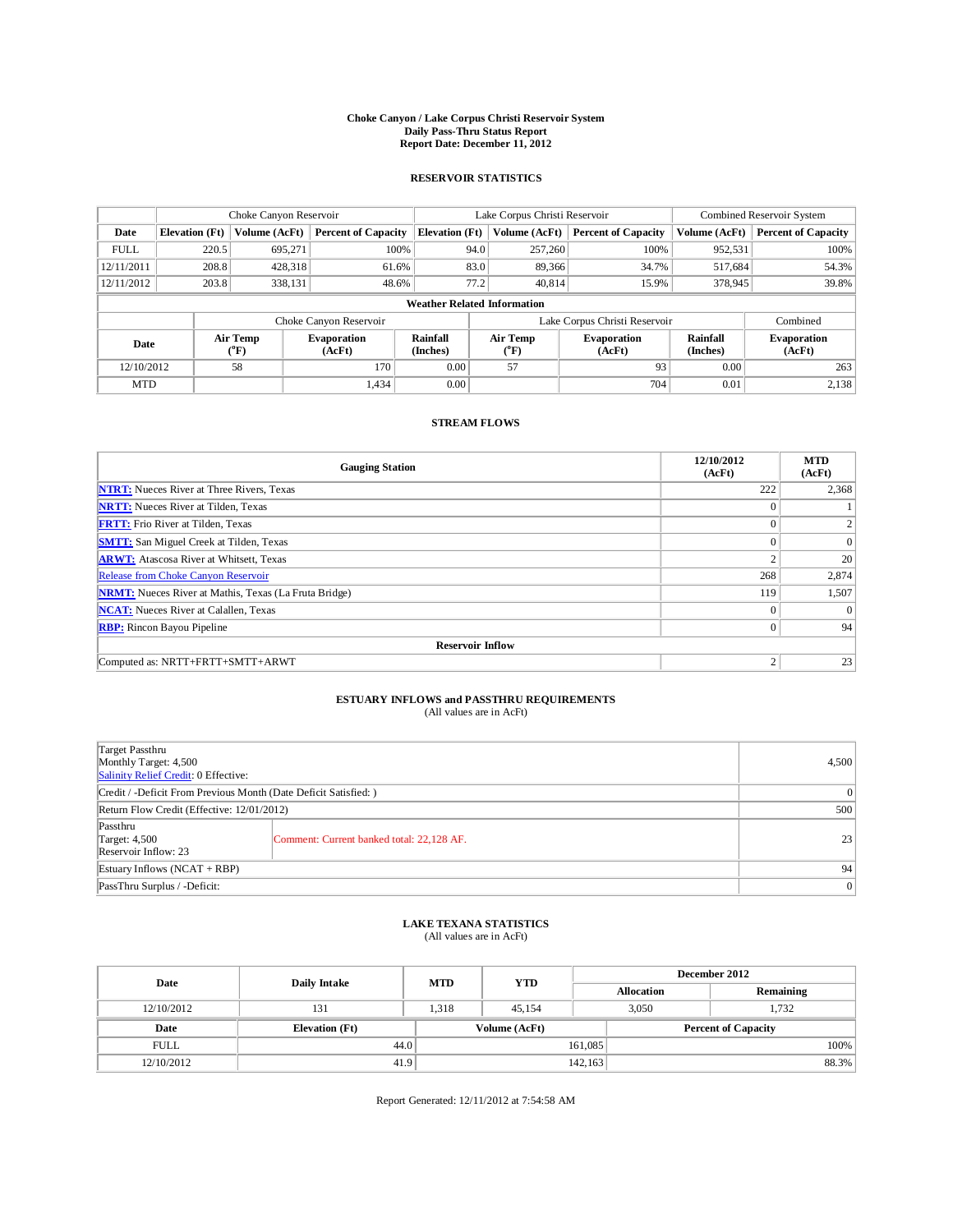## **Choke Canyon / Lake Corpus Christi Reservoir System Daily Pass-Thru Status Report Report Date: December 11, 2012**

### **RESERVOIR STATISTICS**

|             | Choke Canyon Reservoir |                              |                              |                                    | Lake Corpus Christi Reservoir |                                                  |                            |                             | Combined Reservoir System    |  |  |
|-------------|------------------------|------------------------------|------------------------------|------------------------------------|-------------------------------|--------------------------------------------------|----------------------------|-----------------------------|------------------------------|--|--|
| Date        | <b>Elevation</b> (Ft)  | Volume (AcFt)                | <b>Percent of Capacity</b>   | <b>Elevation</b> (Ft)              |                               | Volume (AcFt)                                    | <b>Percent of Capacity</b> | Volume (AcFt)               | <b>Percent of Capacity</b>   |  |  |
| <b>FULL</b> | 220.5                  | 695,271                      | 100%                         |                                    | 94.0                          | 257,260                                          | 100%                       | 952,531                     | 100%                         |  |  |
| 12/11/2011  | 208.8                  | 428,318                      | 61.6%                        |                                    | 83.0                          | 89,366                                           | 34.7%                      | 517,684                     | 54.3%                        |  |  |
| 12/11/2012  | 203.8                  | 338,131                      | 48.6%                        |                                    | 77.2                          | 40,814                                           | 15.9%                      | 378,945                     | 39.8%                        |  |  |
|             |                        |                              |                              | <b>Weather Related Information</b> |                               |                                                  |                            |                             |                              |  |  |
|             |                        |                              | Choke Canyon Reservoir       |                                    | Lake Corpus Christi Reservoir |                                                  |                            |                             | Combined                     |  |  |
| Date        |                        | Air Temp<br>$({}^0\text{F})$ | <b>Evaporation</b><br>(AcFt) | <b>Rainfall</b><br>(Inches)        |                               | Air Temp<br><b>Evaporation</b><br>(°F)<br>(AcFt) |                            | <b>Rainfall</b><br>(Inches) | <b>Evaporation</b><br>(AcFt) |  |  |
| 12/10/2012  |                        | 58                           | 170                          | 0.00                               | 57                            |                                                  | 93                         | 0.00                        | 263                          |  |  |
| <b>MTD</b>  |                        |                              | 1,434                        | 0.00                               |                               |                                                  | 704                        | 0.01                        | 2,138                        |  |  |

### **STREAM FLOWS**

| <b>Gauging Station</b>                                       | 12/10/2012<br>(AcFt) | <b>MTD</b><br>(AcFt) |
|--------------------------------------------------------------|----------------------|----------------------|
| <b>NTRT:</b> Nueces River at Three Rivers, Texas             | 222                  | 2,368                |
| <b>NRTT:</b> Nueces River at Tilden, Texas                   | $\Omega$             |                      |
| <b>FRTT:</b> Frio River at Tilden, Texas                     | $\Omega$             | $\overline{2}$       |
| <b>SMTT:</b> San Miguel Creek at Tilden, Texas               | $\Omega$             | $\theta$             |
| <b>ARWT:</b> Atascosa River at Whitsett, Texas               | $\mathbf{2}$         | 20                   |
| Release from Choke Canyon Reservoir                          | 268                  | 2,874                |
| <b>NRMT:</b> Nueces River at Mathis, Texas (La Fruta Bridge) | 119                  | 1,507                |
| <b>NCAT:</b> Nueces River at Calallen, Texas                 | $\Omega$             |                      |
| <b>RBP:</b> Rincon Bayou Pipeline                            | $\mathbf{0}$         | 94                   |
| <b>Reservoir Inflow</b>                                      |                      |                      |
| Computed as: NRTT+FRTT+SMTT+ARWT                             | 2                    | 23                   |

# **ESTUARY INFLOWS and PASSTHRU REQUIREMENTS**<br>(All values are in AcFt)

| Target Passthru<br>Monthly Target: 4,500<br>Salinity Relief Credit: 0 Effective: | 4,500                                     |                |
|----------------------------------------------------------------------------------|-------------------------------------------|----------------|
| Credit / -Deficit From Previous Month (Date Deficit Satisfied: )                 |                                           | $\overline{0}$ |
| Return Flow Credit (Effective: 12/01/2012)                                       | 500                                       |                |
| Passthru<br><b>Target: 4,500</b><br>Reservoir Inflow: 23                         | Comment: Current banked total: 22,128 AF. | 23             |
| Estuary Inflows $(NCAT + RBP)$                                                   | 94                                        |                |
| PassThru Surplus / -Deficit:                                                     |                                           | 0              |

## **LAKE TEXANA STATISTICS** (All values are in AcFt)

| Date        | <b>Daily Intake</b>   | <b>MTD</b> | <b>YTD</b>    | December 2012 |                   |                            |  |
|-------------|-----------------------|------------|---------------|---------------|-------------------|----------------------------|--|
|             |                       |            |               |               | <b>Allocation</b> | Remaining                  |  |
| 12/10/2012  | 131                   | 1,318      | 45.154        |               | 3,050             | 1,732                      |  |
| Date        | <b>Elevation</b> (Ft) |            | Volume (AcFt) |               |                   | <b>Percent of Capacity</b> |  |
| <b>FULL</b> | 44.0                  |            |               | 161,085       |                   | 100%                       |  |
| 12/10/2012  | 41.9                  |            |               | 142, 163      |                   | 88.3%                      |  |

Report Generated: 12/11/2012 at 7:54:58 AM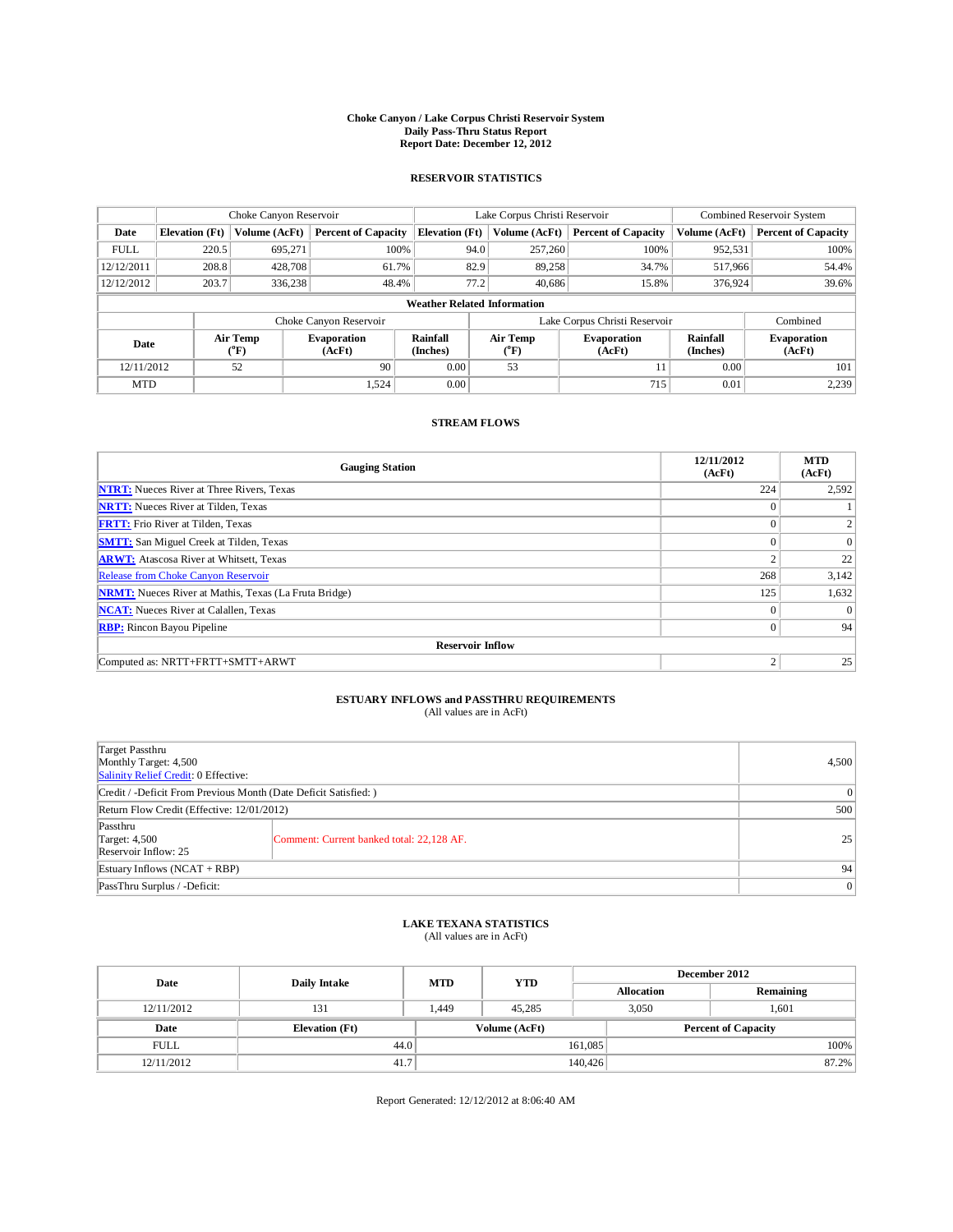## **Choke Canyon / Lake Corpus Christi Reservoir System Daily Pass-Thru Status Report Report Date: December 12, 2012**

### **RESERVOIR STATISTICS**

|             | Choke Canyon Reservoir |                                                              |                            |                                    | Lake Corpus Christi Reservoir                           |               |                             |                              | Combined Reservoir System  |       |  |
|-------------|------------------------|--------------------------------------------------------------|----------------------------|------------------------------------|---------------------------------------------------------|---------------|-----------------------------|------------------------------|----------------------------|-------|--|
| Date        | <b>Elevation</b> (Ft)  | Volume (AcFt)                                                | <b>Percent of Capacity</b> | <b>Elevation</b> (Ft)              |                                                         | Volume (AcFt) | <b>Percent of Capacity</b>  | Volume (AcFt)                | <b>Percent of Capacity</b> |       |  |
| <b>FULL</b> | 220.5                  | 695,271                                                      | 100%                       |                                    | 94.0                                                    | 257,260       | 100%                        | 952,531                      | 100%                       |       |  |
| 12/12/2011  | 208.8                  | 428,708                                                      | 61.7%                      |                                    | 82.9                                                    | 89,258        | 34.7%                       | 517,966                      | 54.4%                      |       |  |
| 12/12/2012  | 203.7                  | 336,238                                                      | 48.4%                      |                                    | 40,686                                                  |               | 77.2<br>15.8%               |                              | 376,924                    | 39.6% |  |
|             |                        |                                                              |                            | <b>Weather Related Information</b> |                                                         |               |                             |                              |                            |       |  |
|             |                        |                                                              | Choke Canyon Reservoir     |                                    | Lake Corpus Christi Reservoir                           |               |                             |                              | Combined                   |       |  |
| Date        |                        | Air Temp<br><b>Evaporation</b><br>$({}^0\text{F})$<br>(AcFt) |                            | <b>Rainfall</b><br>(Inches)        | <b>Air Temp</b><br><b>Evaporation</b><br>(°F)<br>(AcFt) |               | <b>Rainfall</b><br>(Inches) | <b>Evaporation</b><br>(AcFt) |                            |       |  |
| 12/11/2012  |                        | 52                                                           | 90                         | 0.00                               | 53                                                      |               | 11                          | 0.00                         | 101                        |       |  |
| <b>MTD</b>  |                        |                                                              | 1,524                      | 0.00                               |                                                         |               | 715                         | 0.01                         | 2,239                      |       |  |

### **STREAM FLOWS**

| <b>Gauging Station</b>                                       | 12/11/2012<br>(AcFt) | <b>MTD</b><br>(AcFt) |  |  |  |  |
|--------------------------------------------------------------|----------------------|----------------------|--|--|--|--|
| <b>NTRT:</b> Nueces River at Three Rivers, Texas             | 224                  | 2,592                |  |  |  |  |
| <b>NRTT:</b> Nueces River at Tilden, Texas                   | $\theta$             |                      |  |  |  |  |
| <b>FRTT:</b> Frio River at Tilden, Texas                     | $\theta$             |                      |  |  |  |  |
| <b>SMTT:</b> San Miguel Creek at Tilden, Texas               | $\theta$             | $\Omega$             |  |  |  |  |
| <b>ARWT:</b> Atascosa River at Whitsett, Texas               | $\overline{2}$       | 22                   |  |  |  |  |
| Release from Choke Canyon Reservoir                          | 268                  | 3,142                |  |  |  |  |
| <b>NRMT:</b> Nueces River at Mathis, Texas (La Fruta Bridge) | 125                  | 1,632                |  |  |  |  |
| <b>NCAT:</b> Nueces River at Calallen, Texas                 | $\Omega$             | $\Omega$             |  |  |  |  |
| <b>RBP:</b> Rincon Bayou Pipeline                            | $\mathbf{0}$         | 94                   |  |  |  |  |
| <b>Reservoir Inflow</b>                                      |                      |                      |  |  |  |  |
| Computed as: NRTT+FRTT+SMTT+ARWT                             | 2                    | 25                   |  |  |  |  |

# **ESTUARY INFLOWS and PASSTHRU REQUIREMENTS**<br>(All values are in AcFt)

| Target Passthru<br>Monthly Target: 4,500<br>Salinity Relief Credit: 0 Effective: | 4,500                                     |                 |
|----------------------------------------------------------------------------------|-------------------------------------------|-----------------|
| Credit / -Deficit From Previous Month (Date Deficit Satisfied: )                 | $\overline{0}$                            |                 |
| Return Flow Credit (Effective: 12/01/2012)                                       | 500                                       |                 |
| Passthru<br>Target: $4,500$<br>Reservoir Inflow: 25                              | Comment: Current banked total: 22,128 AF. | 25 <sub>1</sub> |
| Estuary Inflows $(NCAT + RBP)$                                                   | 94                                        |                 |
| PassThru Surplus / -Deficit:                                                     | 0                                         |                 |

## **LAKE TEXANA STATISTICS** (All values are in AcFt)

| Date        | Daily Intake          | <b>MTD</b> | <b>YTD</b>    |                   |                            | December 2012 |
|-------------|-----------------------|------------|---------------|-------------------|----------------------------|---------------|
|             |                       |            |               | <b>Allocation</b> |                            | Remaining     |
| 12/11/2012  | 131                   | 449.،      | 45.285        | 3.050             |                            | 1.601         |
| Date        | <b>Elevation</b> (Ft) |            | Volume (AcFt) |                   | <b>Percent of Capacity</b> |               |
| <b>FULL</b> | 44.0                  |            |               | 161,085           |                            | $100\%$       |
| 12/11/2012  | 41.7                  |            |               | 140,426           |                            | 87.2%         |

Report Generated: 12/12/2012 at 8:06:40 AM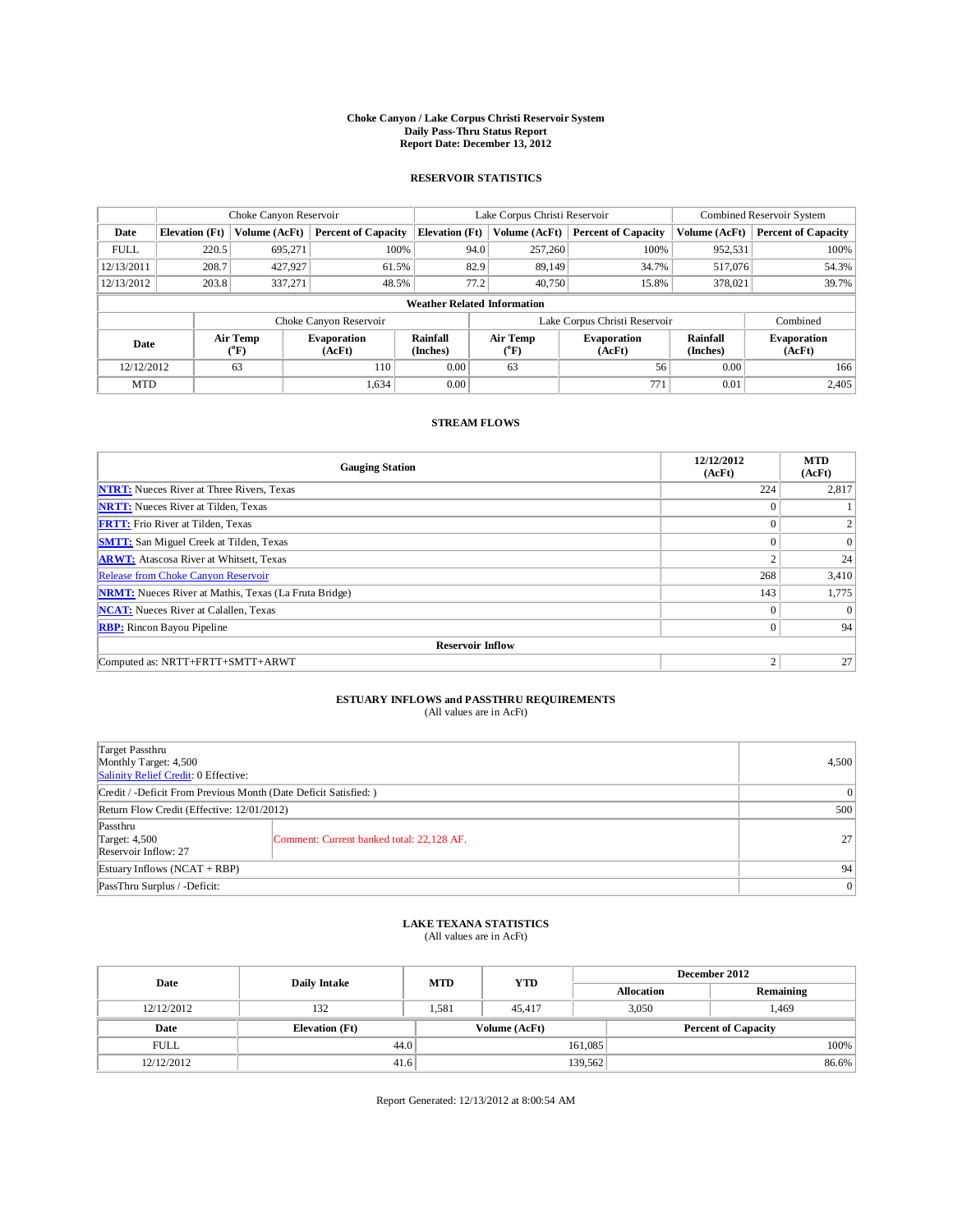## **Choke Canyon / Lake Corpus Christi Reservoir System Daily Pass-Thru Status Report Report Date: December 13, 2012**

#### **RESERVOIR STATISTICS**

|             | Choke Canyon Reservoir |                              |                              |                                    | Lake Corpus Christi Reservoir             |                         |                              |                             | Combined Reservoir System    |  |  |
|-------------|------------------------|------------------------------|------------------------------|------------------------------------|-------------------------------------------|-------------------------|------------------------------|-----------------------------|------------------------------|--|--|
| Date        | <b>Elevation</b> (Ft)  | Volume (AcFt)                | <b>Percent of Capacity</b>   | <b>Elevation</b> (Ft)              |                                           | Volume (AcFt)           | <b>Percent of Capacity</b>   | Volume (AcFt)               | <b>Percent of Capacity</b>   |  |  |
| <b>FULL</b> | 220.5                  | 695,271                      | 100%                         |                                    | 94.0                                      | 257,260                 | 100%                         | 952,531                     | 100%                         |  |  |
| 12/13/2011  | 208.7                  | 427,927                      | 61.5%                        |                                    | 82.9                                      | 89.149                  | 34.7%                        | 517,076                     | 54.3%                        |  |  |
| 12/13/2012  | 203.8                  | 337,271                      | 48.5%                        |                                    | 77.2                                      | 40,750                  | 15.8%                        | 378,021                     | 39.7%                        |  |  |
|             |                        |                              |                              | <b>Weather Related Information</b> |                                           |                         |                              |                             |                              |  |  |
|             |                        |                              | Choke Canyon Reservoir       |                                    | Lake Corpus Christi Reservoir<br>Combined |                         |                              |                             |                              |  |  |
| Date        |                        | Air Temp<br>$({}^0\text{F})$ | <b>Evaporation</b><br>(AcFt) | <b>Rainfall</b><br>(Inches)        |                                           | <b>Air Temp</b><br>(°F) | <b>Evaporation</b><br>(AcFt) | <b>Rainfall</b><br>(Inches) | <b>Evaporation</b><br>(AcFt) |  |  |
| 12/12/2012  |                        | 63                           | 110                          | 0.00                               |                                           | 56<br>63                |                              | 0.00                        | 166                          |  |  |
| <b>MTD</b>  |                        |                              | 1,634                        | 0.00                               |                                           |                         | 771                          | 0.01                        | 2,405                        |  |  |

### **STREAM FLOWS**

| <b>Gauging Station</b>                                       | 12/12/2012<br>(AcFt) | <b>MTD</b><br>(AcFt) |  |  |  |  |
|--------------------------------------------------------------|----------------------|----------------------|--|--|--|--|
| <b>NTRT:</b> Nueces River at Three Rivers, Texas             | 224                  | 2,817                |  |  |  |  |
| <b>NRTT:</b> Nueces River at Tilden, Texas                   | $\Omega$             |                      |  |  |  |  |
| <b>FRTT:</b> Frio River at Tilden, Texas                     | $\theta$             | $\overline{2}$       |  |  |  |  |
| <b>SMTT:</b> San Miguel Creek at Tilden, Texas               | $\Omega$             | $\overline{0}$       |  |  |  |  |
| <b>ARWT:</b> Atascosa River at Whitsett, Texas               | $\mathbf{2}$         | 24                   |  |  |  |  |
| Release from Choke Canyon Reservoir                          | 268                  | 3,410                |  |  |  |  |
| <b>NRMT:</b> Nueces River at Mathis, Texas (La Fruta Bridge) | 143                  | 1,775                |  |  |  |  |
| <b>NCAT:</b> Nueces River at Calallen, Texas                 | $\Omega$             | $\Omega$             |  |  |  |  |
| <b>RBP:</b> Rincon Bayou Pipeline                            | $\mathbf{0}$         | 94                   |  |  |  |  |
| <b>Reservoir Inflow</b>                                      |                      |                      |  |  |  |  |
| Computed as: NRTT+FRTT+SMTT+ARWT                             | 2                    | 27                   |  |  |  |  |

# **ESTUARY INFLOWS and PASSTHRU REQUIREMENTS**<br>(All values are in AcFt)

|                                                                  | (All values are in Acfu)                  |     |  |  |
|------------------------------------------------------------------|-------------------------------------------|-----|--|--|
|                                                                  |                                           |     |  |  |
| Target Passthru                                                  |                                           |     |  |  |
| Monthly Target: 4,500                                            |                                           |     |  |  |
| Salinity Relief Credit: 0 Effective:                             |                                           |     |  |  |
| Credit / -Deficit From Previous Month (Date Deficit Satisfied: ) |                                           |     |  |  |
| Return Flow Credit (Effective: 12/01/2012)                       |                                           | 500 |  |  |
| Passthru                                                         |                                           |     |  |  |
| Target: 4,500                                                    | Comment: Current banked total: 22,128 AF. |     |  |  |
| Reservoir Inflow: 27                                             |                                           |     |  |  |
| Estuary Inflows $(NCAT + RBP)$                                   |                                           |     |  |  |

## **LAKE TEXANA STATISTICS** (All values are in AcFt)

PassThru Surplus / -Deficit: 0

| Date        | Daily Intake          | <b>MTD</b> | <b>YTD</b>    |                   |                            | December 2012 |
|-------------|-----------------------|------------|---------------|-------------------|----------------------------|---------------|
|             |                       |            |               | <b>Allocation</b> | Remaining                  |               |
| 12/12/2012  | 132                   | 1.581      | 45.417        |                   | 3.050                      | 1.469         |
| Date        | <b>Elevation</b> (Ft) |            | Volume (AcFt) |                   | <b>Percent of Capacity</b> |               |
| <b>FULL</b> | 44.0                  |            |               | 161,085           |                            | $100\%$       |
| 12/12/2012  | 41.6                  |            |               | 139,562           |                            | 86.6%         |

Report Generated: 12/13/2012 at 8:00:54 AM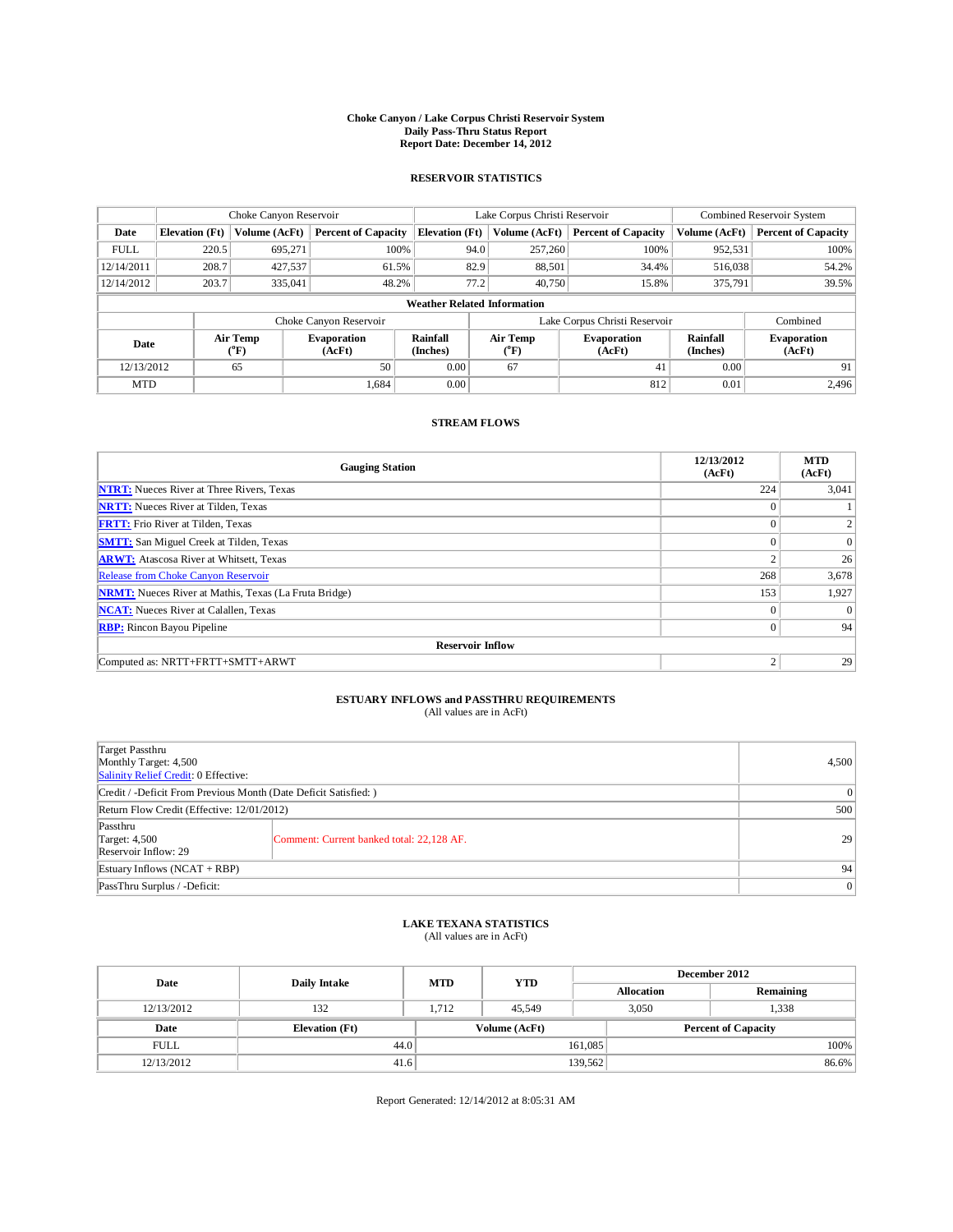## **Choke Canyon / Lake Corpus Christi Reservoir System Daily Pass-Thru Status Report Report Date: December 14, 2012**

### **RESERVOIR STATISTICS**

|             | Choke Canyon Reservoir |                              |                              |                                    | Lake Corpus Christi Reservoir |                         |                              |                             | Combined Reservoir System    |  |  |
|-------------|------------------------|------------------------------|------------------------------|------------------------------------|-------------------------------|-------------------------|------------------------------|-----------------------------|------------------------------|--|--|
| Date        | <b>Elevation</b> (Ft)  | Volume (AcFt)                | <b>Percent of Capacity</b>   | <b>Elevation</b> (Ft)              |                               | Volume (AcFt)           | <b>Percent of Capacity</b>   | Volume (AcFt)               | <b>Percent of Capacity</b>   |  |  |
| <b>FULL</b> | 220.5                  | 695,271                      | 100%                         |                                    | 94.0                          | 257,260                 | 100%                         | 952,531                     | 100%                         |  |  |
| 12/14/2011  | 208.7                  | 427,537                      | 61.5%                        |                                    | 82.9                          | 88,501                  | 34.4%                        | 516,038                     | 54.2%                        |  |  |
| 12/14/2012  | 203.7                  | 335.041                      | 48.2%                        |                                    | 77.2                          | 40,750                  | 15.8%                        | 375,791                     | 39.5%                        |  |  |
|             |                        |                              |                              | <b>Weather Related Information</b> |                               |                         |                              |                             |                              |  |  |
|             |                        |                              | Choke Canyon Reservoir       |                                    | Lake Corpus Christi Reservoir |                         |                              |                             | Combined                     |  |  |
| Date        |                        | Air Temp<br>$({}^0\text{F})$ | <b>Evaporation</b><br>(AcFt) | <b>Rainfall</b><br>(Inches)        |                               | <b>Air Temp</b><br>(°F) | <b>Evaporation</b><br>(AcFt) | <b>Rainfall</b><br>(Inches) | <b>Evaporation</b><br>(AcFt) |  |  |
| 12/13/2012  |                        | 50<br>65                     |                              | 0.00                               |                               | 67                      | 41                           | 0.00                        | 91                           |  |  |
| <b>MTD</b>  |                        |                              | 1.684                        | 0.00                               |                               |                         | 812                          | 0.01                        | 2,496                        |  |  |

### **STREAM FLOWS**

| <b>Gauging Station</b>                                       | 12/13/2012<br>(AcFt) | <b>MTD</b><br>(AcFt) |  |  |  |  |
|--------------------------------------------------------------|----------------------|----------------------|--|--|--|--|
| <b>NTRT:</b> Nueces River at Three Rivers, Texas             | 224                  | 3,041                |  |  |  |  |
| <b>NRTT:</b> Nueces River at Tilden, Texas                   | $\Omega$             |                      |  |  |  |  |
| <b>FRTT:</b> Frio River at Tilden, Texas                     | $\Omega$             | $\overline{2}$       |  |  |  |  |
| <b>SMTT:</b> San Miguel Creek at Tilden, Texas               | $\Omega$             | $\theta$             |  |  |  |  |
| <b>ARWT:</b> Atascosa River at Whitsett, Texas               | $\overline{2}$       | 26                   |  |  |  |  |
| Release from Choke Canyon Reservoir                          | 268                  | 3,678                |  |  |  |  |
| <b>NRMT:</b> Nueces River at Mathis, Texas (La Fruta Bridge) | 153                  | 1,927                |  |  |  |  |
| <b>NCAT:</b> Nueces River at Calallen, Texas                 | $\Omega$             |                      |  |  |  |  |
| <b>RBP:</b> Rincon Bayou Pipeline                            | $\mathbf{0}$         | 94                   |  |  |  |  |
| <b>Reservoir Inflow</b>                                      |                      |                      |  |  |  |  |
| Computed as: NRTT+FRTT+SMTT+ARWT                             | 2                    | 29                   |  |  |  |  |

# **ESTUARY INFLOWS and PASSTHRU REQUIREMENTS**<br>(All values are in AcFt)

| Target Passthru<br>Monthly Target: 4,500<br>Salinity Relief Credit: 0 Effective: | 4,500                                     |                 |
|----------------------------------------------------------------------------------|-------------------------------------------|-----------------|
| Credit / -Deficit From Previous Month (Date Deficit Satisfied: )                 | $\vert 0 \vert$                           |                 |
| Return Flow Credit (Effective: 12/01/2012)                                       | 500                                       |                 |
| Passthru<br><b>Target: 4,500</b><br>Reservoir Inflow: 29                         | Comment: Current banked total: 22,128 AF. | 29 <sup>1</sup> |
| Estuary Inflows $(NCAT + RBP)$                                                   | 94                                        |                 |
| PassThru Surplus / -Deficit:                                                     | 0 <sup>1</sup>                            |                 |

## **LAKE TEXANA STATISTICS** (All values are in AcFt)

| Date        | Daily Intake          | <b>MTD</b> | <b>YTD</b>    |                   |                            |           | December 2012 |
|-------------|-----------------------|------------|---------------|-------------------|----------------------------|-----------|---------------|
|             |                       |            |               | <b>Allocation</b> |                            | Remaining |               |
| 12/13/2012  | 132                   | 1.712      | 45.549        |                   | 3.050                      | 1.338     |               |
| Date        | <b>Elevation</b> (Ft) |            | Volume (AcFt) |                   | <b>Percent of Capacity</b> |           |               |
| <b>FULL</b> | 44.0                  |            |               | 161,085           |                            | $100\%$   |               |
| 12/13/2012  | 41.6                  |            |               | 139,562           |                            | 86.6%     |               |

Report Generated: 12/14/2012 at 8:05:31 AM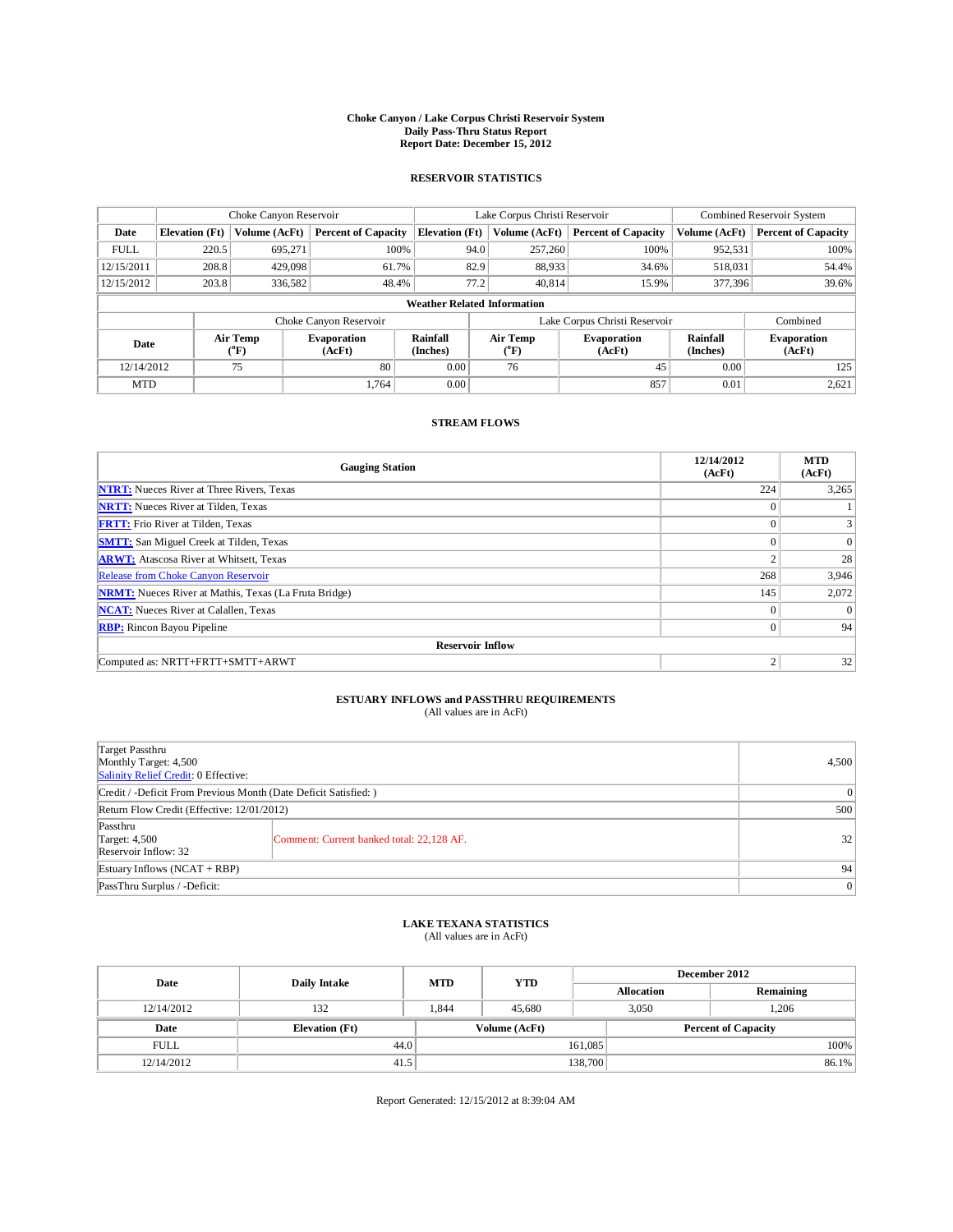## **Choke Canyon / Lake Corpus Christi Reservoir System Daily Pass-Thru Status Report Report Date: December 15, 2012**

### **RESERVOIR STATISTICS**

|             |                       | Choke Canyon Reservoir |                              |                                    | Lake Corpus Christi Reservoir                              | Combined Reservoir System  |                      |                              |  |
|-------------|-----------------------|------------------------|------------------------------|------------------------------------|------------------------------------------------------------|----------------------------|----------------------|------------------------------|--|
| Date        | <b>Elevation</b> (Ft) | Volume (AcFt)          | <b>Percent of Capacity</b>   | <b>Elevation</b> (Ft)              | Volume (AcFt)                                              | <b>Percent of Capacity</b> | Volume (AcFt)        | <b>Percent of Capacity</b>   |  |
| <b>FULL</b> | 220.5                 | 695,271                | 100%                         | 94.0                               | 257,260                                                    | 100%                       | 952,531              | 100%                         |  |
| 12/15/2011  | 208.8                 | 429,098                | 61.7%                        | 82.9                               | 88,933                                                     | 34.6%                      | 518,031              | 54.4%                        |  |
| 12/15/2012  | 203.8                 | 336,582                | 48.4%                        | 77.2                               | 40.814                                                     | 15.9%                      | 377,396              | 39.6%                        |  |
|             |                       |                        |                              | <b>Weather Related Information</b> |                                                            |                            |                      |                              |  |
|             |                       |                        | Choke Canyon Reservoir       |                                    | Lake Corpus Christi Reservoir<br>Combined                  |                            |                      |                              |  |
| Date        |                       | Air Temp<br>(°F)       | <b>Evaporation</b><br>(AcFt) | Rainfall<br>(Inches)               | Air Temp<br><b>Evaporation</b><br>$\rm ^{(^oF)}$<br>(AcFt) |                            | Rainfall<br>(Inches) | <b>Evaporation</b><br>(AcFt) |  |
| 12/14/2012  |                       | 75                     | 80                           | 0.00                               | 76                                                         | 45                         | 0.00                 | 125                          |  |
| <b>MTD</b>  |                       |                        | 1.764                        | 0.00                               |                                                            | 857                        | 0.01                 | 2,621                        |  |

### **STREAM FLOWS**

| <b>Gauging Station</b>                                       | 12/14/2012<br>(AcFt) | <b>MTD</b><br>(AcFt) |
|--------------------------------------------------------------|----------------------|----------------------|
| <b>NTRT:</b> Nueces River at Three Rivers, Texas             | 224                  | 3,265                |
| <b>NRTT:</b> Nueces River at Tilden, Texas                   | $\theta$             |                      |
| <b>FRTT:</b> Frio River at Tilden, Texas                     | $\theta$             |                      |
| <b>SMTT:</b> San Miguel Creek at Tilden, Texas               | $\Omega$             | $\Omega$             |
| <b>ARWT:</b> Atascosa River at Whitsett, Texas               | $\mathcal{L}$        | 28                   |
| Release from Choke Canyon Reservoir                          | 268                  | 3,946                |
| <b>NRMT:</b> Nueces River at Mathis, Texas (La Fruta Bridge) | 145                  | 2,072                |
| <b>NCAT:</b> Nueces River at Calallen, Texas                 | $\mathbf{0}$         | $\Omega$             |
| <b>RBP:</b> Rincon Bayou Pipeline                            | $\overline{0}$       | 94                   |
| <b>Reservoir Inflow</b>                                      |                      |                      |
| Computed as: NRTT+FRTT+SMTT+ARWT                             | 2                    | 32                   |

# **ESTUARY INFLOWS and PASSTHRU REQUIREMENTS**<br>(All values are in AcFt)

| Target Passthru<br>Monthly Target: 4,500<br>Salinity Relief Credit: 0 Effective: |                                           | 4,500          |
|----------------------------------------------------------------------------------|-------------------------------------------|----------------|
| Credit / -Deficit From Previous Month (Date Deficit Satisfied: )                 |                                           |                |
| Return Flow Credit (Effective: 12/01/2012)                                       |                                           | 500            |
| Passthru<br>Target: 4,500<br>Reservoir Inflow: 32                                | Comment: Current banked total: 22,128 AF. | 32             |
| Estuary Inflows $(NCAT + RBP)$                                                   |                                           | 94             |
| PassThru Surplus / -Deficit:                                                     |                                           | 0 <sup>1</sup> |

## **LAKE TEXANA STATISTICS** (All values are in AcFt)

|             |                                    | <b>MTD</b> |                   | December 2012 |                            |         |  |
|-------------|------------------------------------|------------|-------------------|---------------|----------------------------|---------|--|
|             | <b>YTD</b><br>Date<br>Daily Intake |            | <b>Allocation</b> |               | Remaining                  |         |  |
| 12/14/2012  | 132                                | .844       | 45.680            |               | 3.050<br>1.206             |         |  |
| Date        | <b>Elevation</b> (Ft)              |            | Volume (AcFt)     |               | <b>Percent of Capacity</b> |         |  |
| <b>FULL</b> | 44.0                               |            |                   | 161,085       |                            | $100\%$ |  |
| 12/14/2012  | 41.5                               |            |                   | 138,700       |                            | 86.1%   |  |

Report Generated: 12/15/2012 at 8:39:04 AM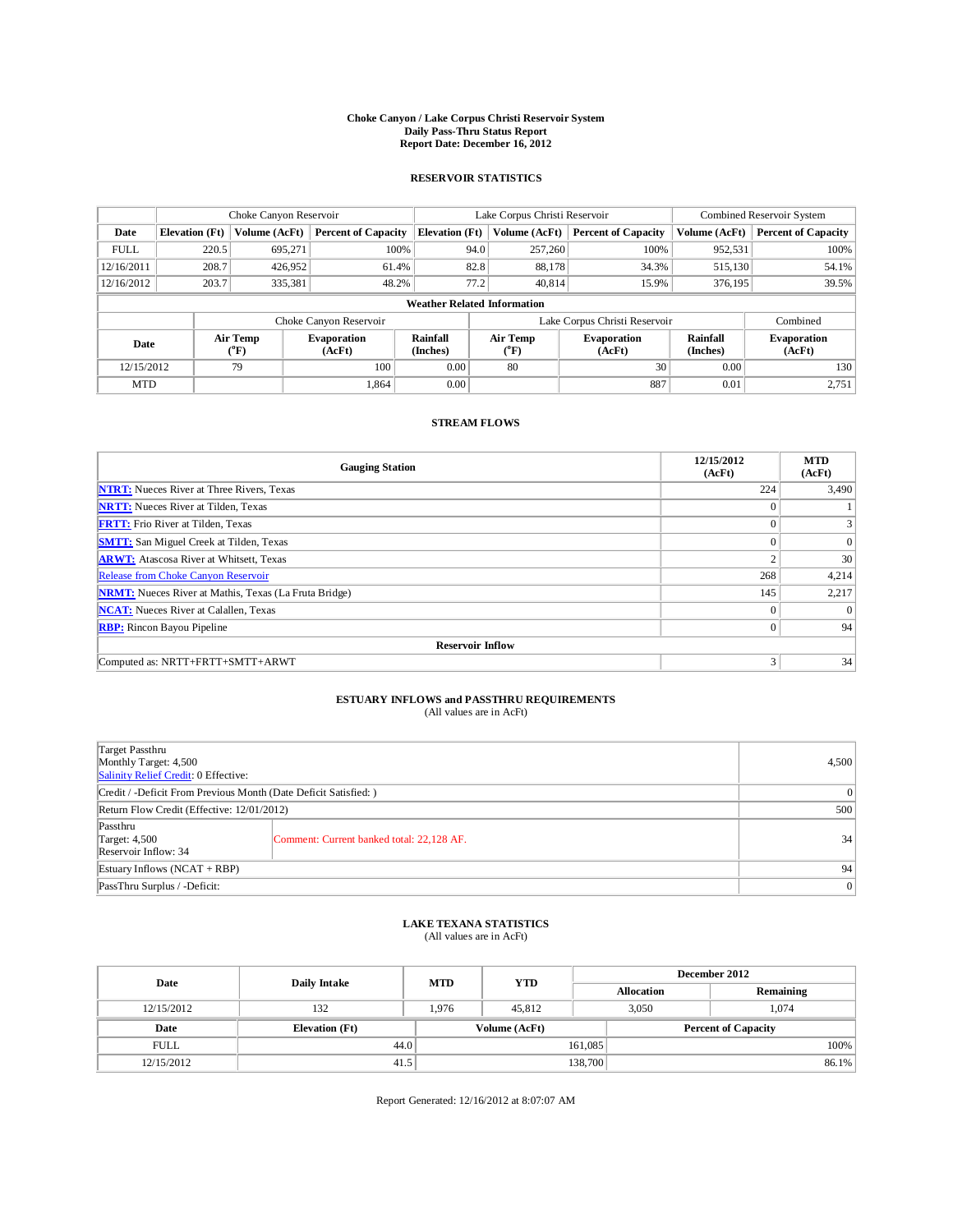## **Choke Canyon / Lake Corpus Christi Reservoir System Daily Pass-Thru Status Report Report Date: December 16, 2012**

### **RESERVOIR STATISTICS**

|             | Choke Canyon Reservoir |                       | Lake Corpus Christi Reservoir |                                    |                                                  |         | Combined Reservoir System |                             |                              |
|-------------|------------------------|-----------------------|-------------------------------|------------------------------------|--------------------------------------------------|---------|---------------------------|-----------------------------|------------------------------|
| Date        | <b>Elevation</b> (Ft)  | Volume (AcFt)         | <b>Percent of Capacity</b>    | <b>Elevation</b> (Ft)              | <b>Percent of Capacity</b><br>Volume (AcFt)      |         |                           | Volume (AcFt)               | <b>Percent of Capacity</b>   |
| <b>FULL</b> | 220.5                  | 695,271               | 100%                          |                                    | 94.0                                             | 257,260 | 100%                      | 952,531                     | 100%                         |
| 12/16/2011  | 208.7                  | 426,952               | 61.4%                         |                                    | 82.8                                             | 88,178  | 34.3%                     | 515,130                     | 54.1%                        |
| 12/16/2012  | 203.7                  | 335,381               | 48.2%                         |                                    | 77.2                                             | 40,814  | 15.9%                     | 376,195                     | 39.5%                        |
|             |                        |                       |                               | <b>Weather Related Information</b> |                                                  |         |                           |                             |                              |
|             |                        |                       | Choke Canyon Reservoir        |                                    | Lake Corpus Christi Reservoir                    |         |                           |                             | Combined                     |
| Date        |                        | Air Temp<br>$(^{0}F)$ | <b>Evaporation</b><br>(AcFt)  | <b>Rainfall</b><br>(Inches)        | Air Temp<br><b>Evaporation</b><br>(°F)<br>(AcFt) |         |                           | <b>Rainfall</b><br>(Inches) | <b>Evaporation</b><br>(AcFt) |
| 12/15/2012  |                        | 79                    | 100                           | 0.00                               |                                                  | 80      | 30                        | 0.00                        | 130                          |
| <b>MTD</b>  |                        |                       | 1.864                         | 0.00                               |                                                  |         | 887                       | 0.01                        | 2,751                        |

#### **STREAM FLOWS**

| <b>Gauging Station</b>                                       | 12/15/2012<br>(AcFt) | <b>MTD</b><br>(AcFt) |
|--------------------------------------------------------------|----------------------|----------------------|
| <b>NTRT:</b> Nueces River at Three Rivers, Texas             | 224                  | 3,490                |
| <b>NRTT:</b> Nueces River at Tilden, Texas                   | $\Omega$             |                      |
| <b>FRTT:</b> Frio River at Tilden, Texas                     | $\Omega$             | $\overline{3}$       |
| <b>SMTT:</b> San Miguel Creek at Tilden, Texas               | $\Omega$             | $\theta$             |
| <b>ARWT:</b> Atascosa River at Whitsett, Texas               | $\overline{2}$       | 30                   |
| Release from Choke Canyon Reservoir                          | 268                  | 4,214                |
| <b>NRMT:</b> Nueces River at Mathis, Texas (La Fruta Bridge) | 145                  | 2,217                |
| <b>NCAT:</b> Nueces River at Calallen, Texas                 | $\Omega$             |                      |
| <b>RBP:</b> Rincon Bayou Pipeline                            | $\mathbf{0}$         | 94                   |
| <b>Reservoir Inflow</b>                                      |                      |                      |
| Computed as: NRTT+FRTT+SMTT+ARWT                             | 3                    | 34                   |

# **ESTUARY INFLOWS and PASSTHRU REQUIREMENTS**<br>(All values are in AcFt)

|  | ,我们也不会有什么?""我们不会有什么?""我们不会有什么?""我们不会有什么?""我们不会有什么?""我们不会有什么?""我们不会有什么?""我们不会有什么?" |  |
|--|-----------------------------------------------------------------------------------|--|
|  |                                                                                   |  |
|  |                                                                                   |  |
|  |                                                                                   |  |
|  |                                                                                   |  |

| Target Passthru<br>Monthly Target: 4,500<br>Salinity Relief Credit: 0 Effective: |                                           | 4,500    |
|----------------------------------------------------------------------------------|-------------------------------------------|----------|
| Credit / -Deficit From Previous Month (Date Deficit Satisfied: )                 |                                           | $\theta$ |
| Return Flow Credit (Effective: 12/01/2012)                                       |                                           | 500      |
| Passthru<br>Target: 4,500<br>Reservoir Inflow: 34                                | Comment: Current banked total: 22,128 AF. | 34       |
| Estuary Inflows $(NCAT + RBP)$                                                   |                                           | 94       |
| PassThru Surplus / -Deficit:                                                     |                                           | 0        |

## **LAKE TEXANA STATISTICS** (All values are in AcFt)

|                                    |                       |       | <b>YTD</b>    | December 2012     |                            |         |  |
|------------------------------------|-----------------------|-------|---------------|-------------------|----------------------------|---------|--|
| <b>MTD</b><br>Date<br>Daily Intake |                       |       |               | <b>Allocation</b> | Remaining                  |         |  |
| 12/15/2012                         | 132                   | 1.976 | 45.812        |                   | 3.050                      | 1.074   |  |
| Date                               | <b>Elevation</b> (Ft) |       | Volume (AcFt) |                   | <b>Percent of Capacity</b> |         |  |
| <b>FULL</b>                        | 44.0                  |       |               | 161,085           |                            | $100\%$ |  |
| 12/15/2012                         | 41.5                  |       |               | 138,700           |                            | 86.1%   |  |

Report Generated: 12/16/2012 at 8:07:07 AM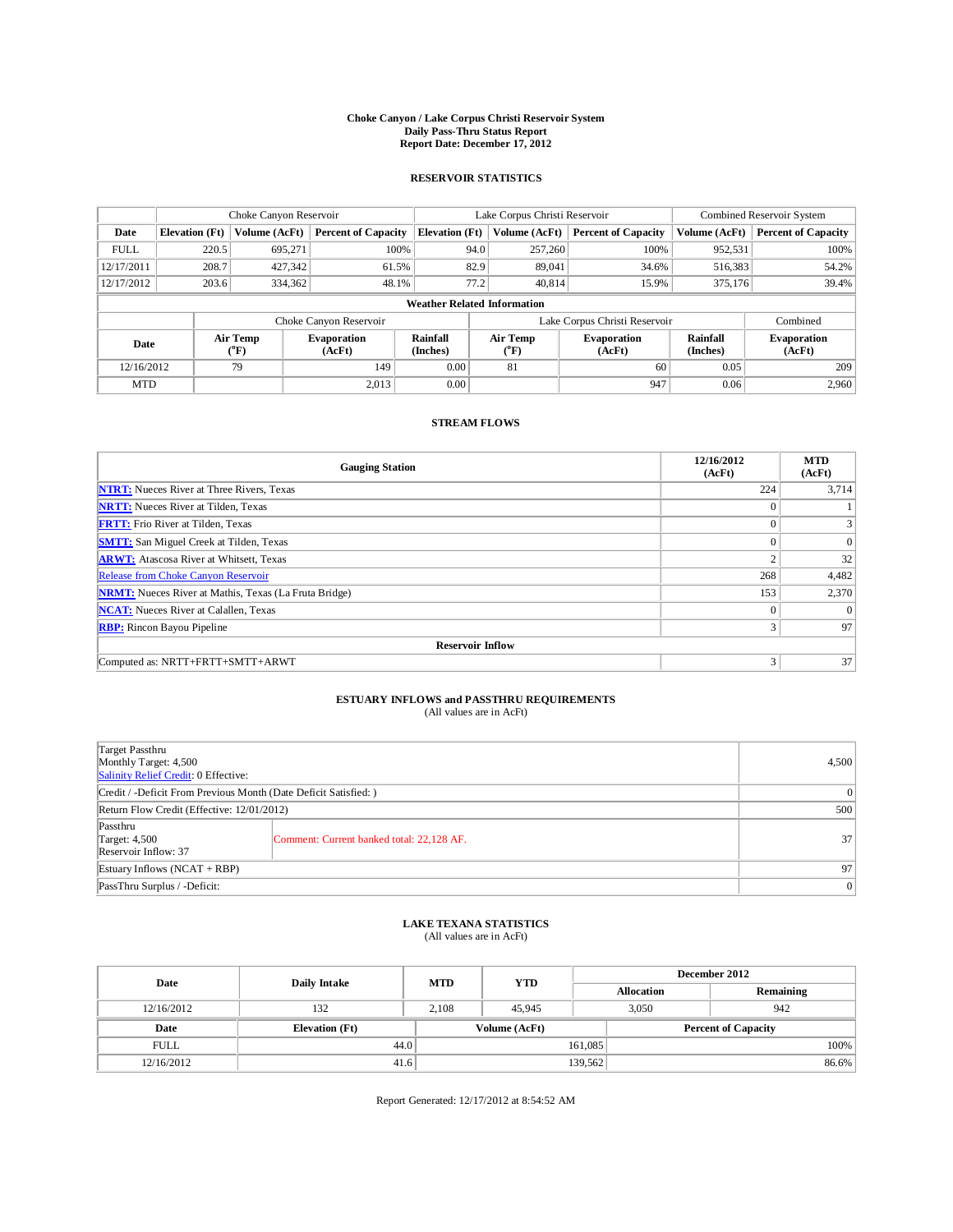## **Choke Canyon / Lake Corpus Christi Reservoir System Daily Pass-Thru Status Report Report Date: December 17, 2012**

### **RESERVOIR STATISTICS**

|             | Choke Canyon Reservoir |                  | Lake Corpus Christi Reservoir |                                    |                                                        |         | Combined Reservoir System |                             |                              |
|-------------|------------------------|------------------|-------------------------------|------------------------------------|--------------------------------------------------------|---------|---------------------------|-----------------------------|------------------------------|
| Date        | <b>Elevation</b> (Ft)  | Volume (AcFt)    | <b>Percent of Capacity</b>    | <b>Elevation</b> (Ft)              | <b>Percent of Capacity</b><br>Volume (AcFt)            |         |                           | Volume (AcFt)               | <b>Percent of Capacity</b>   |
| <b>FULL</b> | 220.5                  | 695,271          | 100%                          |                                    | 94.0                                                   | 257,260 | 100%                      | 952,531                     | 100%                         |
| 12/17/2011  | 208.7                  | 427,342          | 61.5%                         |                                    | 82.9                                                   | 89,041  | 34.6%                     | 516,383                     | 54.2%                        |
| 12/17/2012  | 203.6                  | 334,362          | 48.1%                         |                                    | 77.2                                                   | 40.814  | 15.9%                     | 375,176                     | 39.4%                        |
|             |                        |                  |                               | <b>Weather Related Information</b> |                                                        |         |                           |                             |                              |
|             |                        |                  | Choke Canyon Reservoir        |                                    | Lake Corpus Christi Reservoir                          |         |                           |                             | Combined                     |
| Date        |                        | Air Temp<br>(°F) | <b>Evaporation</b><br>(AcFt)  | <b>Rainfall</b><br>(Inches)        | <b>Air Temp</b><br><b>Evaporation</b><br>(°F<br>(AcFt) |         |                           | <b>Rainfall</b><br>(Inches) | <b>Evaporation</b><br>(AcFt) |
| 12/16/2012  |                        | 79               | 149                           | 0.00                               |                                                        | 81      | 60                        | 0.05                        | 209                          |
| <b>MTD</b>  |                        |                  | 2,013                         | 0.00                               |                                                        |         | 947                       | 0.06                        | 2,960                        |

#### **STREAM FLOWS**

| <b>Gauging Station</b>                                       | 12/16/2012<br>(AcFt) | <b>MTD</b><br>(AcFt) |
|--------------------------------------------------------------|----------------------|----------------------|
| <b>NTRT:</b> Nueces River at Three Rivers, Texas             | 224                  | 3,714                |
| <b>NRTT:</b> Nueces River at Tilden, Texas                   | $\Omega$             |                      |
| <b>FRTT:</b> Frio River at Tilden, Texas                     | $\theta$             | $\overline{3}$       |
| <b>SMTT:</b> San Miguel Creek at Tilden, Texas               | $\Omega$             | $\overline{0}$       |
| <b>ARWT:</b> Atascosa River at Whitsett, Texas               | $\mathbf{2}$         | 32                   |
| Release from Choke Canyon Reservoir                          | 268                  | 4,482                |
| <b>NRMT:</b> Nueces River at Mathis, Texas (La Fruta Bridge) | 153                  | 2,370                |
| <b>NCAT:</b> Nueces River at Calallen, Texas                 | $\Omega$             |                      |
| <b>RBP:</b> Rincon Bayou Pipeline                            | 3                    | 97                   |
| <b>Reservoir Inflow</b>                                      |                      |                      |
| Computed as: NRTT+FRTT+SMTT+ARWT                             | 3                    | 37                   |

# **ESTUARY INFLOWS and PASSTHRU REQUIREMENTS**<br>(All values are in AcFt)

| Target Passthru<br>Monthly Target: 4,500<br>Salinity Relief Credit: 0 Effective: |                                           |                 |  |  |  |
|----------------------------------------------------------------------------------|-------------------------------------------|-----------------|--|--|--|
| Credit / -Deficit From Previous Month (Date Deficit Satisfied: )                 |                                           |                 |  |  |  |
| Return Flow Credit (Effective: 12/01/2012)                                       |                                           |                 |  |  |  |
| Passthru<br>Target: 4,500<br>Reservoir Inflow: 37                                | Comment: Current banked total: 22,128 AF. | 37 <sup>1</sup> |  |  |  |
| Estuary Inflows $(NCAT + RBP)$                                                   |                                           |                 |  |  |  |
| PassThru Surplus / -Deficit:                                                     | $\vert 0 \vert$                           |                 |  |  |  |

## **LAKE TEXANA STATISTICS** (All values are in AcFt)

| Date        | <b>Daily Intake</b>   | <b>MTD</b> | <b>YTD</b>    | December 2012 |                            |           |  |
|-------------|-----------------------|------------|---------------|---------------|----------------------------|-----------|--|
|             |                       |            |               |               | <b>Allocation</b>          | Remaining |  |
| 12/16/2012  | 132                   | 2.108      | 45,945        |               | 3.050                      | 942       |  |
| Date        | <b>Elevation</b> (Ft) |            | Volume (AcFt) |               | <b>Percent of Capacity</b> |           |  |
| <b>FULL</b> | 44.0                  |            |               | 161,085       |                            | 100%      |  |
| 12/16/2012  | 41.6                  |            |               | 139,562       |                            | 86.6%     |  |

Report Generated: 12/17/2012 at 8:54:52 AM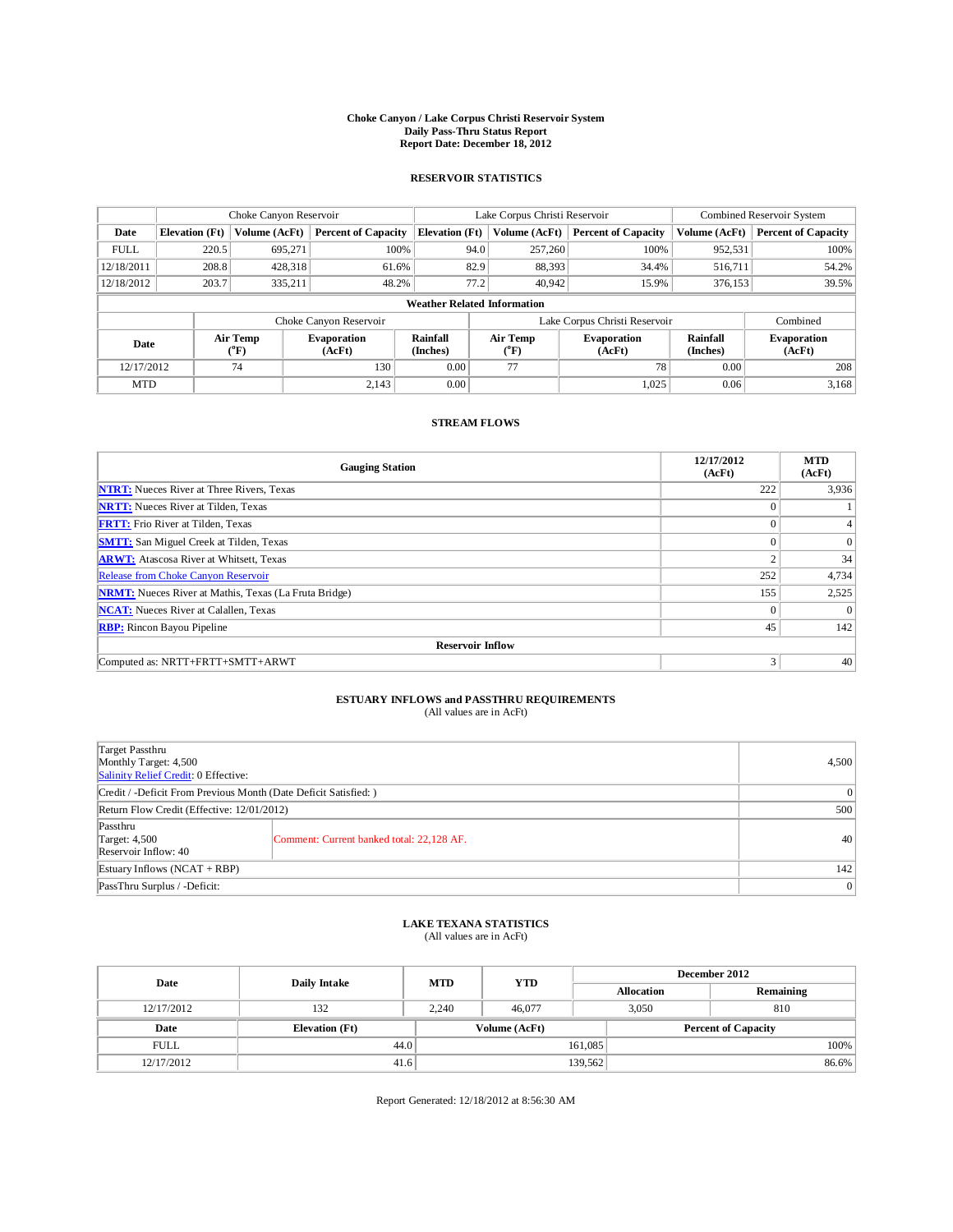## **Choke Canyon / Lake Corpus Christi Reservoir System Daily Pass-Thru Status Report Report Date: December 18, 2012**

### **RESERVOIR STATISTICS**

|             | Choke Canyon Reservoir |                              |                              | Lake Corpus Christi Reservoir                                                   | Combined Reservoir System |                               |                              |               |                            |
|-------------|------------------------|------------------------------|------------------------------|---------------------------------------------------------------------------------|---------------------------|-------------------------------|------------------------------|---------------|----------------------------|
| Date        | <b>Elevation</b> (Ft)  | Volume (AcFt)                | <b>Percent of Capacity</b>   | <b>Elevation</b> (Ft)                                                           |                           | Volume (AcFt)                 | <b>Percent of Capacity</b>   | Volume (AcFt) | <b>Percent of Capacity</b> |
| <b>FULL</b> | 220.5                  | 695,271                      | 100%                         |                                                                                 | 94.0                      | 257,260                       | 100%                         | 952,531       | 100%                       |
| 12/18/2011  | 208.8                  | 428,318                      | 61.6%                        |                                                                                 | 82.9                      | 88,393                        | 34.4%                        | 516,711       | 54.2%                      |
| 12/18/2012  | 203.7                  | 335,211                      | 48.2%                        |                                                                                 | 77.2                      | 40,942                        | 15.9%                        | 376,153       | 39.5%                      |
|             |                        |                              |                              | <b>Weather Related Information</b>                                              |                           |                               |                              |               |                            |
|             |                        |                              | Choke Canyon Reservoir       |                                                                                 |                           | Lake Corpus Christi Reservoir | Combined                     |               |                            |
| Date        |                        | Air Temp<br>$({}^0\text{F})$ | <b>Evaporation</b><br>(AcFt) | <b>Rainfall</b><br>Air Temp<br><b>Evaporation</b><br>(Inches)<br>(°F)<br>(AcFt) |                           | <b>Rainfall</b><br>(Inches)   | <b>Evaporation</b><br>(AcFt) |               |                            |
| 12/17/2012  |                        | 74                           | 130                          | 0.00                                                                            |                           | 77                            | 78                           | 0.00          | 208                        |
| <b>MTD</b>  |                        |                              | 2.143                        | 0.00                                                                            |                           |                               | 1,025                        | 0.06          | 3,168                      |

### **STREAM FLOWS**

| <b>Gauging Station</b>                                       | 12/17/2012<br>(AcFt) | <b>MTD</b><br>(AcFt) |  |  |  |  |  |
|--------------------------------------------------------------|----------------------|----------------------|--|--|--|--|--|
| <b>NTRT:</b> Nueces River at Three Rivers, Texas             | 222                  | 3,936                |  |  |  |  |  |
| <b>NRTT:</b> Nueces River at Tilden, Texas                   | $\theta$             |                      |  |  |  |  |  |
| <b>FRTT:</b> Frio River at Tilden, Texas                     | $\Omega$             | 4                    |  |  |  |  |  |
| <b>SMTT:</b> San Miguel Creek at Tilden, Texas               | $\Omega$             | $\Omega$             |  |  |  |  |  |
| <b>ARWT:</b> Atascosa River at Whitsett, Texas               | $\overline{2}$       | 34                   |  |  |  |  |  |
| Release from Choke Canyon Reservoir                          | 252                  | 4,734                |  |  |  |  |  |
| <b>NRMT:</b> Nueces River at Mathis, Texas (La Fruta Bridge) | 155                  | 2,525                |  |  |  |  |  |
| <b>NCAT:</b> Nueces River at Calallen, Texas                 | $\Omega$             | $\Omega$             |  |  |  |  |  |
| <b>RBP:</b> Rincon Bayou Pipeline                            | 45                   | 142                  |  |  |  |  |  |
| <b>Reservoir Inflow</b>                                      |                      |                      |  |  |  |  |  |
| Computed as: NRTT+FRTT+SMTT+ARWT                             | 3                    | 40                   |  |  |  |  |  |

# **ESTUARY INFLOWS and PASSTHRU REQUIREMENTS**<br>(All values are in AcFt)

| Target Passthru<br>Monthly Target: 4,500<br>Salinity Relief Credit: 0 Effective: | 4,500                                     |    |  |  |  |
|----------------------------------------------------------------------------------|-------------------------------------------|----|--|--|--|
| Credit / -Deficit From Previous Month (Date Deficit Satisfied: )                 |                                           |    |  |  |  |
| Return Flow Credit (Effective: 12/01/2012)                                       |                                           |    |  |  |  |
| Passthru<br>Target: 4,500<br>Reservoir Inflow: 40                                | Comment: Current banked total: 22,128 AF. | 40 |  |  |  |
| Estuary Inflows $(NCAT + RBP)$                                                   | 142                                       |    |  |  |  |
| PassThru Surplus / -Deficit:                                                     | 0 <sup>1</sup>                            |    |  |  |  |

## **LAKE TEXANA STATISTICS** (All values are in AcFt)

| Date        | <b>Daily Intake</b>   | <b>MTD</b> | <b>YTD</b>    | December 2012 |                            |           |  |
|-------------|-----------------------|------------|---------------|---------------|----------------------------|-----------|--|
|             |                       |            |               |               | <b>Allocation</b>          | Remaining |  |
| 12/17/2012  | 132                   | 2.240      | 46,077        |               | 3.050                      | 810       |  |
| Date        | <b>Elevation</b> (Ft) |            | Volume (AcFt) |               | <b>Percent of Capacity</b> |           |  |
| <b>FULL</b> | 44.0                  |            |               | 161,085       |                            | 100%      |  |
| 12/17/2012  | 41.6                  |            |               | 139,562       |                            | 86.6%     |  |

Report Generated: 12/18/2012 at 8:56:30 AM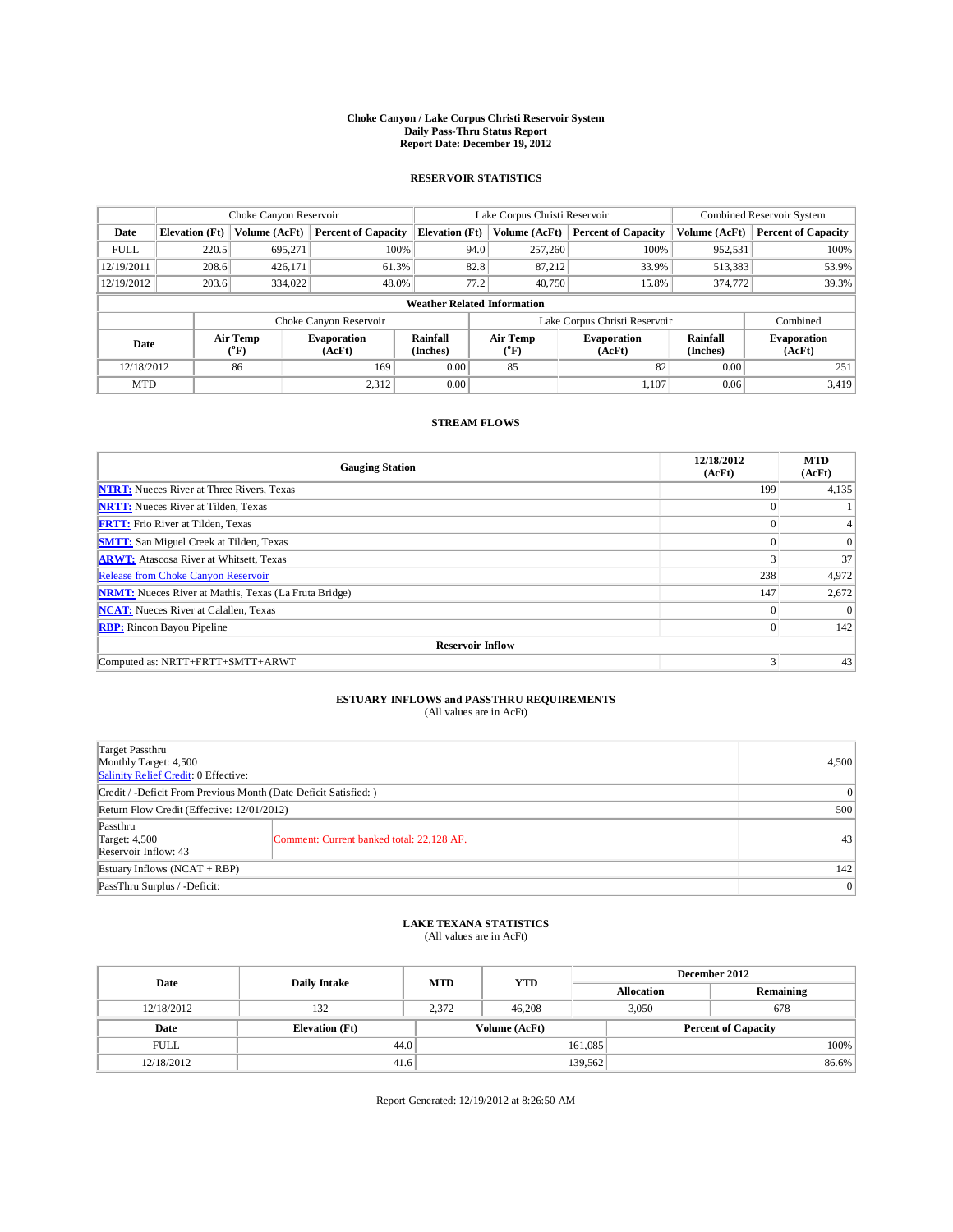## **Choke Canyon / Lake Corpus Christi Reservoir System Daily Pass-Thru Status Report Report Date: December 19, 2012**

### **RESERVOIR STATISTICS**

|                                                                                                                | Choke Canyon Reservoir |                              |                            |                                    | Lake Corpus Christi Reservoir | Combined Reservoir System  |               |                            |
|----------------------------------------------------------------------------------------------------------------|------------------------|------------------------------|----------------------------|------------------------------------|-------------------------------|----------------------------|---------------|----------------------------|
| Date                                                                                                           | <b>Elevation</b> (Ft)  | Volume (AcFt)                | <b>Percent of Capacity</b> | <b>Elevation</b> (Ft)              | Volume (AcFt)                 | <b>Percent of Capacity</b> | Volume (AcFt) | <b>Percent of Capacity</b> |
| <b>FULL</b>                                                                                                    | 220.5                  | 695,271                      | 100%                       |                                    | 257,260<br>94.0               | 100%                       | 952,531       | 100%                       |
| 12/19/2011                                                                                                     | 208.6                  | 426,171                      | 61.3%                      | 82.8                               | 87.212                        | 33.9%                      | 513,383       | 53.9%                      |
| 12/19/2012                                                                                                     | 203.6                  | 334,022                      | 48.0%                      |                                    | 77.2<br>40.750                | 15.8%                      | 374,772       | 39.3%                      |
|                                                                                                                |                        |                              |                            | <b>Weather Related Information</b> |                               |                            |               |                            |
|                                                                                                                |                        |                              | Choke Canyon Reservoir     |                                    | Lake Corpus Christi Reservoir |                            | Combined      |                            |
| <b>Rainfall</b><br>Air Temp<br>Air Temp<br>Evaporation<br>Date<br>(°F)<br>(AcFt)<br>(Inches)<br>$\rm ^{(^oF)}$ |                        | <b>Evaporation</b><br>(AcFt) | Rainfall<br>(Inches)       | <b>Evaporation</b><br>(AcFt)       |                               |                            |               |                            |
| 12/18/2012                                                                                                     |                        | 86                           | 169                        | 0.00                               | 85                            | 82                         | 0.00          | 251                        |
| <b>MTD</b>                                                                                                     |                        |                              | 2,312                      | 0.00                               |                               | 1,107                      | 0.06          | 3,419                      |

#### **STREAM FLOWS**

| <b>Gauging Station</b>                                       | 12/18/2012<br>(AcFt) | <b>MTD</b><br>(AcFt) |  |  |  |  |  |
|--------------------------------------------------------------|----------------------|----------------------|--|--|--|--|--|
| <b>NTRT:</b> Nueces River at Three Rivers, Texas             | 199                  | 4,135                |  |  |  |  |  |
| <b>NRTT:</b> Nueces River at Tilden, Texas                   | $\Omega$             |                      |  |  |  |  |  |
| <b>FRTT:</b> Frio River at Tilden, Texas                     | $\Omega$             | $\overline{4}$       |  |  |  |  |  |
| <b>SMTT:</b> San Miguel Creek at Tilden, Texas               | $\Omega$             | $\overline{0}$       |  |  |  |  |  |
| <b>ARWT:</b> Atascosa River at Whitsett, Texas               | 3                    | 37                   |  |  |  |  |  |
| Release from Choke Canyon Reservoir                          | 238                  | 4,972                |  |  |  |  |  |
| <b>NRMT:</b> Nueces River at Mathis, Texas (La Fruta Bridge) | 147                  | 2,672                |  |  |  |  |  |
| <b>NCAT:</b> Nueces River at Calallen, Texas                 | $\mathbf{0}$         | $\Omega$             |  |  |  |  |  |
| <b>RBP:</b> Rincon Bayou Pipeline                            | $\theta$             | 142                  |  |  |  |  |  |
| <b>Reservoir Inflow</b>                                      |                      |                      |  |  |  |  |  |
| Computed as: NRTT+FRTT+SMTT+ARWT                             | 3                    | 43                   |  |  |  |  |  |

# **ESTUARY INFLOWS and PASSTHRU REQUIREMENTS**<br>(All values are in AcFt)

| Target Passthru<br>Monthly Target: 4,500<br>Salinity Relief Credit: 0 Effective: | 4,500                                     |    |  |  |  |
|----------------------------------------------------------------------------------|-------------------------------------------|----|--|--|--|
| Credit / -Deficit From Previous Month (Date Deficit Satisfied: )                 |                                           |    |  |  |  |
| Return Flow Credit (Effective: 12/01/2012)                                       | 500                                       |    |  |  |  |
| Passthru<br>Target: 4,500<br>Reservoir Inflow: 43                                | Comment: Current banked total: 22,128 AF. | 43 |  |  |  |
| Estuary Inflows $(NCAT + RBP)$                                                   | 142                                       |    |  |  |  |
| PassThru Surplus / -Deficit:                                                     | 0                                         |    |  |  |  |

## **LAKE TEXANA STATISTICS** (All values are in AcFt)

| Date        | Daily Intake          | <b>MTD</b> | <b>YTD</b>    | December 2012     |                            |           |  |
|-------------|-----------------------|------------|---------------|-------------------|----------------------------|-----------|--|
|             |                       |            |               | <b>Allocation</b> |                            | Remaining |  |
| 12/18/2012  | 132                   | 2.372      | 46,208        |                   | 3.050<br>678               |           |  |
| Date        | <b>Elevation</b> (Ft) |            | Volume (AcFt) |                   | <b>Percent of Capacity</b> |           |  |
| <b>FULL</b> | 44.0                  |            |               | 161,085           |                            | 100%      |  |
| 12/18/2012  | 41.6                  |            |               | 139,562           |                            | 86.6%     |  |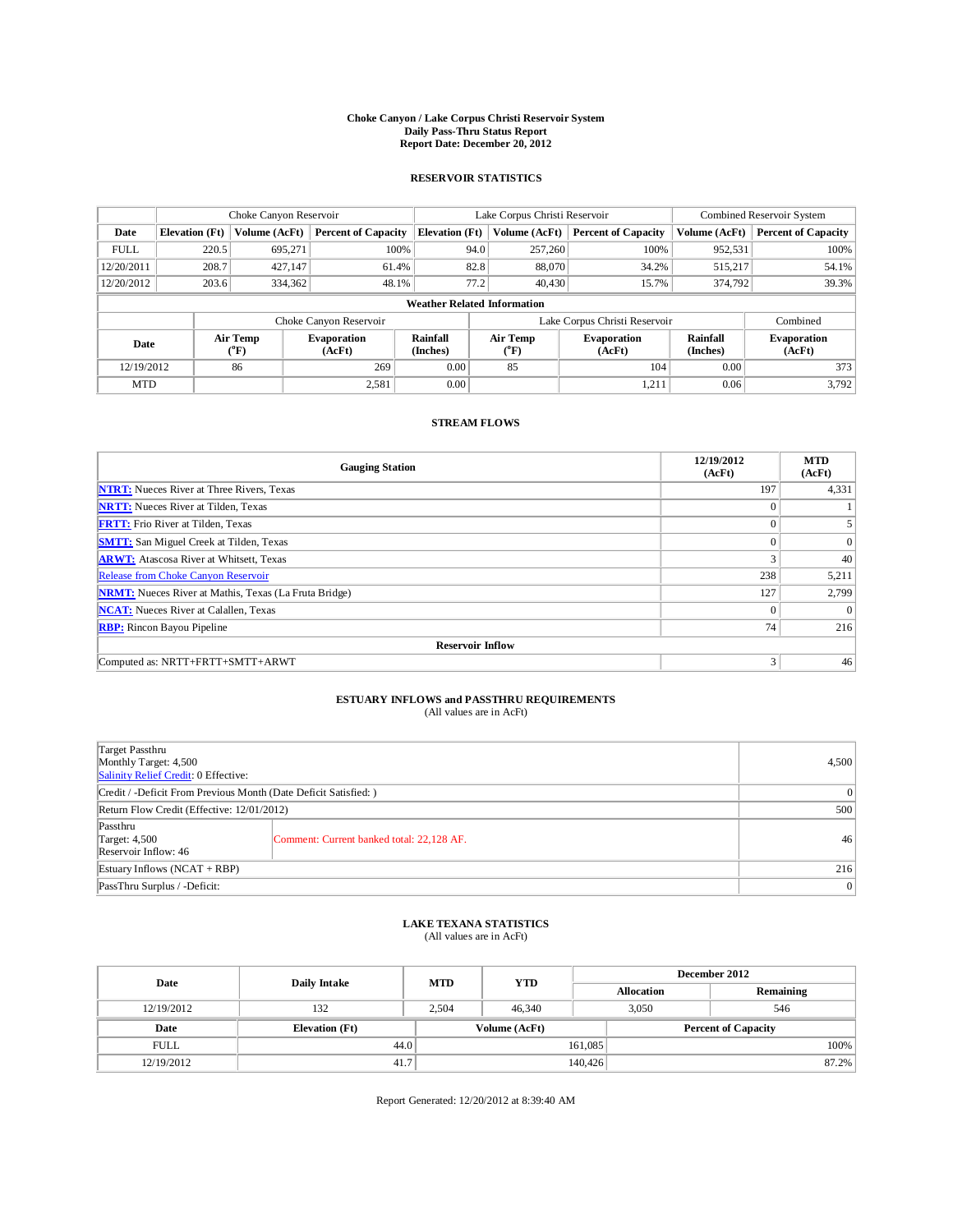## **Choke Canyon / Lake Corpus Christi Reservoir System Daily Pass-Thru Status Report Report Date: December 20, 2012**

### **RESERVOIR STATISTICS**

|             | Choke Canyon Reservoir |                  |                              |                                                                                             | Lake Corpus Christi Reservoir |                               |                             |                              | Combined Reservoir System  |  |  |
|-------------|------------------------|------------------|------------------------------|---------------------------------------------------------------------------------------------|-------------------------------|-------------------------------|-----------------------------|------------------------------|----------------------------|--|--|
| Date        | <b>Elevation</b> (Ft)  | Volume (AcFt)    | <b>Percent of Capacity</b>   | <b>Elevation</b> (Ft)                                                                       |                               | Volume (AcFt)                 | <b>Percent of Capacity</b>  | Volume (AcFt)                | <b>Percent of Capacity</b> |  |  |
| <b>FULL</b> | 220.5                  | 695.271          | 100%                         |                                                                                             | 94.0                          | 257,260                       | 100%                        | 952,531                      | 100%                       |  |  |
| 12/20/2011  | 208.7                  | 427.147          | 61.4%                        |                                                                                             | 82.8                          | 88,070                        | 34.2%                       | 515,217                      | 54.1%                      |  |  |
| 12/20/2012  | 203.6                  | 334,362          | 48.1%                        |                                                                                             | 77.2                          | 40,430                        | 15.7%                       | 374,792                      | 39.3%                      |  |  |
|             |                        |                  |                              | <b>Weather Related Information</b>                                                          |                               |                               |                             |                              |                            |  |  |
|             |                        |                  | Choke Canyon Reservoir       |                                                                                             |                               | Lake Corpus Christi Reservoir | Combined                    |                              |                            |  |  |
| Date        |                        | Air Temp<br>(°F) | <b>Evaporation</b><br>(AcFt) | <b>Rainfall</b><br>Air Temp<br><b>Evaporation</b><br>(Inches)<br>$\rm ^{(^o}\!F)$<br>(AcFt) |                               |                               | <b>Rainfall</b><br>(Inches) | <b>Evaporation</b><br>(AcFt) |                            |  |  |
| 12/19/2012  |                        | 86               | 269                          | 0.00                                                                                        |                               | 85<br>104                     |                             | 0.00                         | 373                        |  |  |
| <b>MTD</b>  |                        |                  | 2.581                        | 0.00                                                                                        |                               |                               | 1,211                       | 0.06                         | 3,792                      |  |  |

#### **STREAM FLOWS**

| <b>Gauging Station</b>                                       | 12/19/2012<br>(AcFt) | <b>MTD</b><br>(AcFt) |  |  |  |  |  |
|--------------------------------------------------------------|----------------------|----------------------|--|--|--|--|--|
| <b>NTRT:</b> Nueces River at Three Rivers, Texas             | 197                  | 4,331                |  |  |  |  |  |
| <b>NRTT:</b> Nueces River at Tilden, Texas                   | $\Omega$             |                      |  |  |  |  |  |
| <b>FRTT:</b> Frio River at Tilden, Texas                     | $\Omega$             |                      |  |  |  |  |  |
| <b>SMTT:</b> San Miguel Creek at Tilden, Texas               | $\Omega$             | $\overline{0}$       |  |  |  |  |  |
| <b>ARWT:</b> Atascosa River at Whitsett, Texas               | 3                    | 40                   |  |  |  |  |  |
| Release from Choke Canyon Reservoir                          | 238                  | 5,211                |  |  |  |  |  |
| <b>NRMT:</b> Nueces River at Mathis, Texas (La Fruta Bridge) | 127                  | 2,799                |  |  |  |  |  |
| <b>NCAT:</b> Nueces River at Calallen, Texas                 | $\Omega$             | $\Omega$             |  |  |  |  |  |
| <b>RBP:</b> Rincon Bayou Pipeline                            | 74                   | 216                  |  |  |  |  |  |
| <b>Reservoir Inflow</b>                                      |                      |                      |  |  |  |  |  |
| Computed as: NRTT+FRTT+SMTT+ARWT                             | 3                    | 46                   |  |  |  |  |  |

## **ESTUARY INFLOWS and PASSTHRU REQUIREMENTS**<br>(All values are in AcFt)

| Target Passthru<br>Monthly Target: 4,500<br>Salinity Relief Credit: 0 Effective: |                                           |    |  |  |  |  |
|----------------------------------------------------------------------------------|-------------------------------------------|----|--|--|--|--|
| Credit / -Deficit From Previous Month (Date Deficit Satisfied: )                 |                                           |    |  |  |  |  |
| Return Flow Credit (Effective: 12/01/2012)                                       |                                           |    |  |  |  |  |
| Passthru<br>Target: $4,500$<br>Reservoir Inflow: 46                              | Comment: Current banked total: 22,128 AF. | 46 |  |  |  |  |
| Estuary Inflows $(NCAT + RBP)$                                                   |                                           |    |  |  |  |  |
| PassThru Surplus / -Deficit:                                                     |                                           |    |  |  |  |  |

## **LAKE TEXANA STATISTICS** (All values are in AcFt)

| Date        |                       | <b>MTD</b> | <b>YTD</b>                                  | December 2012 |                   |           |  |
|-------------|-----------------------|------------|---------------------------------------------|---------------|-------------------|-----------|--|
|             | <b>Daily Intake</b>   |            |                                             |               | <b>Allocation</b> | Remaining |  |
| 12/19/2012  | 132                   | 2.504      | 46,340                                      |               | 3.050             | 546       |  |
| Date        | <b>Elevation</b> (Ft) |            | Volume (AcFt)<br><b>Percent of Capacity</b> |               |                   |           |  |
| <b>FULL</b> | 44.0                  |            |                                             | 161,085       |                   | 100%      |  |
| 12/19/2012  | 41.7                  |            |                                             | 140,426       |                   | 87.2%     |  |

Report Generated: 12/20/2012 at 8:39:40 AM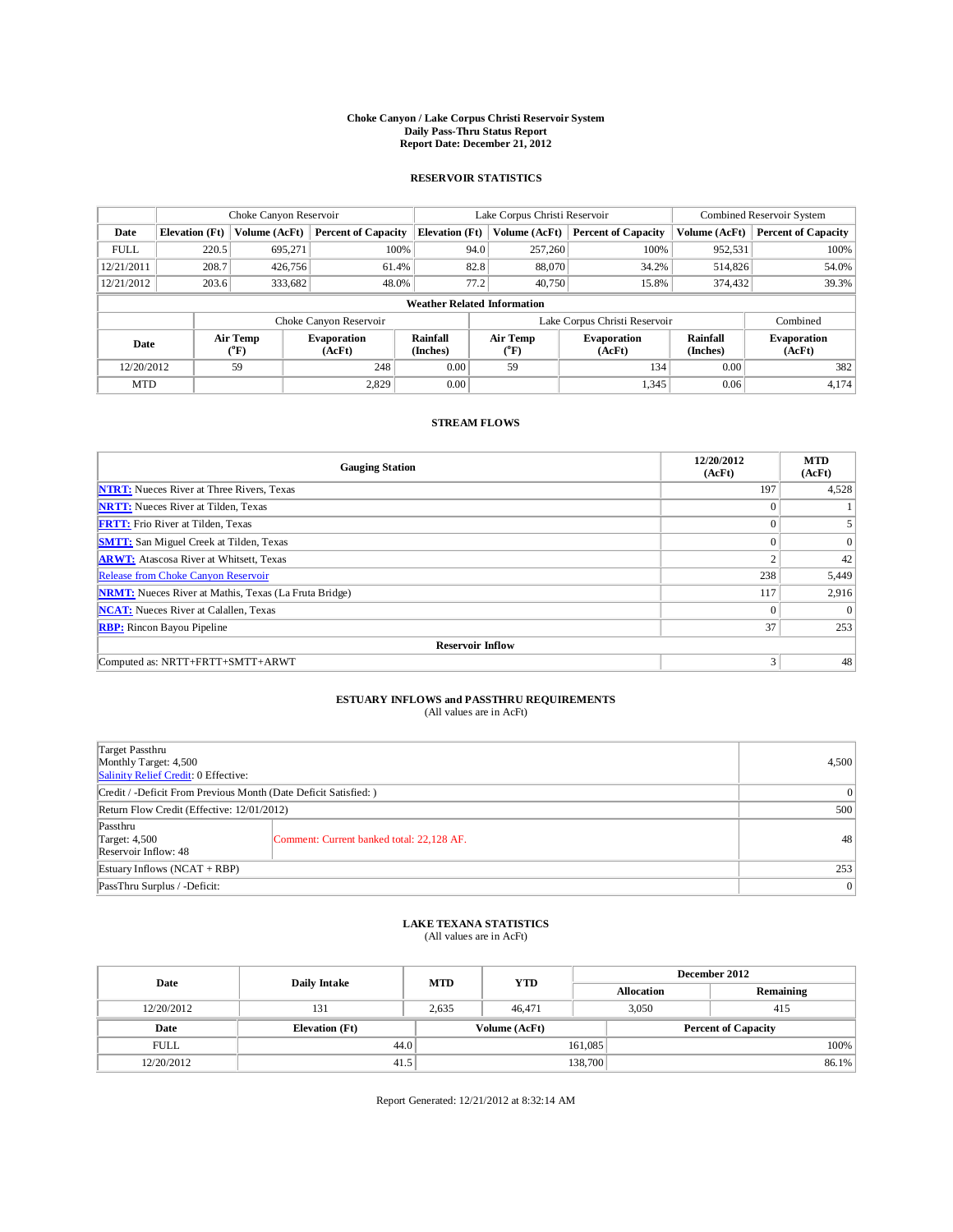## **Choke Canyon / Lake Corpus Christi Reservoir System Daily Pass-Thru Status Report Report Date: December 21, 2012**

### **RESERVOIR STATISTICS**

|             | Choke Canyon Reservoir                                        |               | Lake Corpus Christi Reservoir |                       |                               |                              | Combined Reservoir System   |                              |                            |  |
|-------------|---------------------------------------------------------------|---------------|-------------------------------|-----------------------|-------------------------------|------------------------------|-----------------------------|------------------------------|----------------------------|--|
| Date        | <b>Elevation</b> (Ft)                                         | Volume (AcFt) | <b>Percent of Capacity</b>    | <b>Elevation</b> (Ft) |                               | Volume (AcFt)                | <b>Percent of Capacity</b>  | Volume (AcFt)                | <b>Percent of Capacity</b> |  |
| <b>FULL</b> | 220.5                                                         | 695,271       | 100%                          |                       | 94.0                          | 257,260                      | 100%                        | 952,531                      | 100%                       |  |
| 12/21/2011  | 208.7                                                         | 426,756       | 61.4%                         |                       | 82.8                          | 88,070                       | 34.2%                       | 514,826                      | 54.0%                      |  |
| 12/21/2012  | 203.6                                                         | 333,682       | 48.0%                         |                       | 77.2                          | 40,750                       | 15.8%                       | 374,432                      | 39.3%                      |  |
|             | <b>Weather Related Information</b>                            |               |                               |                       |                               |                              |                             |                              |                            |  |
|             |                                                               |               | Choke Canyon Reservoir        |                       | Lake Corpus Christi Reservoir |                              |                             |                              | Combined                   |  |
|             | Air Temp<br><b>Evaporation</b><br>Date<br>$(^{0}F)$<br>(AcFt) |               | <b>Rainfall</b><br>(Inches)   |                       | Air Temp<br>(°F)              | <b>Evaporation</b><br>(AcFt) | <b>Rainfall</b><br>(Inches) | <b>Evaporation</b><br>(AcFt) |                            |  |
| 12/20/2012  |                                                               | 59            | 248                           | 0.00                  |                               | 59                           | 134                         | 0.00                         | 382                        |  |
| <b>MTD</b>  |                                                               |               | 2.829                         | 0.00                  |                               |                              | 1,345                       | 0.06                         | 4,174                      |  |

### **STREAM FLOWS**

| <b>Gauging Station</b>                                       | 12/20/2012<br>(AcFt) | <b>MTD</b><br>(AcFt) |  |  |  |  |  |
|--------------------------------------------------------------|----------------------|----------------------|--|--|--|--|--|
| <b>NTRT:</b> Nueces River at Three Rivers, Texas             | 197                  | 4,528                |  |  |  |  |  |
| <b>NRTT:</b> Nueces River at Tilden, Texas                   | $\Omega$             |                      |  |  |  |  |  |
| <b>FRTT:</b> Frio River at Tilden, Texas                     | $\Omega$             |                      |  |  |  |  |  |
| <b>SMTT:</b> San Miguel Creek at Tilden, Texas               | $\Omega$             | $\theta$             |  |  |  |  |  |
| <b>ARWT:</b> Atascosa River at Whitsett, Texas               | $\mathbf{2}$         | 42                   |  |  |  |  |  |
| Release from Choke Canyon Reservoir                          | 238                  | 5,449                |  |  |  |  |  |
| <b>NRMT:</b> Nueces River at Mathis, Texas (La Fruta Bridge) | 117                  | 2,916                |  |  |  |  |  |
| <b>NCAT:</b> Nueces River at Calallen, Texas                 | $\Omega$             |                      |  |  |  |  |  |
| <b>RBP:</b> Rincon Bayou Pipeline                            | 37                   | 253                  |  |  |  |  |  |
| <b>Reservoir Inflow</b>                                      |                      |                      |  |  |  |  |  |
| Computed as: NRTT+FRTT+SMTT+ARWT                             | 3                    | 48                   |  |  |  |  |  |

# **ESTUARY INFLOWS and PASSTHRU REQUIREMENTS**<br>(All values are in AcFt)

| Target Passthru<br>Monthly Target: 4,500<br>Salinity Relief Credit: 0 Effective: | 4,500                                     |    |  |  |  |  |
|----------------------------------------------------------------------------------|-------------------------------------------|----|--|--|--|--|
| Credit / -Deficit From Previous Month (Date Deficit Satisfied: )                 |                                           |    |  |  |  |  |
| Return Flow Credit (Effective: 12/01/2012)                                       | 500                                       |    |  |  |  |  |
| Passthru<br><b>Target: 4,500</b><br>Reservoir Inflow: 48                         | Comment: Current banked total: 22,128 AF. | 48 |  |  |  |  |
| Estuary Inflows $(NCAT + RBP)$                                                   | 253                                       |    |  |  |  |  |
| PassThru Surplus / -Deficit:                                                     |                                           |    |  |  |  |  |

## **LAKE TEXANA STATISTICS** (All values are in AcFt)

| Date        | Daily Intake          | <b>MTD</b> | <b>YTD</b>    | December 2012 |                            |           |  |
|-------------|-----------------------|------------|---------------|---------------|----------------------------|-----------|--|
|             |                       |            |               |               | <b>Allocation</b>          | Remaining |  |
| 12/20/2012  | 131                   | 2.635      | 46,471        |               | 3.050<br>415               |           |  |
| Date        | <b>Elevation</b> (Ft) |            | Volume (AcFt) |               | <b>Percent of Capacity</b> |           |  |
| <b>FULL</b> | 44.0                  |            |               | 161,085       |                            | $100\%$   |  |
| 12/20/2012  | 41.5                  |            |               | 138,700       |                            | 86.1%     |  |

Report Generated: 12/21/2012 at 8:32:14 AM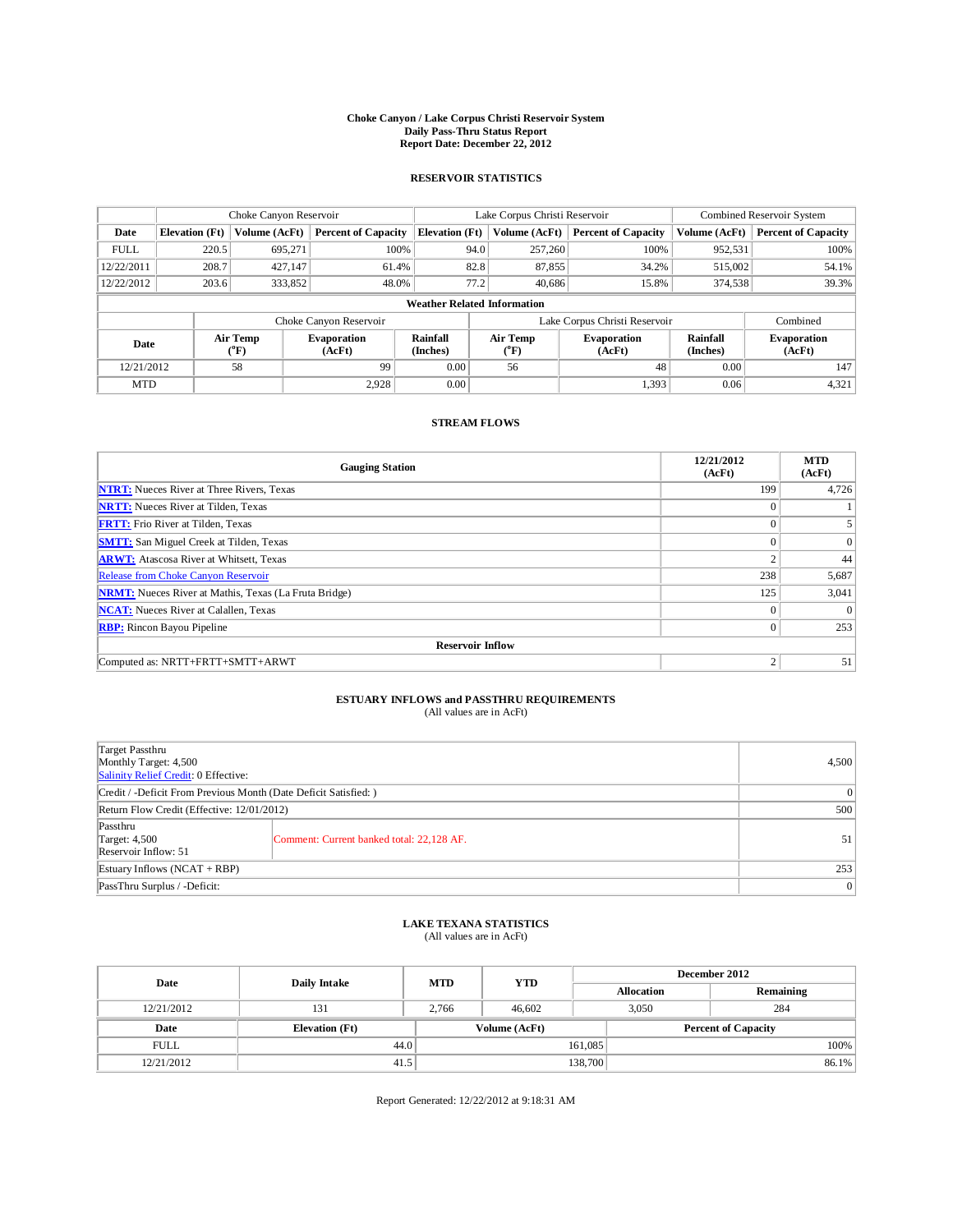## **Choke Canyon / Lake Corpus Christi Reservoir System Daily Pass-Thru Status Report Report Date: December 22, 2012**

### **RESERVOIR STATISTICS**

|             | Choke Canyon Reservoir                                                                             |               | Lake Corpus Christi Reservoir |                                    |                               |                              | Combined Reservoir System   |                              |                            |
|-------------|----------------------------------------------------------------------------------------------------|---------------|-------------------------------|------------------------------------|-------------------------------|------------------------------|-----------------------------|------------------------------|----------------------------|
| Date        | <b>Elevation</b> (Ft)                                                                              | Volume (AcFt) | <b>Percent of Capacity</b>    | <b>Elevation</b> (Ft)              |                               | Volume (AcFt)                | <b>Percent of Capacity</b>  | Volume (AcFt)                | <b>Percent of Capacity</b> |
| <b>FULL</b> | 220.5                                                                                              | 695,271       | 100%                          |                                    | 94.0                          | 257,260                      | 100%                        | 952,531                      | 100%                       |
| 12/22/2011  | 208.7                                                                                              | 427,147       | 61.4%                         |                                    | 82.8                          | 87,855                       | 34.2%                       | 515,002                      | 54.1%                      |
| 12/22/2012  | 203.6                                                                                              | 333,852       | 48.0%                         |                                    | 77.2                          | 40,686                       | 15.8%                       | 374,538                      | 39.3%                      |
|             |                                                                                                    |               |                               | <b>Weather Related Information</b> |                               |                              |                             |                              |                            |
|             |                                                                                                    |               | Choke Canyon Reservoir        |                                    | Lake Corpus Christi Reservoir |                              |                             |                              | Combined                   |
|             | <b>Rainfall</b><br>Air Temp<br><b>Evaporation</b><br>Date<br>${}^{\circ}$ F)<br>(Inches)<br>(AcFt) |               |                               |                                    | <b>Air Temp</b><br>(°F)       | <b>Evaporation</b><br>(AcFt) | <b>Rainfall</b><br>(Inches) | <b>Evaporation</b><br>(AcFt) |                            |
| 12/21/2012  |                                                                                                    | 58            | 99                            | 0.00                               |                               | 56                           | 48                          | 0.00                         | 147                        |
| <b>MTD</b>  |                                                                                                    |               | 2.928                         | 0.00                               |                               |                              | 1,393                       | 0.06                         | 4,321                      |

### **STREAM FLOWS**

| <b>Gauging Station</b>                                       | 12/21/2012<br>(AcFt) | <b>MTD</b><br>(AcFt) |  |  |  |  |  |
|--------------------------------------------------------------|----------------------|----------------------|--|--|--|--|--|
| <b>NTRT:</b> Nueces River at Three Rivers, Texas             | 199                  | 4,726                |  |  |  |  |  |
| <b>NRTT:</b> Nueces River at Tilden, Texas                   | $\Omega$             |                      |  |  |  |  |  |
| <b>FRTT:</b> Frio River at Tilden, Texas                     | $\Omega$             |                      |  |  |  |  |  |
| <b>SMTT:</b> San Miguel Creek at Tilden, Texas               | $\Omega$             | $\theta$             |  |  |  |  |  |
| <b>ARWT:</b> Atascosa River at Whitsett, Texas               | $\overline{2}$       | 44                   |  |  |  |  |  |
| Release from Choke Canyon Reservoir                          | 238                  | 5,687                |  |  |  |  |  |
| <b>NRMT:</b> Nueces River at Mathis, Texas (La Fruta Bridge) | 125                  | 3,041                |  |  |  |  |  |
| <b>NCAT:</b> Nueces River at Calallen, Texas                 | $\Omega$             |                      |  |  |  |  |  |
| <b>RBP:</b> Rincon Bayou Pipeline                            | $\mathbf{0}$         | 253                  |  |  |  |  |  |
| <b>Reservoir Inflow</b>                                      |                      |                      |  |  |  |  |  |
| Computed as: NRTT+FRTT+SMTT+ARWT                             | 2                    | 51                   |  |  |  |  |  |

# **ESTUARY INFLOWS and PASSTHRU REQUIREMENTS**<br>(All values are in AcFt)

| Target Passthru<br>Monthly Target: 4,500<br>Salinity Relief Credit: 0 Effective: | 4,500                                     |    |  |  |  |  |
|----------------------------------------------------------------------------------|-------------------------------------------|----|--|--|--|--|
| Credit / -Deficit From Previous Month (Date Deficit Satisfied: )                 |                                           |    |  |  |  |  |
| Return Flow Credit (Effective: 12/01/2012)                                       |                                           |    |  |  |  |  |
| Passthru<br><b>Target: 4,500</b><br>Reservoir Inflow: 51                         | Comment: Current banked total: 22,128 AF. | 51 |  |  |  |  |
| Estuary Inflows $(NCAT + RBP)$                                                   | 253                                       |    |  |  |  |  |
| PassThru Surplus / -Deficit:                                                     |                                           |    |  |  |  |  |

## **LAKE TEXANA STATISTICS** (All values are in AcFt)

| Date        |                       | <b>MTD</b> | <b>YTD</b>                                  | December 2012 |                   |           |
|-------------|-----------------------|------------|---------------------------------------------|---------------|-------------------|-----------|
|             | <b>Daily Intake</b>   |            |                                             |               | <b>Allocation</b> | Remaining |
| 12/21/2012  | 131                   | 2.766      | 46,602                                      |               | 284<br>3.050      |           |
| Date        | <b>Elevation</b> (Ft) |            | Volume (AcFt)<br><b>Percent of Capacity</b> |               |                   |           |
| <b>FULL</b> | 44.0                  |            |                                             | 161,085       |                   | 100%      |
| 12/21/2012  | 41.5                  |            |                                             | 138,700       |                   | 86.1%     |

Report Generated: 12/22/2012 at 9:18:31 AM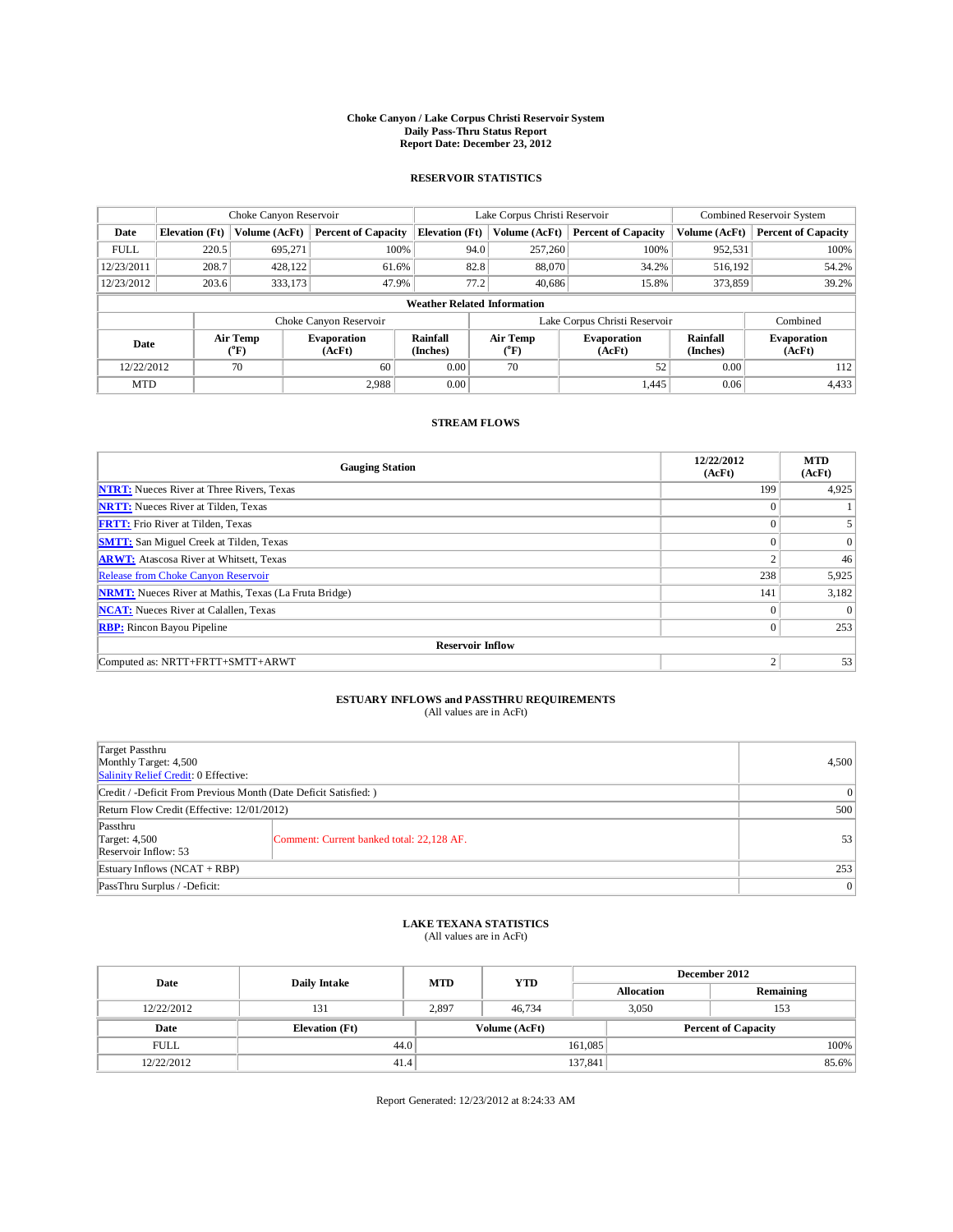## **Choke Canyon / Lake Corpus Christi Reservoir System Daily Pass-Thru Status Report Report Date: December 23, 2012**

### **RESERVOIR STATISTICS**

|             | Choke Canyon Reservoir                                               |               |                            |                             | Lake Corpus Christi Reservoir |                         |                              |                             | Combined Reservoir System    |  |  |
|-------------|----------------------------------------------------------------------|---------------|----------------------------|-----------------------------|-------------------------------|-------------------------|------------------------------|-----------------------------|------------------------------|--|--|
| Date        | <b>Elevation</b> (Ft)                                                | Volume (AcFt) | <b>Percent of Capacity</b> | <b>Elevation</b> (Ft)       |                               | Volume (AcFt)           | <b>Percent of Capacity</b>   | Volume (AcFt)               | <b>Percent of Capacity</b>   |  |  |
| <b>FULL</b> | 220.5                                                                | 695,271       | 100%                       |                             | 94.0                          | 257,260                 | 100%                         | 952,531                     | 100%                         |  |  |
| 12/23/2011  | 208.7                                                                | 428.122       | 61.6%                      |                             | 82.8                          | 88,070                  | 34.2%                        | 516,192                     | 54.2%                        |  |  |
| 12/23/2012  | 203.6                                                                | 333,173       | 47.9%                      |                             | 77.2                          | 40,686                  | 15.8%                        | 373,859                     | 39.2%                        |  |  |
|             | <b>Weather Related Information</b>                                   |               |                            |                             |                               |                         |                              |                             |                              |  |  |
|             |                                                                      |               | Choke Canyon Reservoir     |                             | Lake Corpus Christi Reservoir |                         |                              |                             | Combined                     |  |  |
|             | Air Temp<br><b>Evaporation</b><br>Date<br>$({}^0\text{F})$<br>(AcFt) |               |                            | <b>Rainfall</b><br>(Inches) |                               | <b>Air Temp</b><br>(°F) | <b>Evaporation</b><br>(AcFt) | <b>Rainfall</b><br>(Inches) | <b>Evaporation</b><br>(AcFt) |  |  |
| 12/22/2012  |                                                                      | 70<br>60      |                            | 0.00                        |                               | 70                      | 52                           | 0.00                        | 112                          |  |  |
| <b>MTD</b>  |                                                                      |               | 2.988                      | 0.00                        |                               |                         | 1,445                        | 0.06                        | 4,433                        |  |  |

### **STREAM FLOWS**

| <b>Gauging Station</b>                                       | 12/22/2012<br>(AcFt) | <b>MTD</b><br>(AcFt) |  |  |  |  |  |
|--------------------------------------------------------------|----------------------|----------------------|--|--|--|--|--|
| <b>NTRT:</b> Nueces River at Three Rivers, Texas             | 199                  | 4,925                |  |  |  |  |  |
| <b>NRTT:</b> Nueces River at Tilden, Texas                   | $\Omega$             |                      |  |  |  |  |  |
| <b>FRTT:</b> Frio River at Tilden, Texas                     | $\Omega$             |                      |  |  |  |  |  |
| <b>SMTT:</b> San Miguel Creek at Tilden, Texas               | $\Omega$             | $\theta$             |  |  |  |  |  |
| <b>ARWT:</b> Atascosa River at Whitsett, Texas               | $\overline{2}$       | 46                   |  |  |  |  |  |
| Release from Choke Canyon Reservoir                          | 238                  | 5,925                |  |  |  |  |  |
| <b>NRMT:</b> Nueces River at Mathis, Texas (La Fruta Bridge) | 141                  | 3,182                |  |  |  |  |  |
| <b>NCAT:</b> Nueces River at Calallen, Texas                 | $\Omega$             |                      |  |  |  |  |  |
| <b>RBP:</b> Rincon Bayou Pipeline                            | $\mathbf{0}$         | 253                  |  |  |  |  |  |
| <b>Reservoir Inflow</b>                                      |                      |                      |  |  |  |  |  |
| Computed as: NRTT+FRTT+SMTT+ARWT                             | 2                    | 53                   |  |  |  |  |  |

# **ESTUARY INFLOWS and PASSTHRU REQUIREMENTS**<br>(All values are in AcFt)

| Target Passthru<br>Monthly Target: 4,500<br>Salinity Relief Credit: 0 Effective: | 4,500                                     |    |  |  |  |
|----------------------------------------------------------------------------------|-------------------------------------------|----|--|--|--|
| Credit / -Deficit From Previous Month (Date Deficit Satisfied: )                 |                                           |    |  |  |  |
| Return Flow Credit (Effective: 12/01/2012)                                       | 500                                       |    |  |  |  |
| Passthru<br><b>Target: 4,500</b><br>Reservoir Inflow: 53                         | Comment: Current banked total: 22,128 AF. | 53 |  |  |  |
| Estuary Inflows $(NCAT + RBP)$                                                   | 253                                       |    |  |  |  |
| PassThru Surplus / -Deficit:                                                     | 0                                         |    |  |  |  |

## **LAKE TEXANA STATISTICS** (All values are in AcFt)

| Date        | <b>Daily Intake</b>   | <b>MTD</b> | <b>YTD</b>                                  | December 2012 |                   |           |  |
|-------------|-----------------------|------------|---------------------------------------------|---------------|-------------------|-----------|--|
|             |                       |            |                                             |               | <b>Allocation</b> | Remaining |  |
| 12/22/2012  | 131                   | 2.897      | 46.734                                      |               | 3.050             | 153       |  |
| Date        | <b>Elevation</b> (Ft) |            | Volume (AcFt)<br><b>Percent of Capacity</b> |               |                   |           |  |
| <b>FULL</b> | 44.0                  |            |                                             | 161,085       |                   | $100\%$   |  |
| 12/22/2012  | 41.4                  |            |                                             | 137,841       |                   | 85.6%     |  |

Report Generated: 12/23/2012 at 8:24:33 AM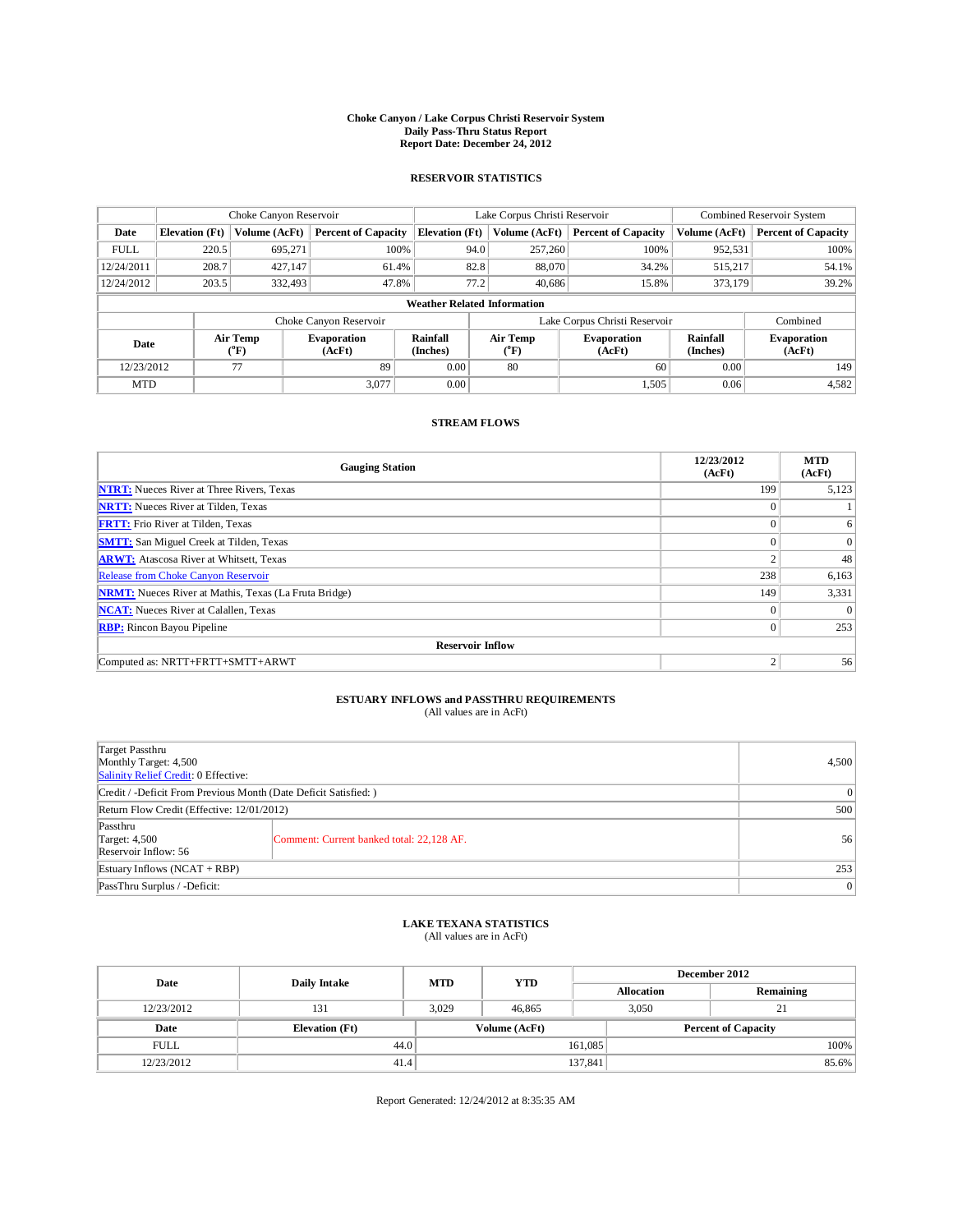## **Choke Canyon / Lake Corpus Christi Reservoir System Daily Pass-Thru Status Report Report Date: December 24, 2012**

### **RESERVOIR STATISTICS**

|                                    |                       | Choke Canyon Reservoir |                            |                                    | Lake Corpus Christi Reservoir | Combined Reservoir System  |               |                            |
|------------------------------------|-----------------------|------------------------|----------------------------|------------------------------------|-------------------------------|----------------------------|---------------|----------------------------|
| Date                               | <b>Elevation</b> (Ft) | Volume (AcFt)          | <b>Percent of Capacity</b> | <b>Elevation</b> (Ft)              | Volume (AcFt)                 | <b>Percent of Capacity</b> | Volume (AcFt) | <b>Percent of Capacity</b> |
| <b>FULL</b>                        | 220.5                 | 695,271                | 100%                       |                                    | 257,260<br>94.0               | 100%                       | 952,531       | 100%                       |
| 12/24/2011                         | 208.7                 | 427.147                | 61.4%                      |                                    | 82.8<br>88,070                | 34.2%                      | 515,217       | 54.1%                      |
| 12/24/2012                         | 203.5                 | 332,493                | 47.8%                      |                                    | 77.2<br>40.686                | 15.8%                      | 373,179       | 39.2%                      |
|                                    |                       |                        |                            | <b>Weather Related Information</b> |                               |                            |               |                            |
|                                    |                       |                        | Choke Canyon Reservoir     |                                    | Lake Corpus Christi Reservoir |                            |               |                            |
| Air Temp<br>Date<br>(°F)<br>(AcFt) |                       | <b>Evaporation</b>     | Rainfall<br>(Inches)       | Air Temp<br>$\rm ^{(^oF)}$         | <b>Evaporation</b><br>(AcFt)  | Rainfall<br>(Inches)       |               |                            |
| 12/23/2012                         | 89<br>77              |                        | 0.00                       | 80                                 | 60                            | 0.00                       | 149           |                            |
| <b>MTD</b>                         |                       |                        | 3.077                      | 0.00                               |                               | 1,505                      | 0.06          | 4,582                      |

#### **STREAM FLOWS**

| <b>Gauging Station</b>                                       | 12/23/2012<br>(AcFt) | <b>MTD</b><br>(AcFt) |  |  |  |  |  |  |
|--------------------------------------------------------------|----------------------|----------------------|--|--|--|--|--|--|
| <b>NTRT:</b> Nueces River at Three Rivers, Texas             | 199                  | 5,123                |  |  |  |  |  |  |
| <b>NRTT:</b> Nueces River at Tilden, Texas                   | $\theta$             |                      |  |  |  |  |  |  |
| <b>FRTT:</b> Frio River at Tilden, Texas                     | $\theta$             | 6                    |  |  |  |  |  |  |
| <b>SMTT:</b> San Miguel Creek at Tilden, Texas               | $\Omega$             | $\Omega$             |  |  |  |  |  |  |
| <b>ARWT:</b> Atascosa River at Whitsett, Texas               | $\mathcal{L}$        | 48                   |  |  |  |  |  |  |
| Release from Choke Canyon Reservoir                          | 238                  | 6,163                |  |  |  |  |  |  |
| <b>NRMT:</b> Nueces River at Mathis, Texas (La Fruta Bridge) | 149                  | 3,331                |  |  |  |  |  |  |
| <b>NCAT:</b> Nueces River at Calallen, Texas                 | $\mathbf{0}$         | $\Omega$             |  |  |  |  |  |  |
| <b>RBP:</b> Rincon Bayou Pipeline                            | $\overline{0}$       | 253                  |  |  |  |  |  |  |
| <b>Reservoir Inflow</b>                                      |                      |                      |  |  |  |  |  |  |
| Computed as: NRTT+FRTT+SMTT+ARWT                             | 2                    | 56                   |  |  |  |  |  |  |

## **ESTUARY INFLOWS and PASSTHRU REQUIREMENTS**<br>(All values are in AcFt)

| Target Passthru<br>Monthly Target: 4,500<br>Salinity Relief Credit: 0 Effective: |                                           |    |  |  |  |
|----------------------------------------------------------------------------------|-------------------------------------------|----|--|--|--|
| Credit / -Deficit From Previous Month (Date Deficit Satisfied: )                 |                                           |    |  |  |  |
| Return Flow Credit (Effective: 12/01/2012)                                       |                                           |    |  |  |  |
| Passthru<br>Target: $4,500$<br>Reservoir Inflow: 56                              | Comment: Current banked total: 22,128 AF. | 56 |  |  |  |
| Estuary Inflows (NCAT + RBP)                                                     |                                           |    |  |  |  |
| PassThru Surplus / -Deficit:                                                     | 0                                         |    |  |  |  |

## **LAKE TEXANA STATISTICS** (All values are in AcFt)

| Date        | <b>Daily Intake</b>   | <b>MTD</b> | <b>YTD</b>    | December 2012              |                   |           |  |
|-------------|-----------------------|------------|---------------|----------------------------|-------------------|-----------|--|
|             |                       |            |               |                            | <b>Allocation</b> | Remaining |  |
| 12/23/2012  | 131                   | 3.029      | 46,865        |                            | 3.050             | 21        |  |
| Date        | <b>Elevation</b> (Ft) |            | Volume (AcFt) | <b>Percent of Capacity</b> |                   |           |  |
| <b>FULL</b> | 44.0                  |            |               | 161,085                    |                   | 100%      |  |
| 12/23/2012  | 41.4                  |            |               | 137,841                    |                   | 85.6%     |  |

Report Generated: 12/24/2012 at 8:35:35 AM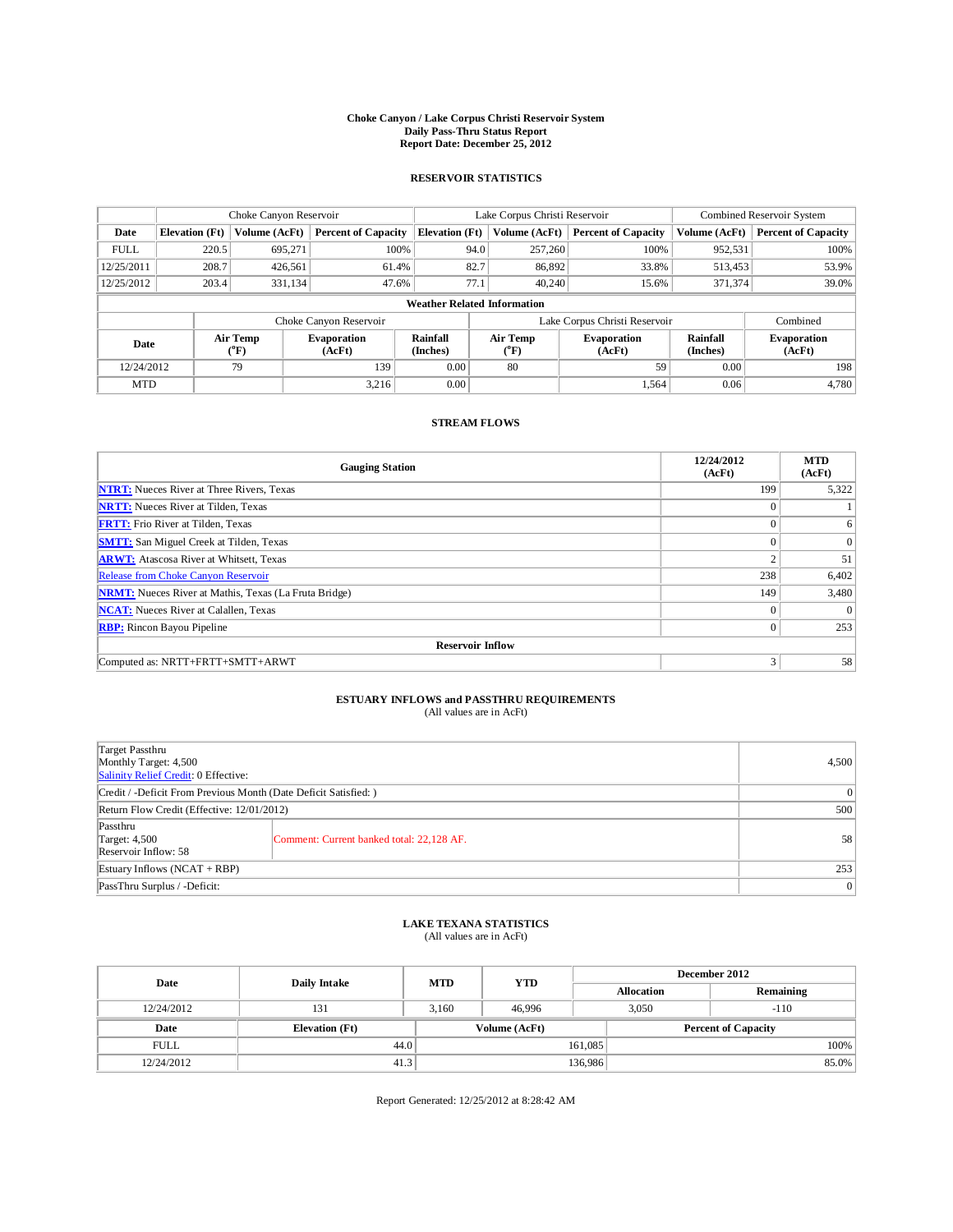## **Choke Canyon / Lake Corpus Christi Reservoir System Daily Pass-Thru Status Report Report Date: December 25, 2012**

### **RESERVOIR STATISTICS**

|                          | Choke Canyon Reservoir |                              |                            |                                    |                               | Lake Corpus Christi Reservoir | Combined Reservoir System  |                              |                            |
|--------------------------|------------------------|------------------------------|----------------------------|------------------------------------|-------------------------------|-------------------------------|----------------------------|------------------------------|----------------------------|
| Date                     | <b>Elevation</b> (Ft)  | Volume (AcFt)                | <b>Percent of Capacity</b> | <b>Elevation</b> (Ft)              |                               | Volume (AcFt)                 | <b>Percent of Capacity</b> | Volume (AcFt)                | <b>Percent of Capacity</b> |
| <b>FULL</b>              | 220.5                  | 695,271                      | 100%                       |                                    | 94.0                          | 257,260                       | 100%                       | 952,531                      | 100%                       |
| 12/25/2011               | 208.7                  | 426,561                      | 61.4%                      |                                    | 82.7                          | 86.892                        | 33.8%                      | 513,453                      | 53.9%                      |
| 12/25/2012               | 203.4                  | 331,134                      | 47.6%                      |                                    | 77.1                          | 40.240                        | 15.6%                      | 371,374                      | 39.0%                      |
|                          |                        |                              |                            | <b>Weather Related Information</b> |                               |                               |                            |                              |                            |
|                          |                        |                              | Choke Canyon Reservoir     |                                    | Lake Corpus Christi Reservoir |                               |                            |                              | Combined                   |
| Air Temp<br>Date<br>(°F) |                        | <b>Evaporation</b><br>(AcFt) | Rainfall<br>(Inches)       |                                    | Air Temp<br>$\rm ^{(^oF)}$    | <b>Evaporation</b><br>(AcFt)  | Rainfall<br>(Inches)       | <b>Evaporation</b><br>(AcFt) |                            |
| 12/24/2012               |                        | 79                           | 139                        | 0.00                               |                               | 80                            | 59                         | 0.00                         | 198                        |
| <b>MTD</b>               |                        |                              | 3.216                      | 0.00                               |                               |                               | 1.564                      | 0.06                         | 4,780                      |

#### **STREAM FLOWS**

| <b>Gauging Station</b>                                       | 12/24/2012<br>(AcFt) | <b>MTD</b><br>(AcFt) |  |  |  |  |  |  |
|--------------------------------------------------------------|----------------------|----------------------|--|--|--|--|--|--|
| <b>NTRT:</b> Nueces River at Three Rivers, Texas             | 199                  | 5,322                |  |  |  |  |  |  |
| <b>NRTT:</b> Nueces River at Tilden, Texas                   | $\Omega$             |                      |  |  |  |  |  |  |
| <b>FRTT:</b> Frio River at Tilden, Texas                     | $\Omega$             | 6                    |  |  |  |  |  |  |
| <b>SMTT:</b> San Miguel Creek at Tilden, Texas               | $\Omega$             | $\theta$             |  |  |  |  |  |  |
| <b>ARWT:</b> Atascosa River at Whitsett, Texas               | $\overline{2}$       | 51                   |  |  |  |  |  |  |
| Release from Choke Canyon Reservoir                          | 238                  | 6,402                |  |  |  |  |  |  |
| <b>NRMT:</b> Nueces River at Mathis, Texas (La Fruta Bridge) | 149                  | 3,480                |  |  |  |  |  |  |
| <b>NCAT:</b> Nueces River at Calallen, Texas                 | $\Omega$             |                      |  |  |  |  |  |  |
| <b>RBP:</b> Rincon Bayou Pipeline                            | $\mathbf{0}$         | 253                  |  |  |  |  |  |  |
| <b>Reservoir Inflow</b>                                      |                      |                      |  |  |  |  |  |  |
| Computed as: NRTT+FRTT+SMTT+ARWT                             | 3                    | 58                   |  |  |  |  |  |  |

## **ESTUARY INFLOWS and PASSTHRU REQUIREMENTS**<br>(All values are in AcFt)

| Target Passthru<br>Monthly Target: 4,500<br>Salinity Relief Credit: 0 Effective: |                                           |    |  |  |  |
|----------------------------------------------------------------------------------|-------------------------------------------|----|--|--|--|
| Credit / -Deficit From Previous Month (Date Deficit Satisfied: )                 |                                           |    |  |  |  |
| Return Flow Credit (Effective: 12/01/2012)                                       |                                           |    |  |  |  |
| Passthru<br>Target: 4,500<br>Reservoir Inflow: 58                                | Comment: Current banked total: 22,128 AF. | 58 |  |  |  |
| Estuary Inflows $(NCAT + RBP)$                                                   |                                           |    |  |  |  |
| PassThru Surplus / -Deficit:                                                     | 0                                         |    |  |  |  |

## **LAKE TEXANA STATISTICS** (All values are in AcFt)

| Date        | Daily Intake          | <b>MTD</b> | <b>YTD</b>    | December 2012              |                   |           |  |
|-------------|-----------------------|------------|---------------|----------------------------|-------------------|-----------|--|
|             |                       |            |               |                            | <b>Allocation</b> | Remaining |  |
| 12/24/2012  | 131                   | 3.160      | 46,996        |                            | 3.050<br>$-110$   |           |  |
| Date        | <b>Elevation</b> (Ft) |            | Volume (AcFt) | <b>Percent of Capacity</b> |                   |           |  |
| <b>FULL</b> | 44.0                  |            |               | 161,085                    |                   | 100%      |  |
| 12/24/2012  | 41.3                  |            |               | 136,986                    |                   | $85.0\%$  |  |

Report Generated: 12/25/2012 at 8:28:42 AM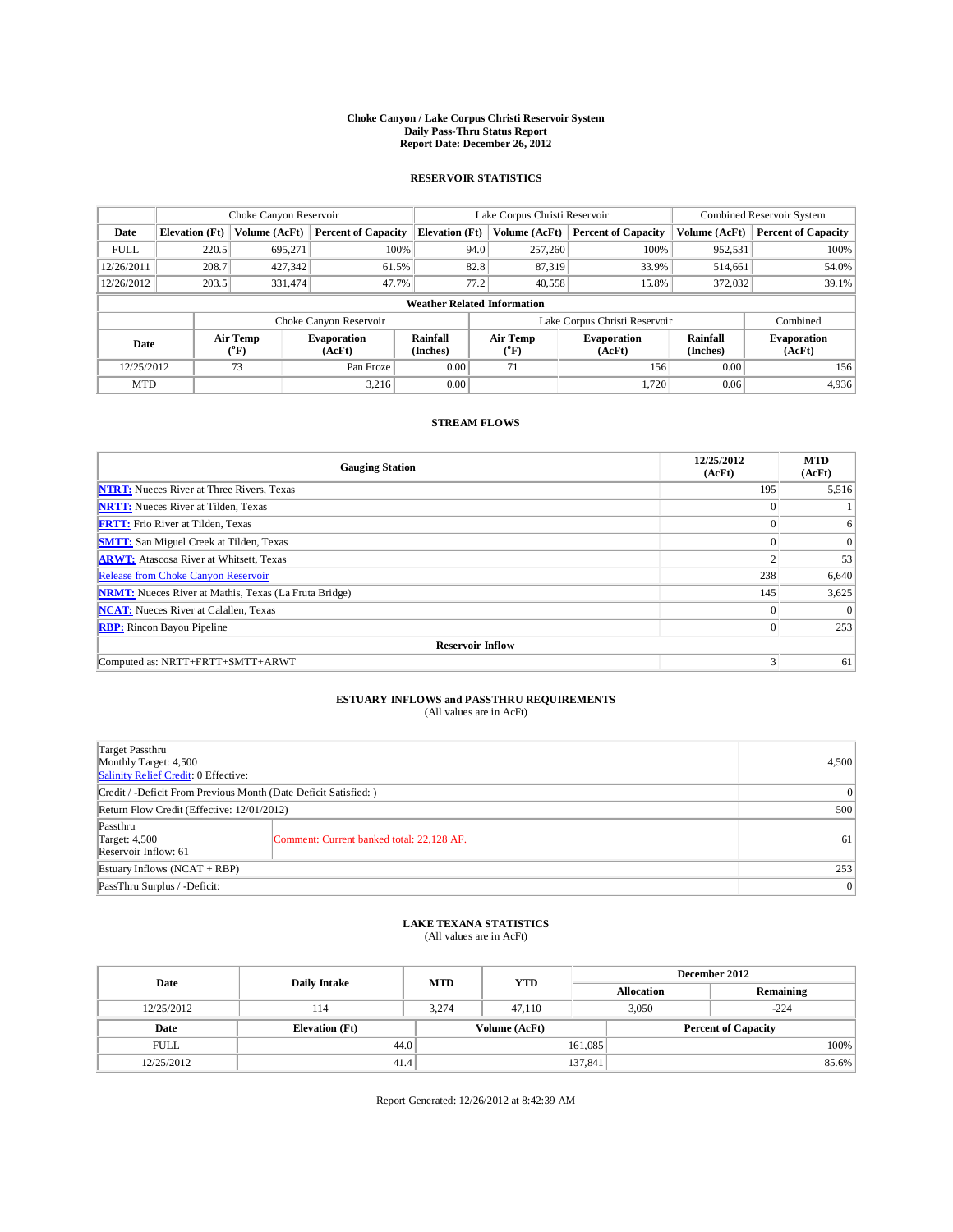## **Choke Canyon / Lake Corpus Christi Reservoir System Daily Pass-Thru Status Report Report Date: December 26, 2012**

### **RESERVOIR STATISTICS**

|             | Choke Canyon Reservoir |                  |                              |                                    |      | Lake Corpus Christi Reservoir | Combined Reservoir System    |                             |                              |
|-------------|------------------------|------------------|------------------------------|------------------------------------|------|-------------------------------|------------------------------|-----------------------------|------------------------------|
| Date        | <b>Elevation</b> (Ft)  | Volume (AcFt)    | <b>Percent of Capacity</b>   | <b>Elevation</b> (Ft)              |      | Volume (AcFt)                 | <b>Percent of Capacity</b>   | Volume (AcFt)               | <b>Percent of Capacity</b>   |
| <b>FULL</b> | 220.5                  | 695,271          | 100%                         |                                    | 94.0 | 257,260                       | 100%                         | 952,531                     | 100%                         |
| 12/26/2011  | 208.7                  | 427.342          | 61.5%                        |                                    | 82.8 | 87.319                        | 33.9%                        | 514,661                     | 54.0%                        |
| 12/26/2012  | 203.5                  | 331,474          | 47.7%                        |                                    | 77.2 | 40.558                        | 15.8%                        | 372,032                     | 39.1%                        |
|             |                        |                  |                              | <b>Weather Related Information</b> |      |                               |                              |                             |                              |
|             |                        |                  | Choke Canyon Reservoir       |                                    |      | Combined                      |                              |                             |                              |
| Date        |                        | Air Temp<br>(°F) | <b>Evaporation</b><br>(AcFt) | <b>Rainfall</b><br>(Inches)        |      | Air Temp<br>$\rm ^{(^oF)}$    | <b>Evaporation</b><br>(AcFt) | <b>Rainfall</b><br>(Inches) | <b>Evaporation</b><br>(AcFt) |
| 12/25/2012  |                        | 73               | Pan Froze                    | 0.00<br>71                         |      | 156                           | 0.00                         | 156                         |                              |
| <b>MTD</b>  |                        |                  | 3,216                        | 0.00                               |      |                               | 1.720                        | 0.06                        | 4,936                        |

#### **STREAM FLOWS**

| <b>Gauging Station</b>                                       | 12/25/2012<br>(AcFt) | <b>MTD</b><br>(AcFt) |  |  |  |  |  |  |
|--------------------------------------------------------------|----------------------|----------------------|--|--|--|--|--|--|
| <b>NTRT:</b> Nueces River at Three Rivers, Texas             | 195                  | 5,516                |  |  |  |  |  |  |
| <b>NRTT:</b> Nueces River at Tilden, Texas                   | $\Omega$             |                      |  |  |  |  |  |  |
| <b>FRTT:</b> Frio River at Tilden, Texas                     | $\Omega$             | 6                    |  |  |  |  |  |  |
| <b>SMTT:</b> San Miguel Creek at Tilden, Texas               | $\Omega$             | $\theta$             |  |  |  |  |  |  |
| <b>ARWT:</b> Atascosa River at Whitsett, Texas               | $\overline{2}$       | 53                   |  |  |  |  |  |  |
| Release from Choke Canyon Reservoir                          | 238                  | 6,640                |  |  |  |  |  |  |
| <b>NRMT:</b> Nueces River at Mathis, Texas (La Fruta Bridge) | 145                  | 3,625                |  |  |  |  |  |  |
| <b>NCAT:</b> Nueces River at Calallen, Texas                 | $\Omega$             |                      |  |  |  |  |  |  |
| <b>RBP:</b> Rincon Bayou Pipeline                            | $\mathbf{0}$         | 253                  |  |  |  |  |  |  |
| <b>Reservoir Inflow</b>                                      |                      |                      |  |  |  |  |  |  |
| Computed as: NRTT+FRTT+SMTT+ARWT                             | 3                    | 61                   |  |  |  |  |  |  |

## **ESTUARY INFLOWS and PASSTHRU REQUIREMENTS**<br>(All values are in AcFt)

| Target Passthru<br>Monthly Target: 4,500<br>Salinity Relief Credit: 0 Effective: | 4,500                                     |    |  |  |  |
|----------------------------------------------------------------------------------|-------------------------------------------|----|--|--|--|
| Credit / -Deficit From Previous Month (Date Deficit Satisfied: )                 |                                           |    |  |  |  |
| Return Flow Credit (Effective: 12/01/2012)                                       |                                           |    |  |  |  |
| Passthru<br>Target: 4,500<br>Reservoir Inflow: 61                                | Comment: Current banked total: 22,128 AF. | 61 |  |  |  |
| Estuary Inflows $(NCAT + RBP)$                                                   | 253                                       |    |  |  |  |
| PassThru Surplus / -Deficit:                                                     | $\vert 0 \vert$                           |    |  |  |  |

## **LAKE TEXANA STATISTICS** (All values are in AcFt)

| Date        | Daily Intake          | <b>MTD</b> | <b>YTD</b>                                  | December 2012 |                   |           |         |
|-------------|-----------------------|------------|---------------------------------------------|---------------|-------------------|-----------|---------|
|             |                       |            |                                             |               | <b>Allocation</b> | Remaining |         |
| 12/25/2012  | 114                   | 3.274      | 47.110                                      | 3.050         |                   | $-224$    |         |
| Date        | <b>Elevation</b> (Ft) |            | Volume (AcFt)<br><b>Percent of Capacity</b> |               |                   |           |         |
| <b>FULL</b> | 44.0                  |            |                                             | 161,085       |                   |           | $100\%$ |
| 12/25/2012  | 41.4                  |            |                                             | 137,841       |                   |           | 85.6%   |

Report Generated: 12/26/2012 at 8:42:39 AM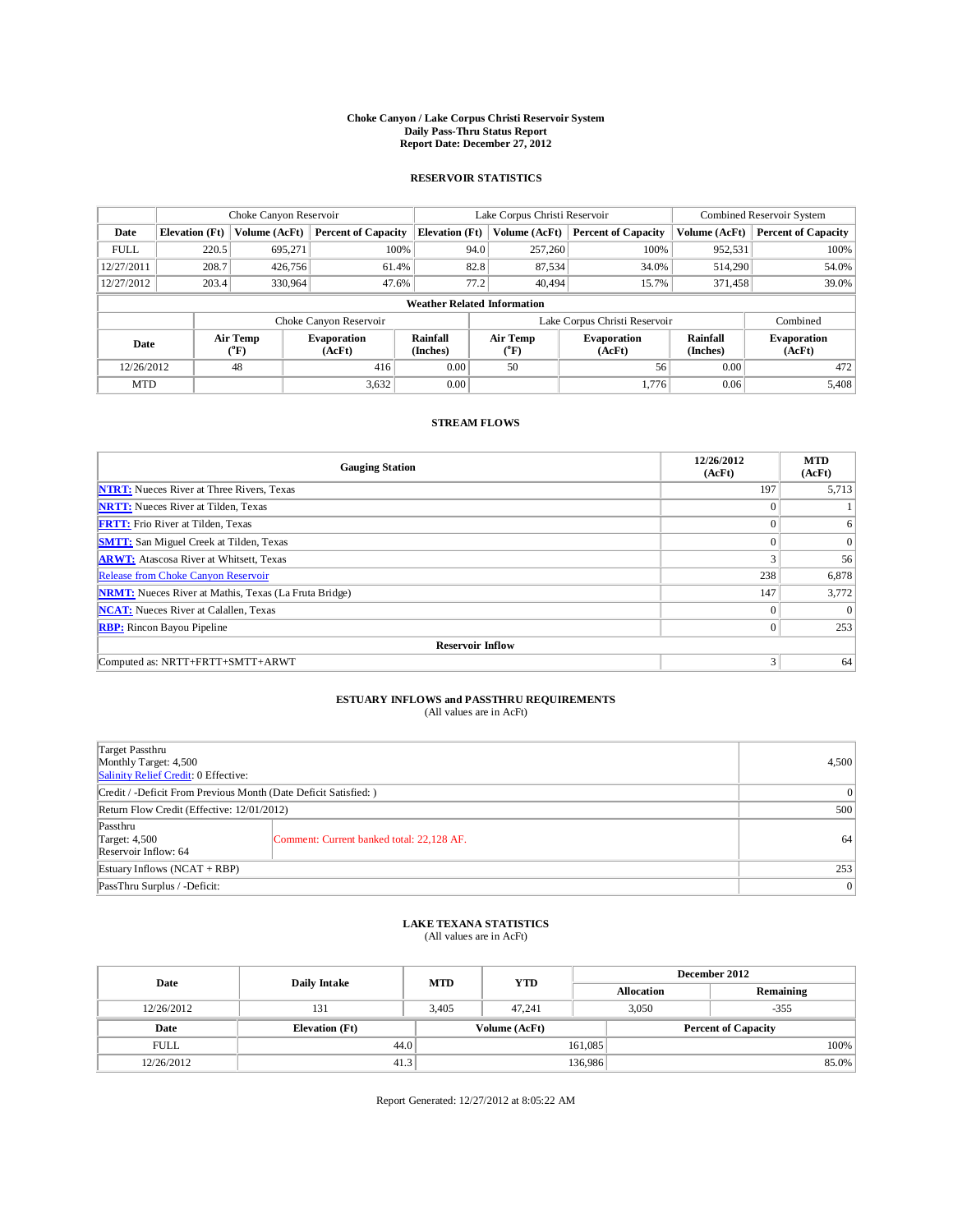## **Choke Canyon / Lake Corpus Christi Reservoir System Daily Pass-Thru Status Report Report Date: December 27, 2012**

### **RESERVOIR STATISTICS**

|             | Choke Canyon Reservoir             |                         |                              |                             | Lake Corpus Christi Reservoir |                           |                              |                             | Combined Reservoir System    |  |  |
|-------------|------------------------------------|-------------------------|------------------------------|-----------------------------|-------------------------------|---------------------------|------------------------------|-----------------------------|------------------------------|--|--|
| Date        | <b>Elevation</b> (Ft)              | Volume (AcFt)           | <b>Percent of Capacity</b>   | <b>Elevation</b> (Ft)       |                               | Volume (AcFt)             | <b>Percent of Capacity</b>   | Volume (AcFt)               | <b>Percent of Capacity</b>   |  |  |
| <b>FULL</b> | 220.5                              | 695,271                 | 100%                         |                             | 94.0                          | 257,260                   | 100%                         | 952,531                     | 100%                         |  |  |
| 12/27/2011  | 208.7                              | 426,756                 | 61.4%                        |                             | 82.8                          | 87,534                    | 34.0%                        | 514,290                     | 54.0%                        |  |  |
| 12/27/2012  | 203.4                              | 330,964                 | 47.6%                        |                             | 77.2                          | 40.494                    | 15.7%                        | 371.458                     | 39.0%                        |  |  |
|             | <b>Weather Related Information</b> |                         |                              |                             |                               |                           |                              |                             |                              |  |  |
|             |                                    |                         | Choke Canyon Reservoir       |                             | Lake Corpus Christi Reservoir |                           |                              |                             | Combined                     |  |  |
| Date        | Air Temp<br>(°F)                   |                         | <b>Evaporation</b><br>(AcFt) | <b>Rainfall</b><br>(Inches) |                               | Air Temp<br>$\rm ^{(o}F)$ | <b>Evaporation</b><br>(AcFt) | <b>Rainfall</b><br>(Inches) | <b>Evaporation</b><br>(AcFt) |  |  |
| 12/26/2012  |                                    | 48<br>0.00<br>50<br>416 |                              | 56                          | 0.00                          | 472                       |                              |                             |                              |  |  |
| <b>MTD</b>  |                                    |                         | 3,632                        | 0.00                        |                               |                           | 1,776                        | 0.06                        | 5,408                        |  |  |

#### **STREAM FLOWS**

| <b>Gauging Station</b>                                       | 12/26/2012<br>(AcFt) | <b>MTD</b><br>(AcFt) |  |  |  |  |  |  |  |
|--------------------------------------------------------------|----------------------|----------------------|--|--|--|--|--|--|--|
| <b>NTRT:</b> Nueces River at Three Rivers, Texas             | 197                  | 5,713                |  |  |  |  |  |  |  |
| <b>NRTT:</b> Nueces River at Tilden, Texas                   | $\Omega$             |                      |  |  |  |  |  |  |  |
| <b>FRTT:</b> Frio River at Tilden, Texas                     | $\Omega$             | 6                    |  |  |  |  |  |  |  |
| <b>SMTT:</b> San Miguel Creek at Tilden, Texas               | $\Omega$             | $\overline{0}$       |  |  |  |  |  |  |  |
| <b>ARWT:</b> Atascosa River at Whitsett, Texas               | 3                    | 56                   |  |  |  |  |  |  |  |
| Release from Choke Canyon Reservoir                          | 238                  | 6,878                |  |  |  |  |  |  |  |
| <b>NRMT:</b> Nueces River at Mathis, Texas (La Fruta Bridge) | 147                  | 3,772                |  |  |  |  |  |  |  |
| <b>NCAT:</b> Nueces River at Calallen, Texas                 | $\Omega$             |                      |  |  |  |  |  |  |  |
| <b>RBP:</b> Rincon Bayou Pipeline                            | $\mathbf{0}$         | 253                  |  |  |  |  |  |  |  |
| <b>Reservoir Inflow</b>                                      |                      |                      |  |  |  |  |  |  |  |
| Computed as: NRTT+FRTT+SMTT+ARWT                             | 3                    | 64                   |  |  |  |  |  |  |  |

## **ESTUARY INFLOWS and PASSTHRU REQUIREMENTS**<br>(All values are in AcFt)

| Target Passthru<br>Monthly Target: 4,500<br>Salinity Relief Credit: 0 Effective: |                                           |    |  |  |  |
|----------------------------------------------------------------------------------|-------------------------------------------|----|--|--|--|
| Credit / -Deficit From Previous Month (Date Deficit Satisfied: )                 |                                           |    |  |  |  |
| Return Flow Credit (Effective: 12/01/2012)                                       |                                           |    |  |  |  |
| Passthru<br><b>Target: 4,500</b><br>Reservoir Inflow: 64                         | Comment: Current banked total: 22,128 AF. | 64 |  |  |  |
| Estuary Inflows $(NCAT + RBP)$                                                   |                                           |    |  |  |  |
| PassThru Surplus / -Deficit:                                                     | $\overline{0}$                            |    |  |  |  |

## **LAKE TEXANA STATISTICS** (All values are in AcFt)

| Date        | <b>Daily Intake</b>   | <b>MTD</b> | <b>YTD</b>    |                            | December 2012     |           |  |  |
|-------------|-----------------------|------------|---------------|----------------------------|-------------------|-----------|--|--|
|             |                       |            |               |                            | <b>Allocation</b> | Remaining |  |  |
| 12/26/2012  | 131                   | 3.405      | 47.241        |                            | 3.050             | $-355$    |  |  |
| Date        | <b>Elevation</b> (Ft) |            | Volume (AcFt) | <b>Percent of Capacity</b> |                   |           |  |  |
| <b>FULL</b> | 44.0                  |            |               | 161,085                    |                   | 100%      |  |  |
| 12/26/2012  | 41.3                  |            |               | 136,986                    |                   | 85.0%     |  |  |

Report Generated: 12/27/2012 at 8:05:22 AM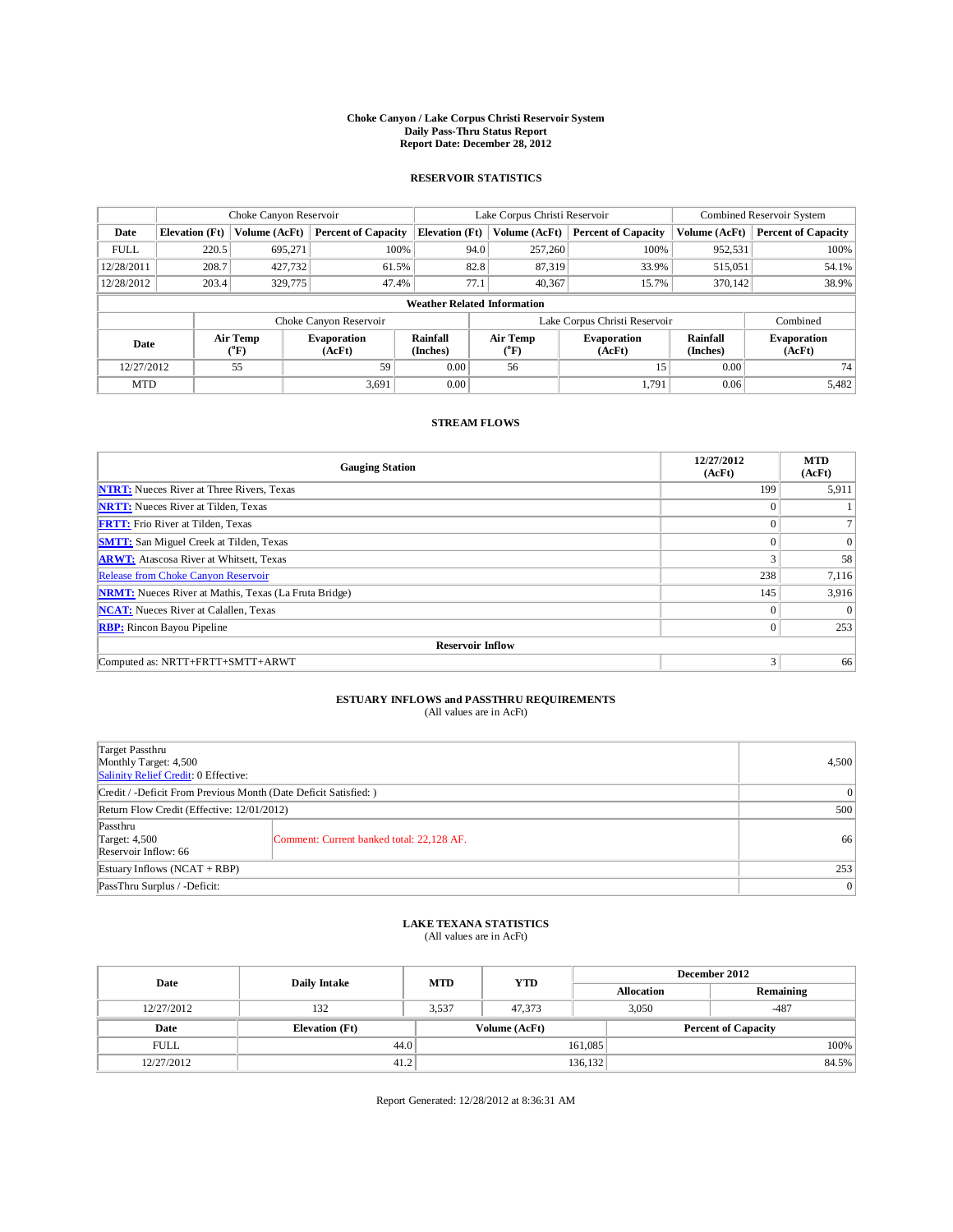## **Choke Canyon / Lake Corpus Christi Reservoir System Daily Pass-Thru Status Report Report Date: December 28, 2012**

### **RESERVOIR STATISTICS**

|             | Choke Canyon Reservoir              |               | Lake Corpus Christi Reservoir                               |                       |                               |                  | Combined Reservoir System    |                             |                              |  |
|-------------|-------------------------------------|---------------|-------------------------------------------------------------|-----------------------|-------------------------------|------------------|------------------------------|-----------------------------|------------------------------|--|
| Date        | <b>Elevation</b> (Ft)               | Volume (AcFt) | <b>Percent of Capacity</b>                                  | <b>Elevation</b> (Ft) |                               | Volume (AcFt)    | <b>Percent of Capacity</b>   | Volume (AcFt)               | <b>Percent of Capacity</b>   |  |
| <b>FULL</b> | 220.5                               | 695,271       | 100%                                                        |                       | 94.0                          | 257,260          | 100%                         | 952,531                     | 100%                         |  |
| 12/28/2011  | 208.7                               | 427.732       | 61.5%                                                       |                       | 82.8                          | 87,319           | 33.9%                        | 515,051                     | 54.1%                        |  |
| 12/28/2012  | 203.4                               | 329,775       | 47.4%                                                       |                       | 77.1                          | 40,367           | 15.7%                        | 370,142                     | 38.9%                        |  |
|             | <b>Weather Related Information</b>  |               |                                                             |                       |                               |                  |                              |                             |                              |  |
|             |                                     |               | Choke Canyon Reservoir                                      |                       | Lake Corpus Christi Reservoir |                  |                              |                             | Combined                     |  |
|             | Air Temp<br>Date<br>${}^{\circ}$ F) |               | <b>Rainfall</b><br><b>Evaporation</b><br>(Inches)<br>(AcFt) |                       |                               | Air Temp<br>(°F) | <b>Evaporation</b><br>(AcFt) | <b>Rainfall</b><br>(Inches) | <b>Evaporation</b><br>(AcFt) |  |
| 12/27/2012  |                                     | 55<br>59      |                                                             | 0.00                  |                               | 56               | 15                           | 0.00                        | 74                           |  |
| <b>MTD</b>  |                                     |               | 3,691                                                       | 0.00                  |                               |                  | 1.791                        | 0.06                        | 5,482                        |  |

### **STREAM FLOWS**

| <b>Gauging Station</b>                                       | 12/27/2012<br>(AcFt) | <b>MTD</b><br>(AcFt) |  |  |  |  |  |  |
|--------------------------------------------------------------|----------------------|----------------------|--|--|--|--|--|--|
| <b>NTRT:</b> Nueces River at Three Rivers, Texas             | 199                  | 5,911                |  |  |  |  |  |  |
| <b>NRTT:</b> Nueces River at Tilden, Texas                   | $\Omega$             |                      |  |  |  |  |  |  |
| <b>FRTT:</b> Frio River at Tilden, Texas                     | $\Omega$             |                      |  |  |  |  |  |  |
| <b>SMTT:</b> San Miguel Creek at Tilden, Texas               | $\Omega$             | $\overline{0}$       |  |  |  |  |  |  |
| <b>ARWT:</b> Atascosa River at Whitsett, Texas               | 3                    | 58                   |  |  |  |  |  |  |
| Release from Choke Canyon Reservoir                          | 238                  | 7,116                |  |  |  |  |  |  |
| <b>NRMT:</b> Nueces River at Mathis, Texas (La Fruta Bridge) | 145                  | 3,916                |  |  |  |  |  |  |
| <b>NCAT:</b> Nueces River at Calallen, Texas                 | $\Omega$             |                      |  |  |  |  |  |  |
| <b>RBP:</b> Rincon Bayou Pipeline                            | $\mathbf{0}$         | 253                  |  |  |  |  |  |  |
| <b>Reservoir Inflow</b>                                      |                      |                      |  |  |  |  |  |  |
| Computed as: NRTT+FRTT+SMTT+ARWT                             | 3                    | 66                   |  |  |  |  |  |  |

# **ESTUARY INFLOWS and PASSTHRU REQUIREMENTS**<br>(All values are in AcFt)

| Target Passthru<br>Monthly Target: 4,500<br>Salinity Relief Credit: 0 Effective: | 4,500                                     |    |  |  |  |
|----------------------------------------------------------------------------------|-------------------------------------------|----|--|--|--|
| Credit / -Deficit From Previous Month (Date Deficit Satisfied: )                 |                                           |    |  |  |  |
| Return Flow Credit (Effective: 12/01/2012)                                       |                                           |    |  |  |  |
| Passthru<br>Target: 4,500<br>Reservoir Inflow: 66                                | Comment: Current banked total: 22,128 AF. | 66 |  |  |  |
| Estuary Inflows $(NCAT + RBP)$                                                   | 253                                       |    |  |  |  |
| PassThru Surplus / -Deficit:                                                     | 0                                         |    |  |  |  |

## **LAKE TEXANA STATISTICS** (All values are in AcFt)

| Date        | <b>Daily Intake</b>   | <b>MTD</b> | <b>YTD</b>                                  | December 2012 |                   |           |  |
|-------------|-----------------------|------------|---------------------------------------------|---------------|-------------------|-----------|--|
|             |                       |            |                                             |               | <b>Allocation</b> | Remaining |  |
| 12/27/2012  | 132                   | 3.537      | 47.373                                      |               | 3,050             | $-487$    |  |
| Date        | <b>Elevation</b> (Ft) |            | Volume (AcFt)<br><b>Percent of Capacity</b> |               |                   |           |  |
| <b>FULL</b> | 44.0                  |            |                                             | 161,085       |                   | 100%      |  |
| 12/27/2012  | 41.2                  |            |                                             | 136,132       |                   | 84.5%     |  |

Report Generated: 12/28/2012 at 8:36:31 AM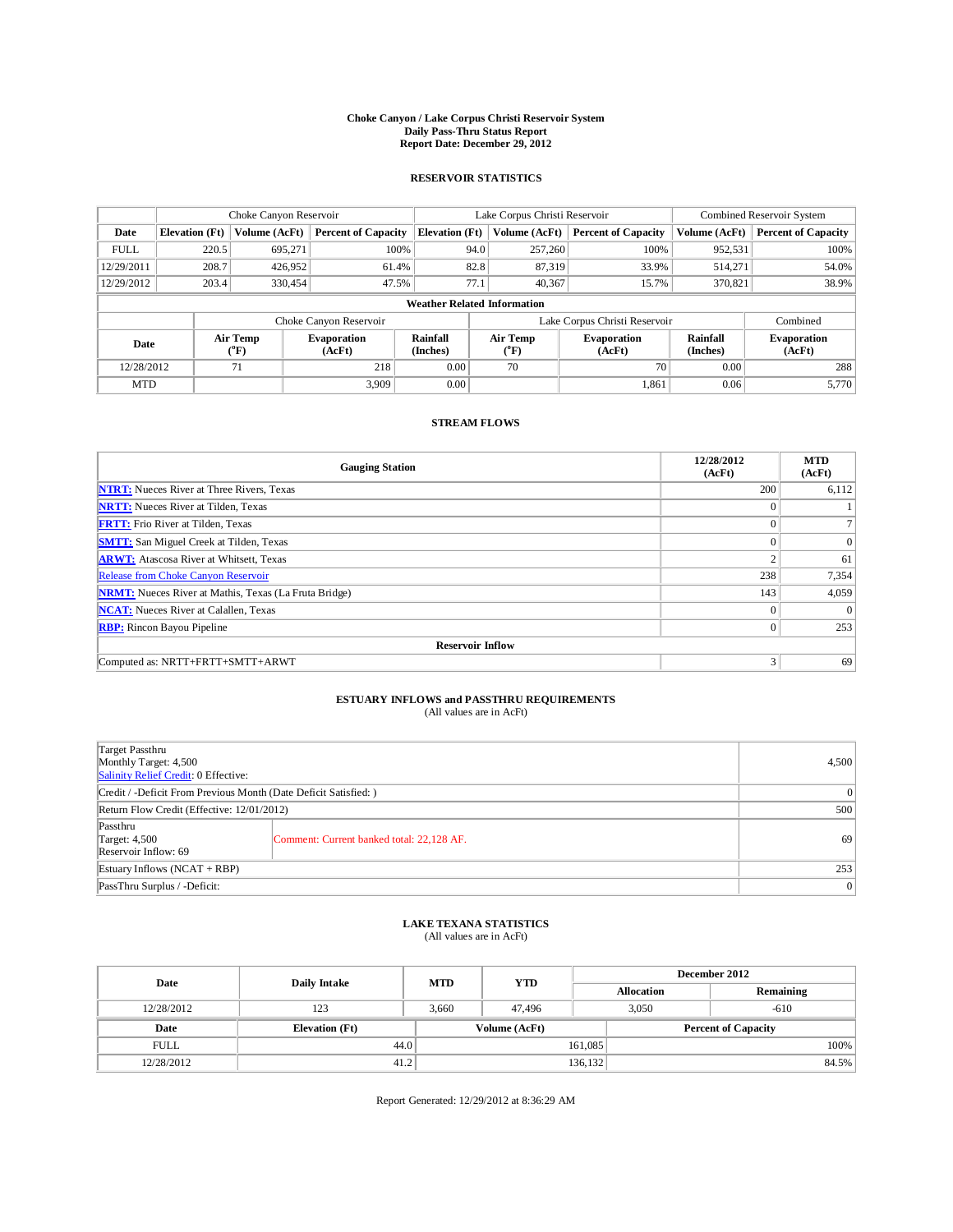## **Choke Canyon / Lake Corpus Christi Reservoir System Daily Pass-Thru Status Report Report Date: December 29, 2012**

### **RESERVOIR STATISTICS**

|             | Choke Canyon Reservoir             |                   | Lake Corpus Christi Reservoir                                                               |                       |                               |                  | Combined Reservoir System    |                             |                              |  |
|-------------|------------------------------------|-------------------|---------------------------------------------------------------------------------------------|-----------------------|-------------------------------|------------------|------------------------------|-----------------------------|------------------------------|--|
| Date        | <b>Elevation</b> (Ft)              | Volume (AcFt)     | <b>Percent of Capacity</b>                                                                  | <b>Elevation</b> (Ft) |                               | Volume (AcFt)    | <b>Percent of Capacity</b>   | Volume (AcFt)               | <b>Percent of Capacity</b>   |  |
| <b>FULL</b> | 220.5                              | 695,271           | 100%                                                                                        |                       | 94.0                          | 257,260          | 100%                         | 952,531                     | 100%                         |  |
| 12/29/2011  | 208.7                              | 426,952           | 61.4%                                                                                       |                       | 82.8                          | 87,319           | 33.9%                        | 514,271                     | 54.0%                        |  |
| 12/29/2012  | 203.4                              | 330.454           | 47.5%                                                                                       |                       | 77.1                          | 40,367           | 15.7%                        | 370,821                     | 38.9%                        |  |
|             | <b>Weather Related Information</b> |                   |                                                                                             |                       |                               |                  |                              |                             |                              |  |
|             |                                    |                   | Choke Canyon Reservoir                                                                      |                       | Lake Corpus Christi Reservoir |                  |                              |                             | Combined                     |  |
|             | Date                               |                   | <b>Rainfall</b><br>Air Temp<br><b>Evaporation</b><br>$({}^0\text{F})$<br>(Inches)<br>(AcFt) |                       |                               | Air Temp<br>(°F) | <b>Evaporation</b><br>(AcFt) | <b>Rainfall</b><br>(Inches) | <b>Evaporation</b><br>(AcFt) |  |
| 12/28/2012  |                                    | 0.00<br>218<br>71 |                                                                                             | 70                    | 70                            | 0.00             | 288                          |                             |                              |  |
| <b>MTD</b>  |                                    |                   | 3.909                                                                                       | 0.00                  |                               |                  | 1,861                        | 0.06                        | 5,770                        |  |

#### **STREAM FLOWS**

| <b>Gauging Station</b>                                       | 12/28/2012<br>(AcFt) | <b>MTD</b><br>(AcFt) |  |  |  |  |  |  |  |
|--------------------------------------------------------------|----------------------|----------------------|--|--|--|--|--|--|--|
| <b>NTRT:</b> Nueces River at Three Rivers, Texas             | 200                  | 6,112                |  |  |  |  |  |  |  |
| <b>NRTT:</b> Nueces River at Tilden, Texas                   | $\Omega$             |                      |  |  |  |  |  |  |  |
| <b>FRTT:</b> Frio River at Tilden, Texas                     | $\Omega$             |                      |  |  |  |  |  |  |  |
| <b>SMTT:</b> San Miguel Creek at Tilden, Texas               | $\Omega$             | $\bf{0}$             |  |  |  |  |  |  |  |
| <b>ARWT:</b> Atascosa River at Whitsett, Texas               | $\mathbf{2}$         | 61                   |  |  |  |  |  |  |  |
| Release from Choke Canyon Reservoir                          | 238                  | 7,354                |  |  |  |  |  |  |  |
| <b>NRMT:</b> Nueces River at Mathis, Texas (La Fruta Bridge) | 143                  | 4,059                |  |  |  |  |  |  |  |
| <b>NCAT:</b> Nueces River at Calallen, Texas                 | $\Omega$             |                      |  |  |  |  |  |  |  |
| <b>RBP:</b> Rincon Bayou Pipeline                            | $\mathbf{0}$         | 253                  |  |  |  |  |  |  |  |
| <b>Reservoir Inflow</b>                                      |                      |                      |  |  |  |  |  |  |  |
| Computed as: NRTT+FRTT+SMTT+ARWT                             | 3                    | 69                   |  |  |  |  |  |  |  |

## **ESTUARY INFLOWS and PASSTHRU REQUIREMENTS**<br>(All values are in AcFt)

| Target Passthru<br>Monthly Target: 4,500<br>Salinity Relief Credit: 0 Effective:                      |     |                |  |
|-------------------------------------------------------------------------------------------------------|-----|----------------|--|
| Credit / -Deficit From Previous Month (Date Deficit Satisfied: )                                      |     |                |  |
| Return Flow Credit (Effective: 12/01/2012)                                                            |     |                |  |
| Passthru<br><b>Target: 4,500</b><br>Comment: Current banked total: 22,128 AF.<br>Reservoir Inflow: 69 |     | 69             |  |
| Estuary Inflows $(NCAT + RBP)$                                                                        | 253 |                |  |
| PassThru Surplus / -Deficit:                                                                          |     | $\overline{0}$ |  |

## **LAKE TEXANA STATISTICS** (All values are in AcFt)

| Date        |                       | <b>MTD</b> | <b>YTD</b>    |                   |  | December 2012              |       |
|-------------|-----------------------|------------|---------------|-------------------|--|----------------------------|-------|
|             | <b>Daily Intake</b>   |            |               | <b>Allocation</b> |  | Remaining                  |       |
| 12/28/2012  | 123                   | 3.660      | 47,496        | 3.050             |  | $-610$                     |       |
| Date        | <b>Elevation</b> (Ft) |            | Volume (AcFt) |                   |  | <b>Percent of Capacity</b> |       |
| <b>FULL</b> | 44.0                  |            |               | 161,085           |  |                            | 100%  |
| 12/28/2012  | 41.2                  |            |               | 136,132           |  |                            | 84.5% |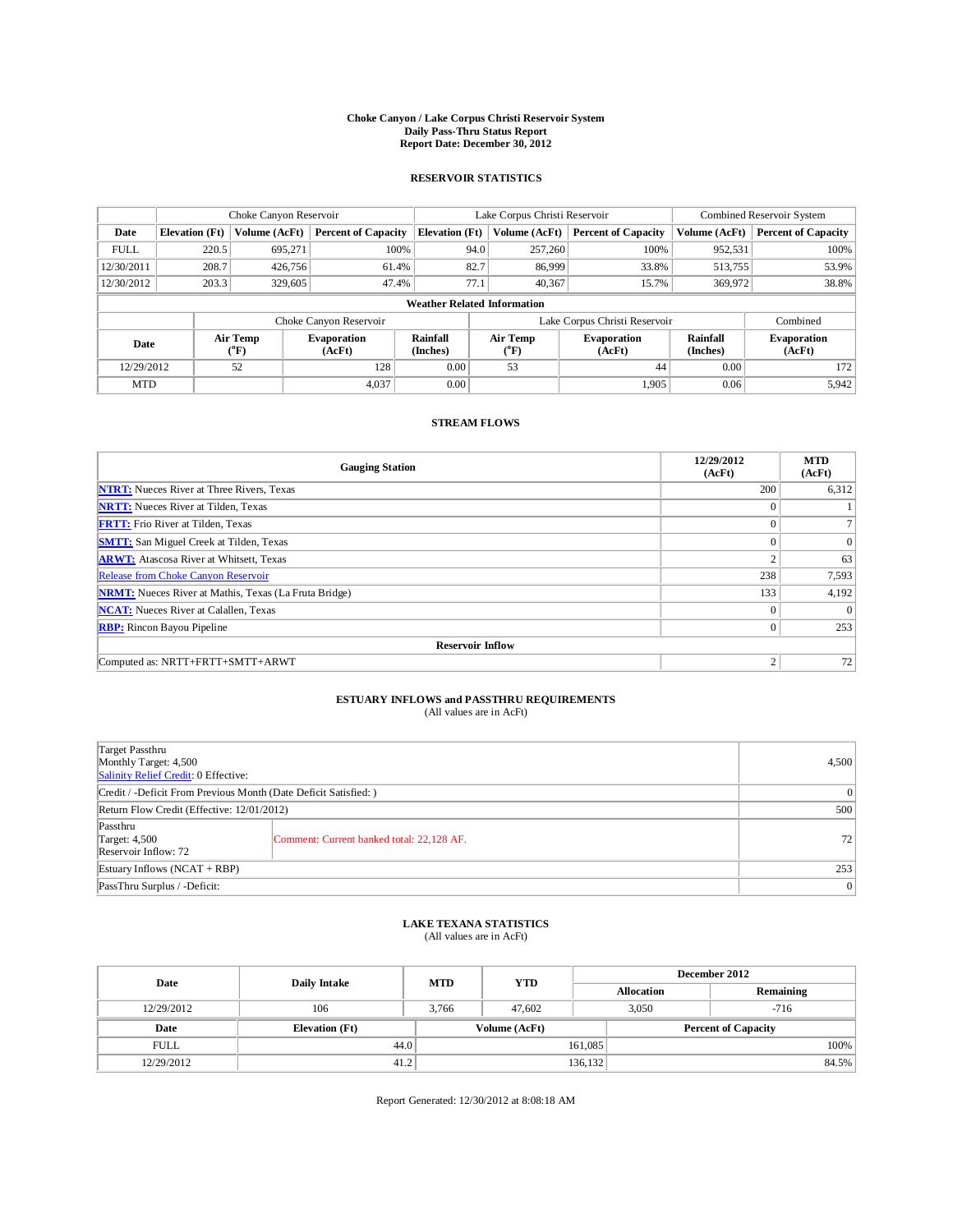## **Choke Canyon / Lake Corpus Christi Reservoir System Daily Pass-Thru Status Report Report Date: December 30, 2012**

### **RESERVOIR STATISTICS**

|             | Choke Canyon Reservoir |                  | Lake Corpus Christi Reservoir |                                    |                                                              |               | Combined Reservoir System     |                              |                            |
|-------------|------------------------|------------------|-------------------------------|------------------------------------|--------------------------------------------------------------|---------------|-------------------------------|------------------------------|----------------------------|
| Date        | <b>Elevation</b> (Ft)  | Volume (AcFt)    | <b>Percent of Capacity</b>    | <b>Elevation</b> (Ft)              |                                                              | Volume (AcFt) | <b>Percent of Capacity</b>    | Volume (AcFt)                | <b>Percent of Capacity</b> |
| <b>FULL</b> | 220.5                  | 695.271          | 100%                          |                                    | 94.0                                                         | 257,260       | 100%                          | 952,531                      | 100%                       |
| 12/30/2011  | 208.7                  | 426,756          | 61.4%                         |                                    | 82.7                                                         | 86,999        | 33.8%                         | 513,755                      | 53.9%                      |
| 12/30/2012  | 203.3                  | 329,605          | 47.4%                         |                                    | 77.1                                                         | 40,367        | 15.7%                         | 369,972                      | 38.8%                      |
|             |                        |                  |                               | <b>Weather Related Information</b> |                                                              |               |                               |                              |                            |
|             |                        |                  | Choke Canyon Reservoir        |                                    |                                                              |               | Lake Corpus Christi Reservoir |                              | Combined                   |
| Date        |                        | Air Temp<br>(°F) | <b>Evaporation</b><br>(AcFt)  | <b>Rainfall</b><br>(Inches)        | Air Temp<br><b>Evaporation</b><br>$\rm ^{(^o}\!F)$<br>(AcFt) |               | <b>Rainfall</b><br>(Inches)   | <b>Evaporation</b><br>(AcFt) |                            |
| 12/29/2012  |                        | 52               | 128                           | 0.00                               |                                                              | 53            | 44                            | 0.00                         | 172                        |
| <b>MTD</b>  |                        |                  | 4.037                         | 0.00                               |                                                              |               | 1.905                         | 0.06                         | 5,942                      |

#### **STREAM FLOWS**

| <b>Gauging Station</b>                                       | 12/29/2012<br>(AcFt) | <b>MTD</b><br>(AcFt) |  |  |  |
|--------------------------------------------------------------|----------------------|----------------------|--|--|--|
| <b>NTRT:</b> Nueces River at Three Rivers, Texas             | 200                  | 6,312                |  |  |  |
| <b>NRTT:</b> Nueces River at Tilden, Texas                   | $\theta$             |                      |  |  |  |
| <b>FRTT:</b> Frio River at Tilden, Texas                     | $\theta$             |                      |  |  |  |
| <b>SMTT:</b> San Miguel Creek at Tilden, Texas               | $\Omega$             | $\Omega$             |  |  |  |
| <b>ARWT:</b> Atascosa River at Whitsett, Texas               | $\overline{2}$       | 63                   |  |  |  |
| Release from Choke Canyon Reservoir                          | 238                  | 7,593                |  |  |  |
| <b>NRMT:</b> Nueces River at Mathis, Texas (La Fruta Bridge) | 133                  | 4,192                |  |  |  |
| <b>NCAT:</b> Nueces River at Calallen, Texas                 | $\Omega$             | $\Omega$             |  |  |  |
| <b>RBP:</b> Rincon Bayou Pipeline                            | $\mathbf{0}$         | 253                  |  |  |  |
| <b>Reservoir Inflow</b>                                      |                      |                      |  |  |  |
| Computed as: NRTT+FRTT+SMTT+ARWT                             | 2                    | 72                   |  |  |  |

# **ESTUARY INFLOWS and PASSTHRU REQUIREMENTS**<br>(All values are in AcFt)

| Target Passthru<br>Monthly Target: 4,500<br>Salinity Relief Credit: 0 Effective: | 4,500                                     |   |
|----------------------------------------------------------------------------------|-------------------------------------------|---|
| Credit / -Deficit From Previous Month (Date Deficit Satisfied: )                 | $\vert 0 \vert$                           |   |
| Return Flow Credit (Effective: 12/01/2012)                                       | 500                                       |   |
| Passthru<br>Target: 4,500<br>Reservoir Inflow: 72                                | Comment: Current banked total: 22,128 AF. |   |
| Estuary Inflows $(NCAT + RBP)$                                                   | 253                                       |   |
| PassThru Surplus / -Deficit:                                                     |                                           | 0 |

## **LAKE TEXANA STATISTICS** (All values are in AcFt)

| Date        | Daily Intake          | <b>MTD</b> | <b>YTD</b>        |           |  | December 2012              |
|-------------|-----------------------|------------|-------------------|-----------|--|----------------------------|
|             |                       |            | <b>Allocation</b> | Remaining |  |                            |
| 12/29/2012  | 106                   | 3.766      | 47.602            | 3.050     |  | $-716$                     |
| Date        | <b>Elevation</b> (Ft) |            | Volume (AcFt)     |           |  | <b>Percent of Capacity</b> |
| <b>FULL</b> |                       | 44.0       |                   | 161,085   |  | $100\%$                    |
| 12/29/2012  | 41.2                  |            |                   | 136, 132  |  | 84.5%                      |

Report Generated: 12/30/2012 at 8:08:18 AM